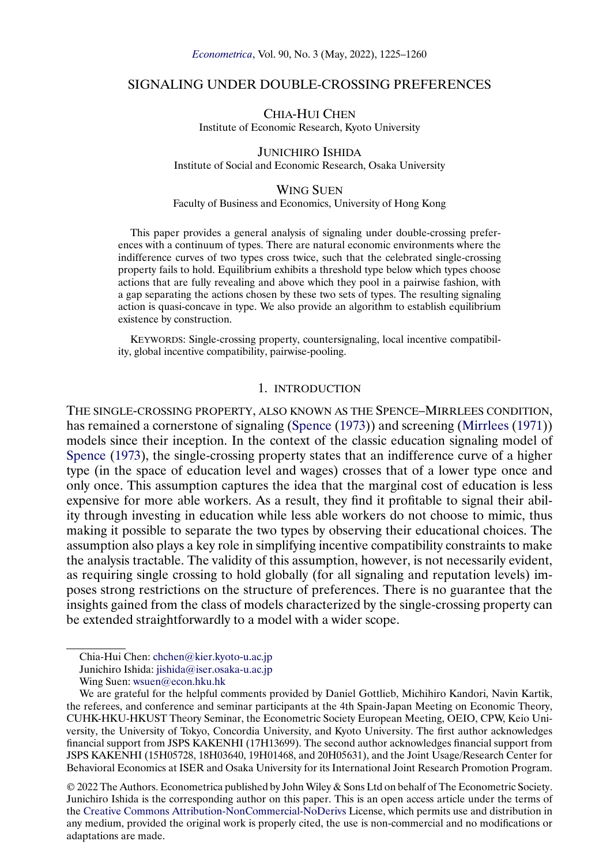### <span id="page-0-0"></span>SIGNALING UNDER DOUBLE-CROSSING PREFERENCES

CHIA-HUI CHEN Institute of Economic Research, Kyoto University

JUNICHIRO ISHIDA Institute of Social and Economic Research, Osaka University

#### WING SUEN

# Faculty of Business and Economics, University of Hong Kong

This paper provides a general analysis of signaling under double-crossing preferences with a continuum of types. There are natural economic environments where the indifference curves of two types cross twice, such that the celebrated single-crossing property fails to hold. Equilibrium exhibits a threshold type below which types choose actions that are fully revealing and above which they pool in a pairwise fashion, with a gap separating the actions chosen by these two sets of types. The resulting signaling action is quasi-concave in type. We also provide an algorithm to establish equilibrium existence by construction.

KEYWORDS: Single-crossing property, countersignaling, local incentive compatibility, global incentive compatibility, pairwise-pooling.

# 1. INTRODUCTION

THE SINGLE-CROSSING PROPERTY, ALSO KNOWN AS THE SPENCE–MIRRLEES CONDITION, has remained a cornerstone of signaling [\(Spence](#page-35-0) [\(1973\)](#page-35-0)) and screening [\(Mirrlees](#page-35-0) [\(1971\)](#page-35-0)) models since their inception. In the context of the classic education signaling model of [Spence](#page-35-0) [\(1973\)](#page-35-0), the single-crossing property states that an indifference curve of a higher type (in the space of education level and wages) crosses that of a lower type once and only once. This assumption captures the idea that the marginal cost of education is less expensive for more able workers. As a result, they find it profitable to signal their ability through investing in education while less able workers do not choose to mimic, thus making it possible to separate the two types by observing their educational choices. The assumption also plays a key role in simplifying incentive compatibility constraints to make the analysis tractable. The validity of this assumption, however, is not necessarily evident, as requiring single crossing to hold globally (for all signaling and reputation levels) imposes strong restrictions on the structure of preferences. There is no guarantee that the insights gained from the class of models characterized by the single-crossing property can be extended straightforwardly to a model with a wider scope.

© 2022 The Authors. Econometrica published by John Wiley & Sons Ltd on behalf of The Econometric Society. Junichiro Ishida is the corresponding author on this paper. This is an open access article under the terms of the [Creative Commons Attribution-NonCommercial-NoDerivs](https://creativecommons.org/licenses/by-nc-nd/4.0/) License, which permits use and distribution in any medium, provided the original work is properly cited, the use is non-commercial and no modifications or adaptations are made.

Chia-Hui Chen: [chchen@kier.kyoto-u.ac.jp](mailto:chchen@kier.kyoto-u.ac.jp)

Junichiro Ishida: [jishida@iser.osaka-u.ac.jp](mailto:jishida@iser.osaka-u.ac.jp)

Wing Suen: [wsuen@econ.hku.hk](mailto:wsuen@econ.hku.hk)

We are grateful for the helpful comments provided by Daniel Gottlieb, Michihiro Kandori, Navin Kartik, the referees, and conference and seminar participants at the 4th Spain-Japan Meeting on Economic Theory, CUHK-HKU-HKUST Theory Seminar, the Econometric Society European Meeting, OEIO, CPW, Keio University, the University of Tokyo, Concordia University, and Kyoto University. The first author acknowledges financial support from JSPS KAKENHI (17H13699). The second author acknowledges financial support from JSPS KAKENHI (15H05728, 18H03640, 19H01468, and 20H05631), and the Joint Usage/Research Center for Behavioral Economics at ISER and Osaka University for its International Joint Research Promotion Program.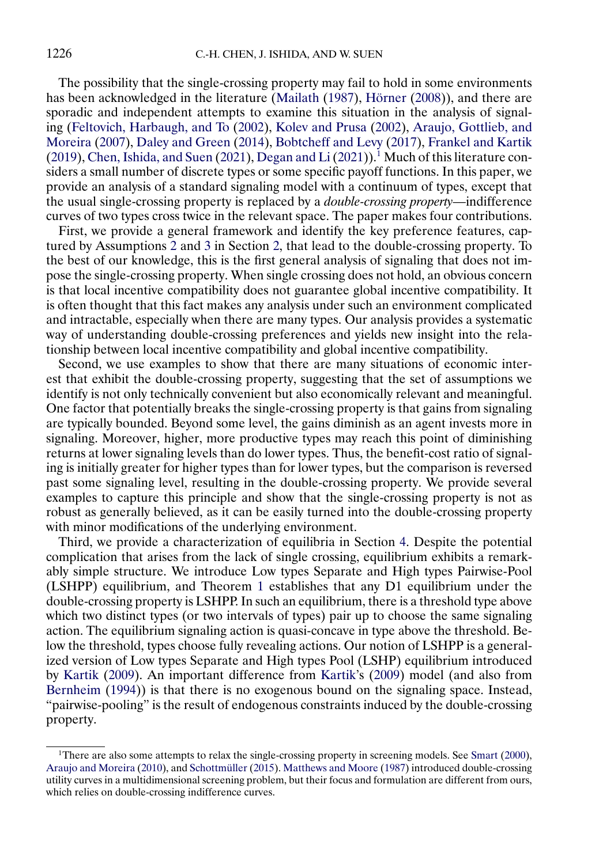<span id="page-1-0"></span>The possibility that the single-crossing property may fail to hold in some environments has been acknowledged in the literature [\(Mailath](#page-34-0) [\(1987\)](#page-34-0), [Hörner](#page-34-0) [\(2008\)](#page-34-0)), and there are sporadic and independent attempts to examine this situation in the analysis of signaling [\(Feltovich, Harbaugh, and To](#page-34-0) [\(2002\)](#page-34-0), [Kolev and Prusa](#page-34-0) [\(2002\)](#page-34-0), [Araujo, Gottlieb, and](#page-34-0) [Moreira](#page-34-0) [\(2007\)](#page-34-0), [Daley and Green](#page-34-0) [\(2014\)](#page-34-0), [Bobtcheff and Levy](#page-34-0) [\(2017\)](#page-34-0), [Frankel and Kartik](#page-34-0) [\(2019\)](#page-34-0), [Chen, Ishida, and Suen](#page-34-0) [\(2021\)](#page-34-0), [Degan and Li](#page-34-0) (2021)).<sup>1</sup> Much of this literature considers a small number of discrete types or some specific payoff functions. In this paper, we provide an analysis of a standard signaling model with a continuum of types, except that the usual single-crossing property is replaced by a *double-crossing property*—indifference curves of two types cross twice in the relevant space. The paper makes four contributions.

First, we provide a general framework and identify the key preference features, captured by Assumptions [2](#page-3-0) and [3](#page-4-0) in Section [2,](#page-2-0) that lead to the double-crossing property. To the best of our knowledge, this is the first general analysis of signaling that does not impose the single-crossing property. When single crossing does not hold, an obvious concern is that local incentive compatibility does not guarantee global incentive compatibility. It is often thought that this fact makes any analysis under such an environment complicated and intractable, especially when there are many types. Our analysis provides a systematic way of understanding double-crossing preferences and yields new insight into the relationship between local incentive compatibility and global incentive compatibility.

Second, we use examples to show that there are many situations of economic interest that exhibit the double-crossing property, suggesting that the set of assumptions we identify is not only technically convenient but also economically relevant and meaningful. One factor that potentially breaks the single-crossing property is that gains from signaling are typically bounded. Beyond some level, the gains diminish as an agent invests more in signaling. Moreover, higher, more productive types may reach this point of diminishing returns at lower signaling levels than do lower types. Thus, the benefit-cost ratio of signaling is initially greater for higher types than for lower types, but the comparison is reversed past some signaling level, resulting in the double-crossing property. We provide several examples to capture this principle and show that the single-crossing property is not as robust as generally believed, as it can be easily turned into the double-crossing property with minor modifications of the underlying environment.

Third, we provide a characterization of equilibria in Section [4.](#page-6-0) Despite the potential complication that arises from the lack of single crossing, equilibrium exhibits a remarkably simple structure. We introduce Low types Separate and High types Pairwise-Pool (LSHPP) equilibrium, and Theorem [1](#page-9-0) establishes that any D1 equilibrium under the double-crossing property is LSHPP. In such an equilibrium, there is a threshold type above which two distinct types (or two intervals of types) pair up to choose the same signaling action. The equilibrium signaling action is quasi-concave in type above the threshold. Below the threshold, types choose fully revealing actions. Our notion of LSHPP is a generalized version of Low types Separate and High types Pool (LSHP) equilibrium introduced by [Kartik](#page-34-0) [\(2009\)](#page-34-0). An important difference from [Kartik'](#page-34-0)s [\(2009\)](#page-34-0) model (and also from [Bernheim](#page-34-0) [\(1994\)](#page-34-0)) is that there is no exogenous bound on the signaling space. Instead, "pairwise-pooling" is the result of endogenous constraints induced by the double-crossing property.

<sup>&</sup>lt;sup>1</sup>There are also some attempts to relax the single-crossing property in screening models. See [Smart](#page-35-0) [\(2000\)](#page-35-0), [Araujo and Moreira](#page-34-0) [\(2010\)](#page-34-0), and [Schottmüller](#page-35-0) [\(2015\)](#page-35-0). [Matthews and Moore](#page-35-0) [\(1987\)](#page-35-0) introduced double-crossing utility curves in a multidimensional screening problem, but their focus and formulation are different from ours, which relies on double-crossing indifference curves.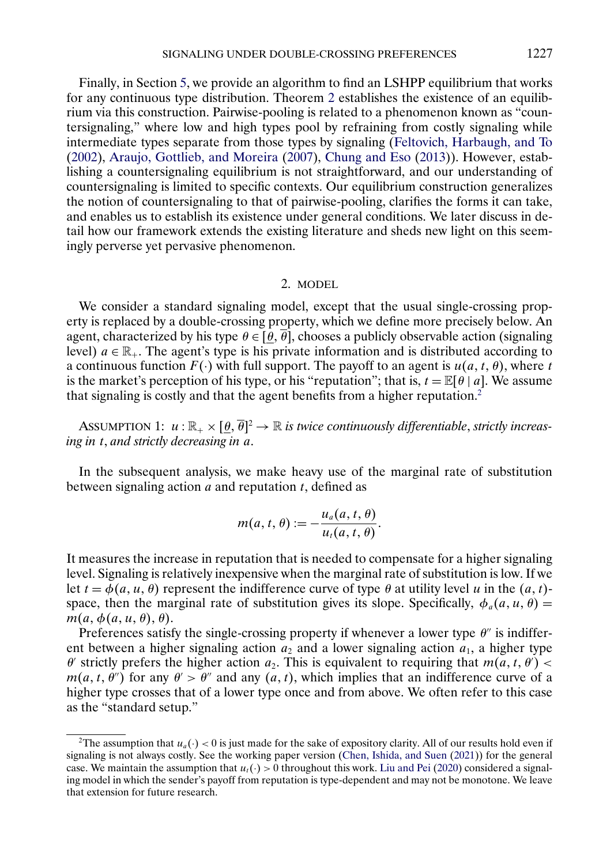<span id="page-2-0"></span>Finally, in Section [5,](#page-12-0) we provide an algorithm to find an LSHPP equilibrium that works for any continuous type distribution. Theorem [2](#page-15-0) establishes the existence of an equilibrium via this construction. Pairwise-pooling is related to a phenomenon known as "countersignaling," where low and high types pool by refraining from costly signaling while intermediate types separate from those types by signaling [\(Feltovich, Harbaugh, and To](#page-34-0) [\(2002\)](#page-34-0), [Araujo, Gottlieb, and Moreira](#page-34-0) [\(2007\)](#page-34-0), [Chung and Eso](#page-34-0) [\(2013\)](#page-34-0)). However, establishing a countersignaling equilibrium is not straightforward, and our understanding of countersignaling is limited to specific contexts. Our equilibrium construction generalizes the notion of countersignaling to that of pairwise-pooling, clarifies the forms it can take, and enables us to establish its existence under general conditions. We later discuss in detail how our framework extends the existing literature and sheds new light on this seemingly perverse yet pervasive phenomenon.

### 2. MODEL

We consider a standard signaling model, except that the usual single-crossing property is replaced by a double-crossing property, which we define more precisely below. An agent, characterized by his type  $\theta \in [\theta, \overline{\theta}]$ , chooses a publicly observable action (signaling level)  $a \in \mathbb{R}_+$ . The agent's type is his private information and is distributed according to a continuous function  $F(\cdot)$  with full support. The payoff to an agent is  $u(a, t, \theta)$ , where t is the market's perception of his type, or his "reputation"; that is,  $t = \mathbb{E}[\theta | a]$ . We assume that signaling is costly and that the agent benefits from a higher reputation.<sup>2</sup>

ASSUMPTION 1:  $u : \mathbb{R}_+ \times [\underline{\theta}, \overline{\theta}]^2 \to \mathbb{R}$  *is twice continuously differentiable, strictly increasing in* t, *and strictly decreasing in* a.

In the subsequent analysis, we make heavy use of the marginal rate of substitution between signaling action  $\vec{a}$  and reputation  $\vec{t}$ , defined as

$$
m(a, t, \theta) := -\frac{u_a(a, t, \theta)}{u_t(a, t, \theta)}.
$$

It measures the increase in reputation that is needed to compensate for a higher signaling level. Signaling is relatively inexpensive when the marginal rate of substitution is low. If we let  $t = \phi(a, u, \theta)$  represent the indifference curve of type  $\theta$  at utility level u in the  $(a, t)$ space, then the marginal rate of substitution gives its slope. Specifically,  $\phi_a(a, u, \theta) =$  $m(a, \phi(a, u, \theta), \theta).$ 

Preferences satisfy the single-crossing property if whenever a lower type  $\theta''$  is indifferent between a higher signaling action  $a_2$  and a lower signaling action  $a_1$ , a higher type  $\theta'$  strictly prefers the higher action  $a_2$ . This is equivalent to requiring that  $m(a, t, \theta')$  <  $m(a, t, \theta'')$  for any  $\theta' > \theta''$  and any  $(a, t)$ , which implies that an indifference curve of a higher type crosses that of a lower type once and from above. We often refer to this case as the "standard setup."

<sup>&</sup>lt;sup>2</sup>The assumption that  $u_a(\cdot) < 0$  is just made for the sake of expository clarity. All of our results hold even if signaling is not always costly. See the working paper version [\(Chen, Ishida, and Suen](#page-34-0) [\(2021\)](#page-34-0)) for the general case. We maintain the assumption that  $u_t(\cdot) > 0$  throughout this work. [Liu and Pei](#page-34-0) [\(2020\)](#page-34-0) considered a signaling model in which the sender's payoff from reputation is type-dependent and may not be monotone. We leave that extension for future research.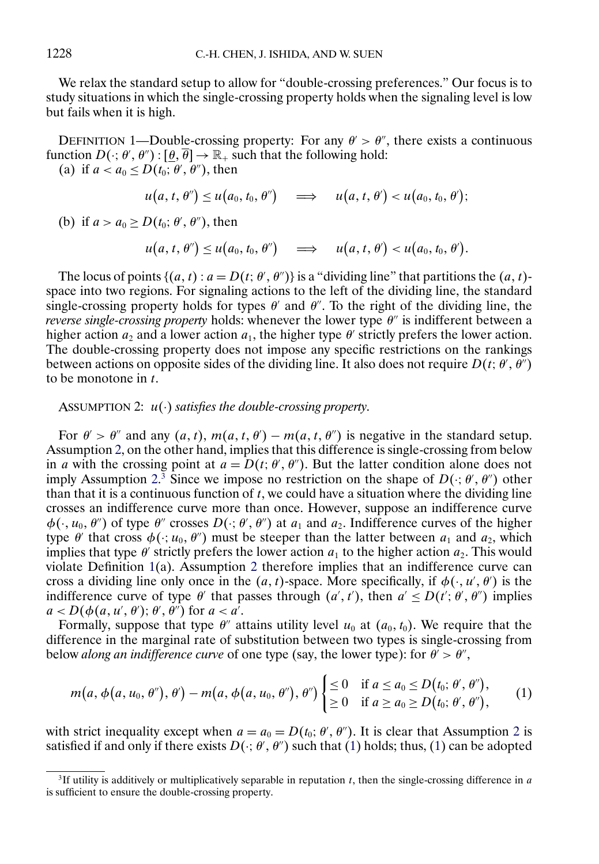<span id="page-3-0"></span>We relax the standard setup to allow for "double-crossing preferences." Our focus is to study situations in which the single-crossing property holds when the signaling level is low but fails when it is high.

DEFINITION 1—Double-crossing property: For any  $\theta' > \theta''$ , there exists a continuous function  $D(\cdot; \theta', \theta'') : [\underline{\theta}, \overline{\theta}] \rightarrow \mathbb{R}_+$  such that the following hold:

(a) if  $a < a_0 \le D(t_0; \theta', \theta'')$ , then

$$
u(a, t, \theta'') \leq u(a_0, t_0, \theta'') \quad \Longrightarrow \quad u(a, t, \theta') < u(a_0, t_0, \theta');
$$

(b) if  $a > a_0 \ge D(t_0; \theta', \theta'')$ , then

$$
u(a, t, \theta'') \leq u(a_0, t_0, \theta'') \quad \implies \quad u(a, t, \theta') < u(a_0, t_0, \theta').
$$

The locus of points  $\{(a, t) : a = D(t; \theta', \theta')\}$  is a "dividing line" that partitions the  $(a, t)$ space into two regions. For signaling actions to the left of the dividing line, the standard single-crossing property holds for types  $\theta'$  and  $\theta''$ . To the right of the dividing line, the *reverse single-crossing property* holds: whenever the lower type  $\theta$ <sup>"</sup> is indifferent between a higher action  $a_2$  and a lower action  $a_1$ , the higher type  $\theta$  strictly prefers the lower action. The double-crossing property does not impose any specific restrictions on the rankings between actions on opposite sides of the dividing line. It also does not require  $D(t; \theta', \theta'')$ to be monotone in  $t$ .

# ASSUMPTION 2: u(·) *satisfies the double-crossing property*.

For  $\theta' > \theta''$  and any  $(a, t)$ ,  $m(a, t, \theta') - m(a, t, \theta'')$  is negative in the standard setup. Assumption 2, on the other hand, implies that this difference is single-crossing from below in a with the crossing point at  $a = D(t; \theta', \theta'')$ . But the latter condition alone does not imply Assumption 2.<sup>3</sup> Since we impose no restriction on the shape of  $D(\cdot; \theta', \theta'')$  other than that it is a continuous function of  $t$ , we could have a situation where the dividing line crosses an indifference curve more than once. However, suppose an indifference curve  $\phi(\cdot, u_0, \theta'')$  of type  $\theta''$  crosses  $D(\cdot; \theta', \theta'')$  at  $a_1$  and  $a_2$ . Indifference curves of the higher type  $\theta'$  that cross  $\phi(\cdot; u_0, \theta'')$  must be steeper than the latter between  $a_1$  and  $a_2$ , which implies that type  $\theta'$  strictly prefers the lower action  $a_1$  to the higher action  $a_2$ . This would violate Definition 1(a). Assumption 2 therefore implies that an indifference curve can cross a dividing line only once in the  $(a, t)$ -space. More specifically, if  $\phi(\cdot, u', \theta')$  is the indifference curve of type  $\theta'$  that passes through  $(a', t')$ , then  $a' \le D(t'; \theta', \theta'')$  implies  $a \leq D(\phi(a, u', \theta'); \theta', \theta'')$  for  $a < a'$ .

Formally, suppose that type  $\theta''$  attains utility level  $u_0$  at  $(a_0, t_0)$ . We require that the difference in the marginal rate of substitution between two types is single-crossing from below *along an indifference curve* of one type (say, the lower type): for  $\theta' > \theta''$ ,

$$
m(a, \phi(a, u_0, \theta'), \theta') - m(a, \phi(a, u_0, \theta'), \theta'') \begin{cases} \leq 0 & \text{if } a \leq a_0 \leq D(t_0; \theta', \theta''), \\ \geq 0 & \text{if } a \geq a_0 \geq D(t_0; \theta', \theta''), \end{cases} (1)
$$

with strict inequality except when  $a = a_0 = D(t_0; \theta', \theta'')$ . It is clear that Assumption 2 is satisfied if and only if there exists  $D(\cdot; \theta', \theta'')$  such that (1) holds; thus, (1) can be adopted

<sup>&</sup>lt;sup>3</sup>If utility is additively or multiplicatively separable in reputation t, then the single-crossing difference in a is sufficient to ensure the double-crossing property.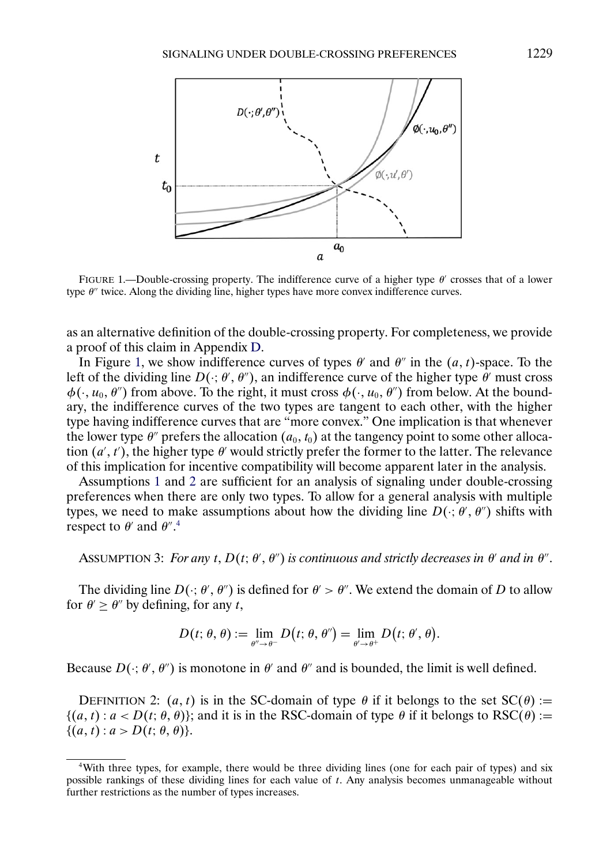<span id="page-4-0"></span>

FIGURE 1.—Double-crossing property. The indifference curve of a higher type  $\theta'$  crosses that of a lower type  $\theta$ <sup>"</sup> twice. Along the dividing line, higher types have more convex indifference curves.

as an alternative definition of the double-crossing property. For completeness, we provide a proof of this claim in Appendix [D.](#page-32-0)

In Figure 1, we show indifference curves of types  $\theta'$  and  $\theta''$  in the  $(a, t)$ -space. To the left of the dividing line  $D(\cdot; \theta', \theta'')$ , an indifference curve of the higher type  $\theta'$  must cross  $\phi(\cdot, u_0, \theta'')$  from above. To the right, it must cross  $\phi(\cdot, u_0, \theta'')$  from below. At the boundary, the indifference curves of the two types are tangent to each other, with the higher type having indifference curves that are "more convex." One implication is that whenever the lower type  $\theta''$  prefers the allocation  $(a_0, t_0)$  at the tangency point to some other allocation  $(a', t')$ , the higher type  $\theta'$  would strictly prefer the former to the latter. The relevance of this implication for incentive compatibility will become apparent later in the analysis.

Assumptions [1](#page-2-0) and [2](#page-3-0) are sufficient for an analysis of signaling under double-crossing preferences when there are only two types. To allow for a general analysis with multiple types, we need to make assumptions about how the dividing line  $D(\cdot; \theta', \theta'')$  shifts with respect to  $\theta'$  and  $\theta''$ .<sup>4</sup>

ASSUMPTION 3: *For any t*,  $D(t; \theta', \theta'')$  is continuous and strictly decreases in  $\theta'$  and in  $\theta''$ .

The dividing line  $D(\cdot; \theta', \theta'')$  is defined for  $\theta' > \theta''$ . We extend the domain of D to allow for  $\theta \ge \theta''$  by defining, for any t,

$$
D(t; \theta, \theta) := \lim_{\theta'' \to \theta^-} D(t; \theta, \theta'') = \lim_{\theta' \to \theta^+} D(t; \theta', \theta).
$$

Because  $D(\cdot; \theta', \theta'')$  is monotone in  $\theta'$  and  $\theta''$  and is bounded, the limit is well defined.

DEFINITION 2:  $(a, t)$  is in the SC-domain of type  $\theta$  if it belongs to the set  $SC(\theta)$  :=  $\{(a, t) : a < D(t; \theta, \theta)\}\;$ ; and it is in the RSC-domain of type  $\theta$  if it belongs to RSC( $\theta$ ) :=  $\{(a, t) : a > D(t; \theta, \theta)\}.$ 

<sup>4</sup>With three types, for example, there would be three dividing lines (one for each pair of types) and six possible rankings of these dividing lines for each value of t. Any analysis becomes unmanageable without further restrictions as the number of types increases.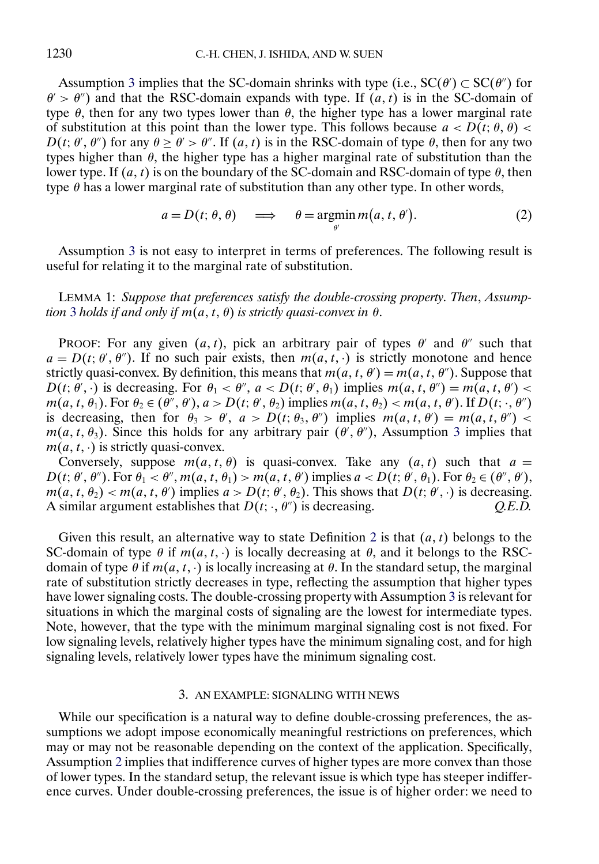<span id="page-5-0"></span>Assumption [3](#page-4-0) implies that the SC-domain shrinks with type (i.e.,  $SC(\theta') \subset SC(\theta'')$  for  $\theta$  >  $\theta$ ) and that the RSC-domain expands with type. If  $(a, t)$  is in the SC-domain of type  $\theta$ , then for any two types lower than  $\theta$ , the higher type has a lower marginal rate of substitution at this point than the lower type. This follows because  $a < D(t; \theta, \theta)$  $D(t; \theta', \theta'')$  for any  $\theta \ge \theta' > \theta''$ . If  $(a, t)$  is in the RSC-domain of type  $\theta$ , then for any two types higher than  $\theta$ , the higher type has a higher marginal rate of substitution than the lower type. If  $(a, t)$  is on the boundary of the SC-domain and RSC-domain of type  $\theta$ , then type  $\theta$  has a lower marginal rate of substitution than any other type. In other words,

$$
a = D(t; \theta, \theta) \implies \theta = \operatorname*{argmin}_{\theta'} m(a, t, \theta'). \tag{2}
$$

Assumption [3](#page-4-0) is not easy to interpret in terms of preferences. The following result is useful for relating it to the marginal rate of substitution.

LEMMA 1: *Suppose that preferences satisfy the double-crossing property*. *Then*, *Assumption* [3](#page-4-0) *holds if and only if*  $m(a, t, \theta)$  *is strictly quasi-convex in*  $\theta$ .

PROOF: For any given  $(a, t)$ , pick an arbitrary pair of types  $\theta'$  and  $\theta''$  such that  $a = D(t; \theta', \theta'')$ . If no such pair exists, then  $m(a, t, \cdot)$  is strictly monotone and hence strictly quasi-convex. By definition, this means that  $m(a, t, \theta') = m(a, t, \theta'')$ . Suppose that  $D(t; \theta', \cdot)$  is decreasing. For  $\theta_1 < \theta''$ ,  $a < D(t; \theta', \theta_1)$  implies  $m(a, t, \theta'') = m(a, t, \theta')$  $m(a, t, \theta_1)$ . For  $\theta_2 \in (\theta'', \theta'), a > D(t; \theta', \theta_2)$  implies  $m(a, t, \theta_2) < m(a, t, \theta')$ . If  $D(t; \cdot, \theta'')$ is decreasing, then for  $\theta_3 > \theta'$ ,  $a > D(t; \theta_3, \theta'')$  implies  $m(a, t, \theta') = m(a, t, \theta'')$  $m(a, t, \theta_3)$  $m(a, t, \theta_3)$  $m(a, t, \theta_3)$ . Since this holds for any arbitrary pair  $(\theta', \theta'')$ , Assumption 3 implies that  $m(a, t, \cdot)$  is strictly quasi-convex.

Conversely, suppose  $m(a, t, \theta)$  is quasi-convex. Take any  $(a, t)$  such that  $a =$  $D(t; \theta', \theta'')$ . For  $\theta_1 < \theta''$ ,  $m(a, t, \theta_1) > m(a, t, \theta')$  implies  $a < D(t; \theta', \theta_1)$ . For  $\theta_2 \in (\theta'', \theta')$ ,  $m(a, t, \theta_2) < m(a, t, \theta')$  implies  $a > D(t; \theta', \theta_2)$ . This shows that  $D(t; \theta', \cdot)$  is decreasing. A similar argument establishes that  $D(t; \cdot, \theta'')$  is decreasing.  $Q.E.D.$ 

Given this result, an alternative way to state Definition [2](#page-4-0) is that  $(a, t)$  belongs to the SC-domain of type  $\theta$  if  $m(a, t, \cdot)$  is locally decreasing at  $\theta$ , and it belongs to the RSCdomain of type  $\theta$  if  $m(a, t, \cdot)$  is locally increasing at  $\theta$ . In the standard setup, the marginal rate of substitution strictly decreases in type, reflecting the assumption that higher types have lower signaling costs. The double-crossing property with Assumption [3](#page-4-0) is relevant for situations in which the marginal costs of signaling are the lowest for intermediate types. Note, however, that the type with the minimum marginal signaling cost is not fixed. For low signaling levels, relatively higher types have the minimum signaling cost, and for high signaling levels, relatively lower types have the minimum signaling cost.

### 3. AN EXAMPLE: SIGNALING WITH NEWS

While our specification is a natural way to define double-crossing preferences, the assumptions we adopt impose economically meaningful restrictions on preferences, which may or may not be reasonable depending on the context of the application. Specifically, Assumption [2](#page-3-0) implies that indifference curves of higher types are more convex than those of lower types. In the standard setup, the relevant issue is which type has steeper indifference curves. Under double-crossing preferences, the issue is of higher order: we need to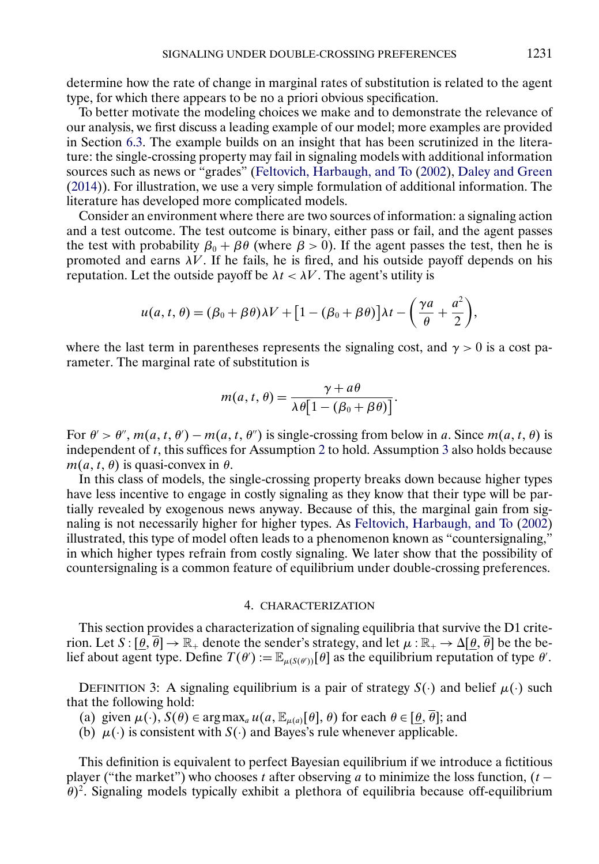<span id="page-6-0"></span>determine how the rate of change in marginal rates of substitution is related to the agent type, for which there appears to be no a priori obvious specification.

To better motivate the modeling choices we make and to demonstrate the relevance of our analysis, we first discuss a leading example of our model; more examples are provided in Section [6.3.](#page-21-0) The example builds on an insight that has been scrutinized in the literature: the single-crossing property may fail in signaling models with additional information sources such as news or "grades" [\(Feltovich, Harbaugh, and To](#page-34-0) [\(2002\)](#page-34-0), [Daley and Green](#page-34-0) [\(2014\)](#page-34-0)). For illustration, we use a very simple formulation of additional information. The literature has developed more complicated models.

Consider an environment where there are two sources of information: a signaling action and a test outcome. The test outcome is binary, either pass or fail, and the agent passes the test with probability  $\beta_0 + \beta \theta$  (where  $\beta > 0$ ). If the agent passes the test, then he is promoted and earns  $\lambda V$ . If he fails, he is fired, and his outside payoff depends on his reputation. Let the outside payoff be  $\lambda t < \lambda V$ . The agent's utility is

$$
u(a, t, \theta) = (\beta_0 + \beta \theta)\lambda V + [1 - (\beta_0 + \beta \theta)]\lambda t - \left(\frac{\gamma a}{\theta} + \frac{a^2}{2}\right),
$$

where the last term in parentheses represents the signaling cost, and  $\gamma > 0$  is a cost parameter. The marginal rate of substitution is

$$
m(a, t, \theta) = \frac{\gamma + a\theta}{\lambda \theta [1 - (\beta_0 + \beta \theta)]}.
$$

For  $\theta' > \theta''$ ,  $m(a, t, \theta') - m(a, t, \theta'')$  is single-crossing from below in a. Since  $m(a, t, \theta)$  is independent of t, this suffices for Assumption [2](#page-3-0) to hold. Assumption [3](#page-4-0) also holds because  $m(a, t, \theta)$  is quasi-convex in  $\theta$ .

In this class of models, the single-crossing property breaks down because higher types have less incentive to engage in costly signaling as they know that their type will be partially revealed by exogenous news anyway. Because of this, the marginal gain from signaling is not necessarily higher for higher types. As [Feltovich, Harbaugh, and To](#page-34-0) [\(2002\)](#page-34-0) illustrated, this type of model often leads to a phenomenon known as "countersignaling," in which higher types refrain from costly signaling. We later show that the possibility of countersignaling is a common feature of equilibrium under double-crossing preferences.

### 4. CHARACTERIZATION

This section provides a characterization of signaling equilibria that survive the D1 criterion. Let  $S : [\theta, \overline{\theta}] \to \mathbb{R}_+$  denote the sender's strategy, and let  $\mu : \mathbb{R}_+ \to \Delta[\theta, \overline{\theta}]$  be the belief about agent type. Define  $T(\theta) := \mathbb{E}_{\mu(S(\theta))}[\theta]$  as the equilibrium reputation of type  $\theta'$ .

DEFINITION 3: A signaling equilibrium is a pair of strategy  $S(\cdot)$  and belief  $\mu(\cdot)$  such that the following hold:

(a) given  $\mu(\cdot)$ ,  $S(\theta) \in \arg \max_a u(a, \mathbb{E}_{\mu(a)}[\theta], \theta)$  for each  $\theta \in [\theta, \overline{\theta}]$ ; and

(b)  $\mu(\cdot)$  is consistent with  $S(\cdot)$  and Bayes's rule whenever applicable.

This definition is equivalent to perfect Bayesian equilibrium if we introduce a fictitious player ("the market") who chooses t after observing a to minimize the loss function,  $(t \theta$ <sup>2</sup>. Signaling models typically exhibit a plethora of equilibria because off-equilibrium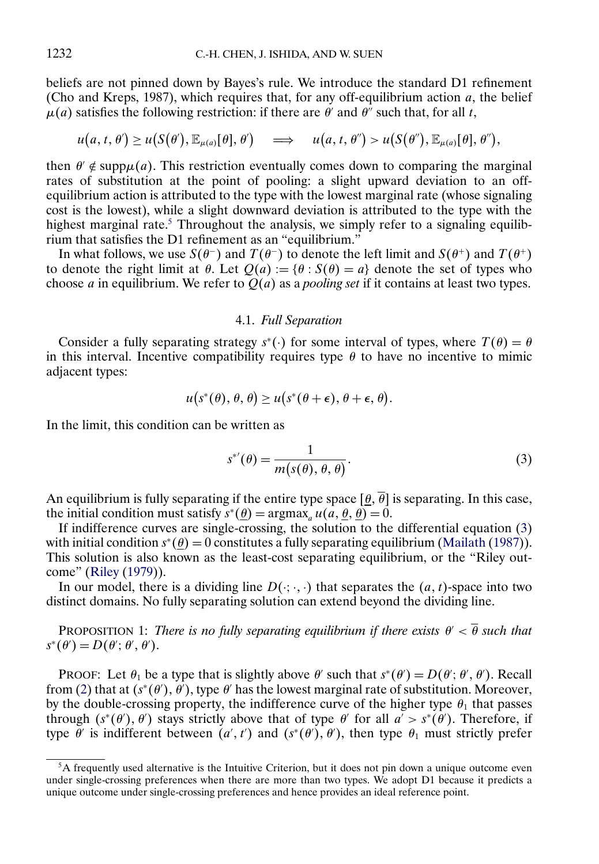<span id="page-7-0"></span>beliefs are not pinned down by Bayes's rule. We introduce the standard D1 refinement (Cho and Kreps, 1987), which requires that, for any off-equilibrium action  $a$ , the belief  $\mu(a)$  satisfies the following restriction: if there are  $\theta'$  and  $\theta''$  such that, for all t,

$$
u(a, t, \theta') \geq u(S(\theta'), \mathbb{E}_{\mu(a)}[\theta], \theta') \quad \implies \quad u(a, t, \theta'') > u(S(\theta'), \mathbb{E}_{\mu(a)}[\theta], \theta''),
$$

then  $\theta' \notin \text{supp}\mu(a)$ . This restriction eventually comes down to comparing the marginal rates of substitution at the point of pooling: a slight upward deviation to an offequilibrium action is attributed to the type with the lowest marginal rate (whose signaling cost is the lowest), while a slight downward deviation is attributed to the type with the highest marginal rate.<sup>5</sup> Throughout the analysis, we simply refer to a signaling equilibrium that satisfies the D1 refinement as an "equilibrium."

In what follows, we use  $S(\theta^-)$  and  $T(\theta^-)$  to denote the left limit and  $S(\theta^+)$  and  $T(\theta^+)$ to denote the right limit at  $\theta$ . Let  $Q(a) := {\theta : S(\theta) = a}$  denote the set of types who choose *a* in equilibrium. We refer to  $Q(a)$  as a *pooling set* if it contains at least two types.

# 4.1. *Full Separation*

Consider a fully separating strategy  $s^*$ (·) for some interval of types, where  $T(\theta) = \theta$ in this interval. Incentive compatibility requires type  $\theta$  to have no incentive to mimic adjacent types:

$$
u(s^*(\theta),\theta,\theta) \geq u(s^*(\theta+\epsilon),\theta+\epsilon,\theta).
$$

In the limit, this condition can be written as

$$
s^{*'}(\theta) = \frac{1}{m(s(\theta), \theta, \theta)}.
$$
\n(3)

An equilibrium is fully separating if the entire type space  $[\theta, \overline{\theta}]$  is separating. In this case, the initial condition must satisfy  $s^*(\underline{\theta}) = \arg \max_a u(a, \underline{\theta}, \underline{\theta}) = 0.$ 

If indifference curves are single-crossing, the solution to the differential equation (3) with initial condition  $s^*(\underline{\theta}) = 0$  constitutes a fully separating equilibrium [\(Mailath](#page-34-0) [\(1987\)](#page-34-0)). This solution is also known as the least-cost separating equilibrium, or the "Riley outcome" [\(Riley](#page-35-0) [\(1979\)](#page-35-0)).

In our model, there is a dividing line  $D(\cdot; \cdot, \cdot)$  that separates the  $(a, t)$ -space into two distinct domains. No fully separating solution can extend beyond the dividing line.

PROPOSITION 1: *There is no fully separating equilibrium if there exists*  $\theta' < \overline{\theta}$  *such that*  $s^*(\theta') = D(\theta'; \theta', \theta').$ 

PROOF: Let  $\theta_1$  be a type that is slightly above  $\theta'$  such that  $s^*(\theta') = D(\theta'; \theta', \theta')$ . Recall from [\(2\)](#page-5-0) that at  $(s^*(\theta'), \theta')$ , type  $\theta'$  has the lowest marginal rate of substitution. Moreover, by the double-crossing property, the indifference curve of the higher type  $\theta_1$  that passes through  $(s^*(\theta'), \theta')$  stays strictly above that of type  $\theta'$  for all  $a' > s^*(\theta')$ . Therefore, if type  $\theta'$  is indifferent between  $(a', t')$  and  $(s^*(\theta'), \theta')$ , then type  $\theta_1$  must strictly prefer

<sup>5</sup>A frequently used alternative is the Intuitive Criterion, but it does not pin down a unique outcome even under single-crossing preferences when there are more than two types. We adopt D1 because it predicts a unique outcome under single-crossing preferences and hence provides an ideal reference point.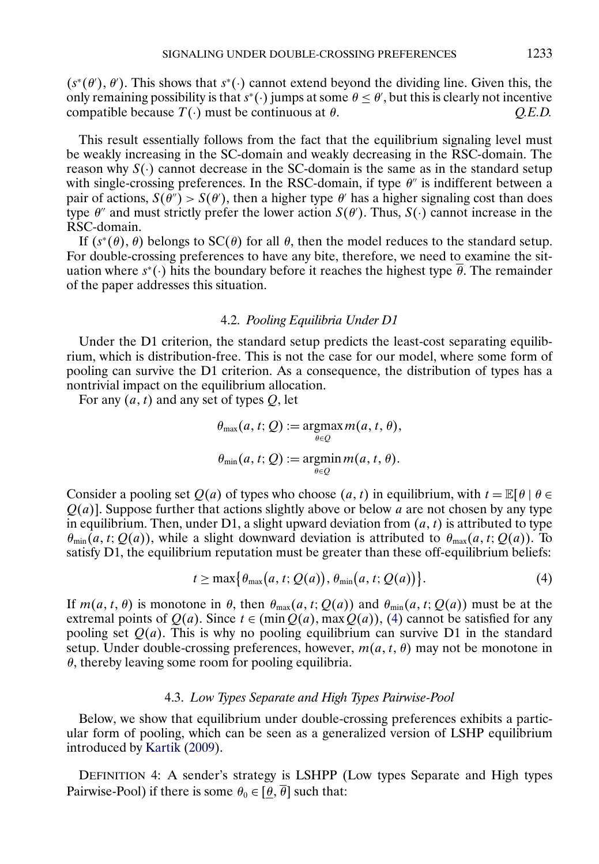<span id="page-8-0"></span> $(s^*(\theta), \theta')$ . This shows that  $s^*(\cdot)$  cannot extend beyond the dividing line. Given this, the only remaining possibility is that  $s^*(\cdot)$  jumps at some  $\theta \le \theta'$ , but this is clearly not incentive compatible because  $T(\cdot)$  must be continuous at  $\theta$ .  $Q.E.D.$ 

This result essentially follows from the fact that the equilibrium signaling level must be weakly increasing in the SC-domain and weakly decreasing in the RSC-domain. The reason why  $S(\cdot)$  cannot decrease in the SC-domain is the same as in the standard setup with single-crossing preferences. In the RSC-domain, if type  $\theta''$  is indifferent between a pair of actions,  $S(\theta') > S(\theta')$ , then a higher type  $\theta'$  has a higher signaling cost than does type  $\theta''$  and must strictly prefer the lower action  $S(\theta')$ . Thus,  $S(\cdot)$  cannot increase in the RSC-domain.

If  $(s^*(\theta), \theta)$  belongs to  $SC(\theta)$  for all  $\theta$ , then the model reduces to the standard setup. For double-crossing preferences to have any bite, therefore, we need to examine the situation where  $s^*$ (·) hits the boundary before it reaches the highest type  $\overline{\theta}$ . The remainder of the paper addresses this situation.

# 4.2. *Pooling Equilibria Under D1*

Under the D1 criterion, the standard setup predicts the least-cost separating equilibrium, which is distribution-free. This is not the case for our model, where some form of pooling can survive the D1 criterion. As a consequence, the distribution of types has a nontrivial impact on the equilibrium allocation.

For any  $(a, t)$  and any set of types Q, let

$$
\theta_{\max}(a, t; Q) := \underset{\theta \in Q}{\operatorname{argmax}} m(a, t, \theta),
$$

$$
\theta_{\min}(a, t; Q) := \underset{\theta \in Q}{\operatorname{argmin}} m(a, t, \theta).
$$

Consider a pooling set  $Q(a)$  of types who choose  $(a, t)$  in equilibrium, with  $t = \mathbb{E}[\theta | \theta \in$  $Q(a)$ ]. Suppose further that actions slightly above or below a are not chosen by any type in equilibrium. Then, under D1, a slight upward deviation from  $(a, t)$  is attributed to type  $\theta_{\min}(a, t; Q(a))$ , while a slight downward deviation is attributed to  $\theta_{\max}(a, t; Q(a))$ . To satisfy D1, the equilibrium reputation must be greater than these off-equilibrium beliefs:

$$
t \geq \max\{\theta_{\max}(a,t;Q(a)), \theta_{\min}(a,t;Q(a))\}.
$$
 (4)

If  $m(a, t, \theta)$  is monotone in  $\theta$ , then  $\theta_{\text{max}}(a, t; Q(a))$  and  $\theta_{\text{min}}(a, t; Q(a))$  must be at the extremal points of  $Q(a)$ . Since  $t \in (\min Q(a), \max Q(a))$ , (4) cannot be satisfied for any pooling set  $Q(a)$ . This is why no pooling equilibrium can survive D1 in the standard setup. Under double-crossing preferences, however,  $m(a, t, \theta)$  may not be monotone in  $\theta$ , thereby leaving some room for pooling equilibria.

### 4.3. *Low Types Separate and High Types Pairwise-Pool*

Below, we show that equilibrium under double-crossing preferences exhibits a particular form of pooling, which can be seen as a generalized version of LSHP equilibrium introduced by [Kartik](#page-34-0) [\(2009\)](#page-34-0).

DEFINITION 4: A sender's strategy is LSHPP (Low types Separate and High types Pairwise-Pool) if there is some  $\theta_0 \in [\theta, \overline{\theta}]$  such that: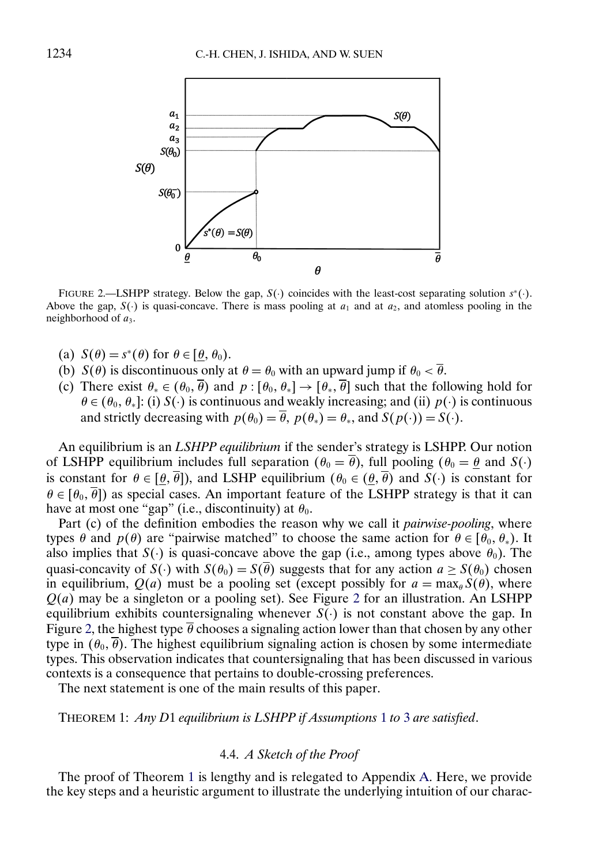<span id="page-9-0"></span>

FIGURE 2.—LSHPP strategy. Below the gap,  $S(\cdot)$  coincides with the least-cost separating solution  $s^*(\cdot)$ . Above the gap,  $S(\cdot)$  is quasi-concave. There is mass pooling at  $a_1$  and at  $a_2$ , and atomless pooling in the neighborhood of  $a_3$ .

- (a)  $S(\theta) = s^*(\theta)$  for  $\theta \in [\theta, \theta_0)$ .
- (b)  $S(\theta)$  is discontinuous only at  $\theta = \theta_0$  with an upward jump if  $\theta_0 < \overline{\theta}$ .
- (c) There exist  $\theta_* \in (\theta_0, \overline{\theta})$  and  $p : [\theta_0, \theta_*] \to [\theta_* , \overline{\theta}]$  such that the following hold for  $\theta \in (\theta_0, \theta_*]$ : (i) S(·) is continuous and weakly increasing; and (ii)  $p(\cdot)$  is continuous and strictly decreasing with  $p(\theta_0) = \overline{\theta}$ ,  $p(\theta_*) = \theta_*$ , and  $S(p(\cdot)) = S(\cdot)$ .

An equilibrium is an *LSHPP equilibrium* if the sender's strategy is LSHPP. Our notion of LSHPP equilibrium includes full separation ( $\theta_0 = \overline{\theta}$ ), full pooling ( $\theta_0 = \underline{\theta}$  and  $S(\cdot)$ ) is constant for  $\theta \in [\theta, \overline{\theta}]$ , and LSHP equilibrium  $(\theta_0 \in (\theta, \overline{\theta})$  and  $S(\cdot)$  is constant for  $\theta \in [\theta_0, \overline{\theta}]$  as special cases. An important feature of the LSHPP strategy is that it can have at most one "gap" (i.e., discontinuity) at  $\theta_0$ .

Part (c) of the definition embodies the reason why we call it *pairwise-pooling*, where types  $\theta$  and  $p(\theta)$  are "pairwise matched" to choose the same action for  $\theta \in [\theta_0, \theta_*)$ . It also implies that  $S(\cdot)$  is quasi-concave above the gap (i.e., among types above  $\theta_0$ ). The quasi-concavity of  $S(\cdot)$  with  $S(\theta_0) = S(\overline{\theta})$  suggests that for any action  $a \geq S(\theta_0)$  chosen in equilibrium,  $Q(a)$  must be a pooling set (except possibly for  $a = \max_{\theta} S(\theta)$ , where  $Q(a)$  may be a singleton or a pooling set). See Figure 2 for an illustration. An LSHPP equilibrium exhibits countersignaling whenever  $S(\cdot)$  is not constant above the gap. In Figure 2, the highest type  $\overline{\theta}$  chooses a signaling action lower than that chosen by any other type in  $(\theta_0, \overline{\theta})$ . The highest equilibrium signaling action is chosen by some intermediate types. This observation indicates that countersignaling that has been discussed in various contexts is a consequence that pertains to double-crossing preferences.

The next statement is one of the main results of this paper.

THEOREM 1: *Any D*1 *equilibrium is LSHPP if Assumptions* [1](#page-2-0) *to* [3](#page-4-0) *are satisfied*.

# 4.4. *A Sketch of the Proof*

The proof of Theorem 1 is lengthy and is relegated to Appendix [A.](#page-24-0) Here, we provide the key steps and a heuristic argument to illustrate the underlying intuition of our charac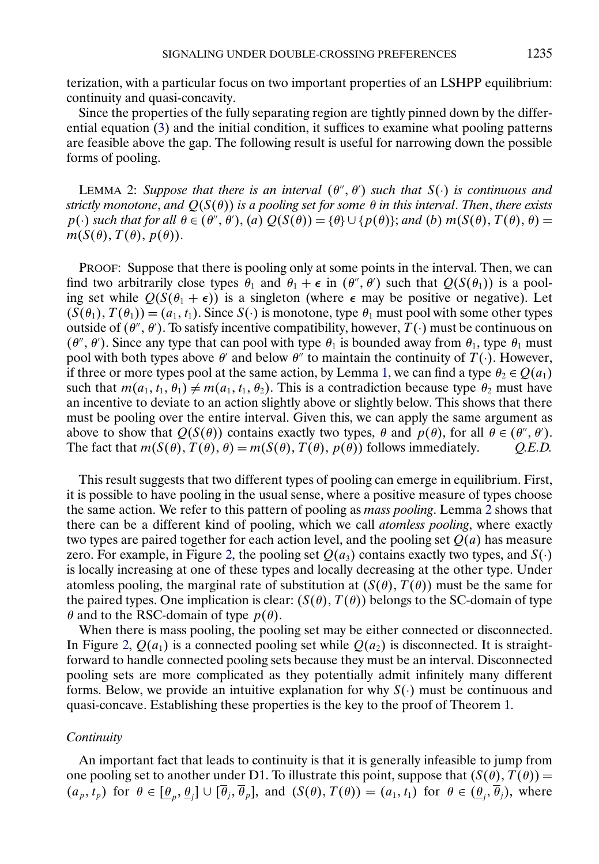<span id="page-10-0"></span>terization, with a particular focus on two important properties of an LSHPP equilibrium: continuity and quasi-concavity.

Since the properties of the fully separating region are tightly pinned down by the differential equation [\(3\)](#page-7-0) and the initial condition, it suffices to examine what pooling patterns are feasible above the gap. The following result is useful for narrowing down the possible forms of pooling.

LEMMA 2: *Suppose that there is an interval*  $(\theta'', \theta')$  *such that*  $S(\cdot)$  *is continuous and strictly monotone*, *and* Q(S(θ)) *is a pooling set for some* θ *in this interval*. *Then*, *there exists*  $p(\cdot)$  *such that for all*  $\theta \in (\theta'', \theta'), (a)$   $Q(S(\theta)) = {\theta} \cup {p(\theta)}$ ; *and* (*b*)  $m(S(\theta), T(\theta), \theta) =$  $m(S(\theta), T(\theta), p(\theta)).$ 

PROOF: Suppose that there is pooling only at some points in the interval. Then, we can find two arbitrarily close types  $\theta_1$  and  $\theta_1 + \epsilon$  in  $(\theta'', \theta')$  such that  $Q(S(\theta_1))$  is a pooling set while  $Q(S(\theta_1 + \epsilon))$  is a singleton (where  $\epsilon$  may be positive or negative). Let  $(S(\theta_1), T(\theta_1)) = (a_1, t_1)$ . Since  $S(\cdot)$  is monotone, type  $\theta_1$  must pool with some other types outside of  $(\theta'', \theta')$ . To satisfy incentive compatibility, however,  $T(\cdot)$  must be continuous on  $(\theta'', \theta')$ . Since any type that can pool with type  $\theta_1$  is bounded away from  $\theta_1$ , type  $\theta_1$  must pool with both types above  $\theta'$  and below  $\theta''$  to maintain the continuity of  $T(\cdot)$ . However, if three or more types pool at the same action, by Lemma [1,](#page-5-0) we can find a type  $\theta_2 \in Q(a_1)$ such that  $m(a_1, t_1, \theta_1) \neq m(a_1, t_1, \theta_2)$ . This is a contradiction because type  $\theta_2$  must have an incentive to deviate to an action slightly above or slightly below. This shows that there must be pooling over the entire interval. Given this, we can apply the same argument as above to show that  $Q(S(\theta))$  contains exactly two types,  $\theta$  and  $p(\theta)$ , for all  $\theta \in (\theta'', \theta')$ . The fact that  $m(S(\theta), T(\theta), \theta) = m(S(\theta), T(\theta), p(\theta))$  follows immediately. *Q.E.D.* 

This result suggests that two different types of pooling can emerge in equilibrium. First, it is possible to have pooling in the usual sense, where a positive measure of types choose the same action. We refer to this pattern of pooling as *mass pooling*. Lemma 2 shows that there can be a different kind of pooling, which we call *atomless pooling*, where exactly two types are paired together for each action level, and the pooling set  $Q(a)$  has measure zero. For example, in Figure [2,](#page-9-0) the pooling set  $Q(a_3)$  contains exactly two types, and  $S(\cdot)$ is locally increasing at one of these types and locally decreasing at the other type. Under atomless pooling, the marginal rate of substitution at  $(S(\theta), T(\theta))$  must be the same for the paired types. One implication is clear:  $(S(\theta), T(\theta))$  belongs to the SC-domain of type  $\theta$  and to the RSC-domain of type  $p(\theta)$ .

When there is mass pooling, the pooling set may be either connected or disconnected. In Figure [2,](#page-9-0)  $Q(a_1)$  is a connected pooling set while  $Q(a_2)$  is disconnected. It is straightforward to handle connected pooling sets because they must be an interval. Disconnected pooling sets are more complicated as they potentially admit infinitely many different forms. Below, we provide an intuitive explanation for why  $S(\cdot)$  must be continuous and quasi-concave. Establishing these properties is the key to the proof of Theorem [1.](#page-9-0)

### *Continuity*

An important fact that leads to continuity is that it is generally infeasible to jump from one pooling set to another under D1. To illustrate this point, suppose that  $(S(\theta), T(\theta)) =$  $(a_p, t_p)$  for  $\theta \in [\theta_n, \theta_i] \cup [\overline{\theta}_i, \overline{\theta}_p]$ , and  $(S(\theta), T(\theta)) = (a_1, t_1)$  for  $\theta \in (\theta_i, \overline{\theta}_i)$ , where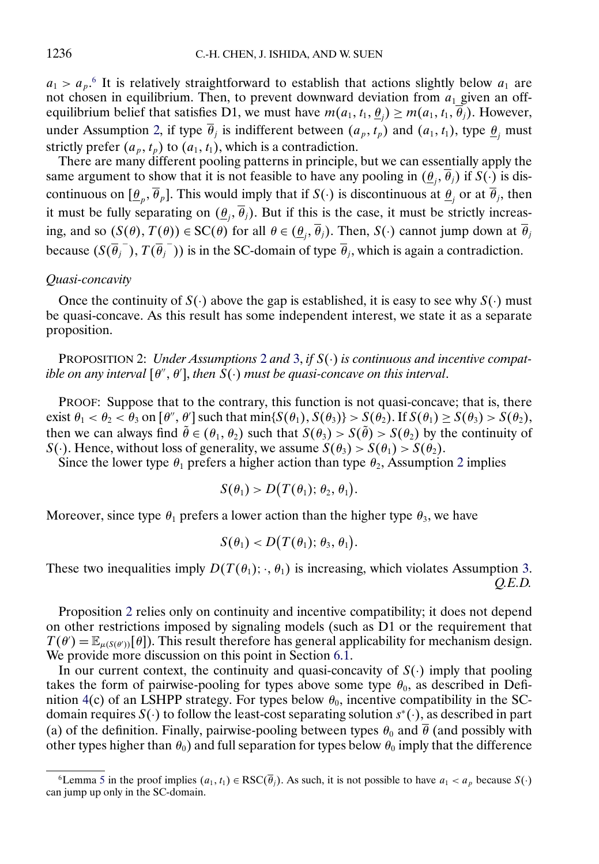<span id="page-11-0"></span> $a_1 > a_p$ <sup>6</sup> It is relatively straightforward to establish that actions slightly below  $a_1$  are not chosen in equilibrium. Then, to prevent downward deviation from  $a_1$  given an offequilibrium belief that satisfies D1, we must have  $m(a_1, t_1, \theta_i) \geq m(a_1, t_1, \theta_i)$ . However, under Assumption [2,](#page-3-0) if type  $\overline{\theta}_i$  is indifferent between  $(a_p, t_p)$  and  $(a_1, t_1)$ , type  $\underline{\theta}_i$  must strictly prefer  $(a_p, t_p)$  to  $(a_1, t_1)$ , which is a contradiction.

There are many different pooling patterns in principle, but we can essentially apply the same argument to show that it is not feasible to have any pooling in  $(\theta_i, \overline{\theta}_i)$  if  $S(\cdot)$  is discontinuous on  $[\theta_p, \overline{\theta}_p]$ . This would imply that if  $S(\cdot)$  is discontinuous at  $\theta_i$  or at  $\overline{\theta}_i$ , then it must be fully separating on  $(\theta_i, \overline{\theta}_i)$ . But if this is the case, it must be strictly increasing, and so  $(S(\theta), T(\theta)) \in SC(\theta)$  for all  $\theta \in (\theta_i, \overline{\theta}_i)$ . Then,  $S(\cdot)$  cannot jump down at  $\overline{\theta}_i$ because  $(S(\overline{\theta_j}^{-}), T(\overline{\theta_j}^{-}))$  is in the SC-domain of type  $\overline{\theta_j}$ , which is again a contradiction.

#### *Quasi-concavity*

Once the continuity of  $S(\cdot)$  above the gap is established, it is easy to see why  $S(\cdot)$  must be quasi-concave. As this result has some independent interest, we state it as a separate proposition.

PROPOSITION 2: *Under Assumptions* [2](#page-3-0) *and* [3,](#page-4-0) *if* S(·) *is continuous and incentive compat* $i$ *ble on any interval*  $[\theta'', \theta'],$  *then*  $S(\cdot)$  *must be quasi-concave on this interval.* 

PROOF: Suppose that to the contrary, this function is not quasi-concave; that is, there exist  $\theta_1 < \theta_2 < \theta_3$  on  $\left[\theta'', \theta'\right]$  such that  $\min\{S(\theta_1), S(\theta_3)\} > S(\theta_2)$ . If  $S(\theta_1) \geq S(\theta_3) > S(\theta_2)$ , then we can always find  $\theta \in (\theta_1, \theta_2)$  such that  $S(\theta_3) > S(\theta) > S(\theta_2)$  by the continuity of  $S(\cdot)$ . Hence, without loss of generality, we assume  $S(\theta_3) > S(\theta_1) > S(\theta_2)$ .

Since the lower type  $\theta_1$  prefers a higher action than type  $\theta_2$  $\theta_2$ , Assumption 2 implies

$$
S(\theta_1) > D\big( T(\theta_1); \, \theta_2, \, \theta_1 \big).
$$

Moreover, since type  $\theta_1$  prefers a lower action than the higher type  $\theta_3$ , we have

$$
S(\theta_1) < D\big(T(\theta_1); \theta_3, \theta_1\big).
$$

These two inequalities imply  $D(T(\theta_1); \cdot, \theta_1)$  is increasing, which violates Assumption [3.](#page-4-0) *Q.E.D.*

Proposition 2 relies only on continuity and incentive compatibility; it does not depend on other restrictions imposed by signaling models (such as D1 or the requirement that  $T(\theta) = \mathbb{E}_{\mu(S(\theta))}[\theta]$ . This result therefore has general applicability for mechanism design. We provide more discussion on this point in Section [6.1.](#page-16-0)

In our current context, the continuity and quasi-concavity of  $S(\cdot)$  imply that pooling takes the form of pairwise-pooling for types above some type  $\theta_0$ , as described in Defi-nition [4\(](#page-8-0)c) of an LSHPP strategy. For types below  $\theta_0$ , incentive compatibility in the SCdomain requires  $S(\cdot)$  to follow the least-cost separating solution  $s^*(\cdot)$ , as described in part (a) of the definition. Finally, pairwise-pooling between types  $\theta_0$  and  $\overline{\theta}$  (and possibly with other types higher than  $\theta_0$ ) and full separation for types below  $\theta_0$  imply that the difference

<sup>6</sup>Lemma [5](#page-25-0) in the proof implies  $(a_1, t_1) \in \text{RSC}(\overline{\theta}_j)$ . As such, it is not possible to have  $a_1 < a_p$  because  $S(\cdot)$ can jump up only in the SC-domain.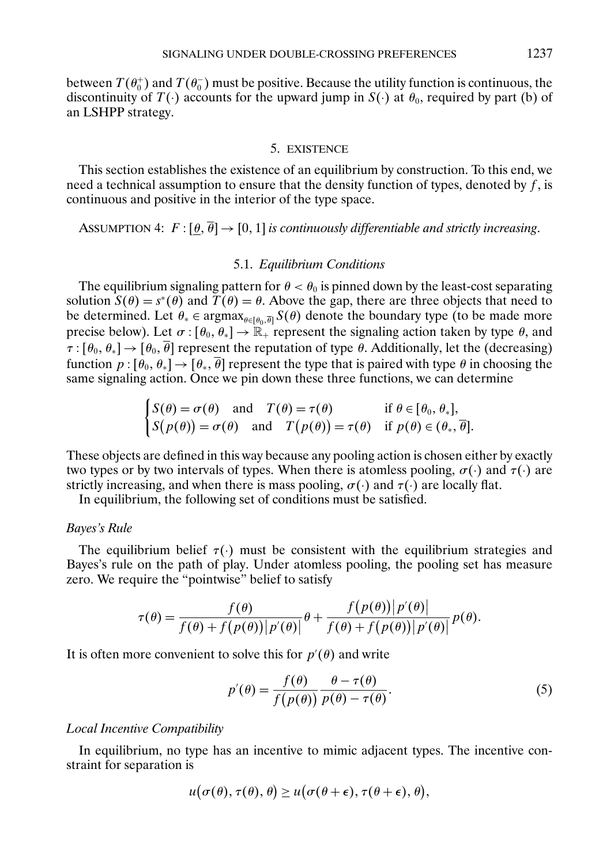<span id="page-12-0"></span>between  $T(\theta_0^+)$  and  $T(\theta_0^-)$  must be positive. Because the utility function is continuous, the discontinuity of  $T(\cdot)$  accounts for the upward jump in  $S(\cdot)$  at  $\theta_0$ , required by part (b) of an LSHPP strategy.

# 5. EXISTENCE

This section establishes the existence of an equilibrium by construction. To this end, we need a technical assumption to ensure that the density function of types, denoted by  $\hat{f}$ , is continuous and positive in the interior of the type space.

ASSUMPTION 4:  $F : [\theta, \overline{\theta}] \rightarrow [0, 1]$  *is continuously differentiable and strictly increasing.* 

### 5.1. *Equilibrium Conditions*

The equilibrium signaling pattern for  $\theta < \theta_0$  is pinned down by the least-cost separating solution  $S(\theta) = s^*(\theta)$  and  $\hat{T}(\theta) = \theta$ . Above the gap, there are three objects that need to be determined. Let  $\theta_* \in \text{argmax}_{\theta \in [\theta_0, \overline{\theta}]} S(\theta)$  denote the boundary type (to be made more precise below). Let  $\sigma : [\theta_0, \theta_*] \to \mathbb{R}_+$  represent the signaling action taken by type  $\theta$ , and  $\tau : [\theta_0, \theta_*] \to [\theta_0, \overline{\theta}]$  represent the reputation of type  $\overline{\theta}$ . Additionally, let the (decreasing) function  $p : [\theta_0, \theta_*] \to [\theta_*, \overline{\theta}]$  represent the type that is paired with type  $\theta$  in choosing the same signaling action. Once we pin down these three functions, we can determine

$$
\begin{cases} S(\theta) = \sigma(\theta) \quad \text{and} \quad T(\theta) = \tau(\theta) & \text{if } \theta \in [\theta_0, \theta_*], \\ S(p(\theta)) = \sigma(\theta) \quad \text{and} \quad T(p(\theta)) = \tau(\theta) & \text{if } p(\theta) \in (\theta_*], \overline{\theta}]. \end{cases}
$$

These objects are defined in this way because any pooling action is chosen either by exactly two types or by two intervals of types. When there is atomless pooling,  $\sigma(\cdot)$  and  $\tau(\cdot)$  are strictly increasing, and when there is mass pooling,  $\sigma(\cdot)$  and  $\tau(\cdot)$  are locally flat.

In equilibrium, the following set of conditions must be satisfied.

#### *Bayes's Rule*

The equilibrium belief  $\tau(\cdot)$  must be consistent with the equilibrium strategies and Bayes's rule on the path of play. Under atomless pooling, the pooling set has measure zero. We require the "pointwise" belief to satisfy

$$
\tau(\theta) = \frac{f(\theta)}{f(\theta) + f(p(\theta)) |p'(\theta)|} \theta + \frac{f(p(\theta)) |p'(\theta)|}{f(\theta) + f(p(\theta)) |p'(\theta)|} p(\theta).
$$

It is often more convenient to solve this for  $p'(\theta)$  and write

$$
p'(\theta) = \frac{f(\theta)}{f(p(\theta))} \frac{\theta - \tau(\theta)}{p(\theta) - \tau(\theta)}.
$$
 (5)

# *Local Incentive Compatibility*

In equilibrium, no type has an incentive to mimic adjacent types. The incentive constraint for separation is

$$
u(\sigma(\theta),\tau(\theta),\theta) \geq u(\sigma(\theta+\epsilon),\tau(\theta+\epsilon),\theta),
$$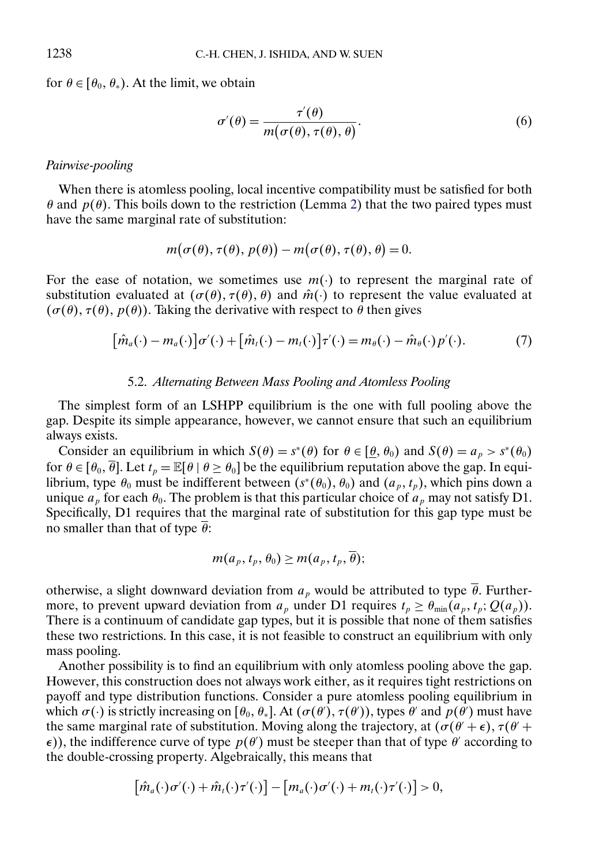for  $\theta \in [\theta_0, \theta_*)$ . At the limit, we obtain

$$
\sigma'(\theta) = \frac{\tau'(\theta)}{m(\sigma(\theta), \tau(\theta), \theta)}.
$$
\n(6)

# *Pairwise-pooling*

When there is atomless pooling, local incentive compatibility must be satisfied for both  $θ$  and  $p(θ)$ . This boils down to the restriction (Lemma [2\)](#page-10-0) that the two paired types must have the same marginal rate of substitution:

$$
m(\sigma(\theta), \tau(\theta), p(\theta)) - m(\sigma(\theta), \tau(\theta), \theta) = 0.
$$

For the ease of notation, we sometimes use  $m(\cdot)$  to represent the marginal rate of substitution evaluated at  $(\sigma(\theta), \tau(\theta), \theta)$  and  $\hat{m}(\cdot)$  to represent the value evaluated at  $(\sigma(\theta), \tau(\theta), p(\theta))$ . Taking the derivative with respect to  $\theta$  then gives

$$
[\hat{m}_a(\cdot) - m_a(\cdot)]\sigma'(\cdot) + [\hat{m}_t(\cdot) - m_t(\cdot)]\tau'(\cdot) = m_\theta(\cdot) - \hat{m}_\theta(\cdot)p'(\cdot). \tag{7}
$$

### 5.2. *Alternating Between Mass Pooling and Atomless Pooling*

The simplest form of an LSHPP equilibrium is the one with full pooling above the gap. Despite its simple appearance, however, we cannot ensure that such an equilibrium always exists.

Consider an equilibrium in which  $S(\theta) = s^*(\theta)$  for  $\theta \in [\theta, \theta_0)$  and  $S(\theta) = a_p > s^*(\theta_0)$ for  $\theta \in [\theta_0, \overline{\theta}]$ . Let  $t_p = \mathbb{E}[\theta \mid \theta \ge \theta_0]$  be the equilibrium reputation above the gap. In equilibrium, type  $\theta_0$  must be indifferent between  $(s^*(\theta_0), \theta_0)$  and  $(a_p, t_p)$ , which pins down a unique  $a_p$  for each  $\theta_0$ . The problem is that this particular choice of  $a_p$  may not satisfy D1. Specifically, D1 requires that the marginal rate of substitution for this gap type must be no smaller than that of type  $\overline{\theta}$ :

$$
m(a_p, t_p, \theta_0) \geq m(a_p, t_p, \theta);
$$

otherwise, a slight downward deviation from  $a<sub>p</sub>$  would be attributed to type  $\overline{\theta}$ . Furthermore, to prevent upward deviation from  $a_p$  under D1 requires  $t_p \geq \theta_{\min}(a_p, t_p; Q(a_p)).$ There is a continuum of candidate gap types, but it is possible that none of them satisfies these two restrictions. In this case, it is not feasible to construct an equilibrium with only mass pooling.

Another possibility is to find an equilibrium with only atomless pooling above the gap. However, this construction does not always work either, as it requires tight restrictions on payoff and type distribution functions. Consider a pure atomless pooling equilibrium in which  $\sigma(\cdot)$  is strictly increasing on  $[\theta_0, \theta_*]$ . At  $(\sigma(\theta'), \tau(\theta'))$ , types  $\theta'$  and  $p(\theta')$  must have the same marginal rate of substitution. Moving along the trajectory, at  $(\sigma(\theta' + \epsilon), \tau(\theta' + \epsilon))$  $\epsilon$ ), the indifference curve of type  $p(\theta)$  must be steeper than that of type  $\theta'$  according to the double-crossing property. Algebraically, this means that

$$
[\hat{m}_a(\cdot)\sigma'(\cdot)+\hat{m}_t(\cdot)\tau'(\cdot)] - [m_a(\cdot)\sigma'(\cdot)+m_t(\cdot)\tau'(\cdot)] > 0,
$$

<span id="page-13-0"></span>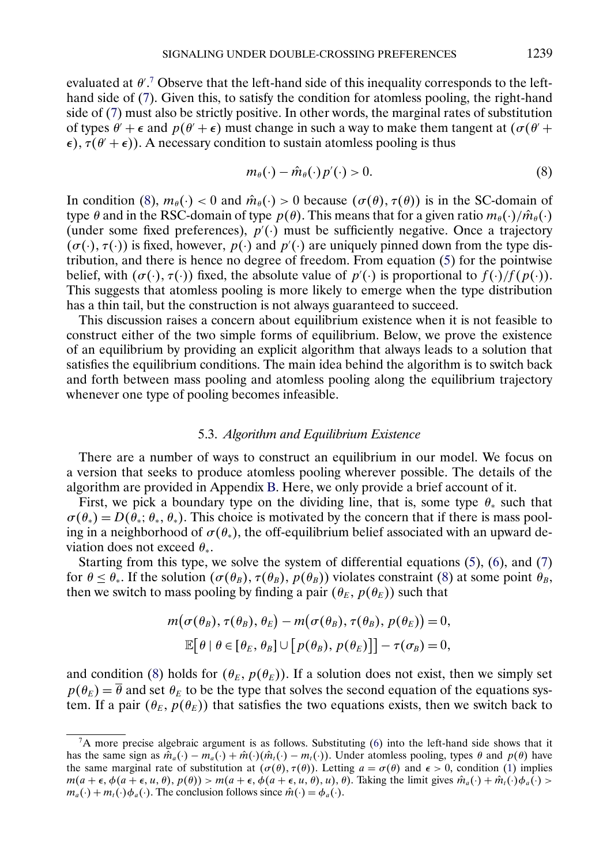<span id="page-14-0"></span>evaluated at  $\theta'$ . Observe that the left-hand side of this inequality corresponds to the lefthand side of [\(7\)](#page-13-0). Given this, to satisfy the condition for atomless pooling, the right-hand side of [\(7\)](#page-13-0) must also be strictly positive. In other words, the marginal rates of substitution of types  $\theta' + \epsilon$  and  $p(\theta' + \epsilon)$  must change in such a way to make them tangent at  $(\sigma(\theta' + \epsilon))$  $\epsilon$ ),  $\tau(\theta' + \epsilon)$ ). A necessary condition to sustain atomless pooling is thus

$$
m_{\theta}(\cdot) - \hat{m}_{\theta}(\cdot)p'(\cdot) > 0. \tag{8}
$$

In condition (8),  $m_{\theta}(\cdot) < 0$  and  $\hat{m}_{\theta}(\cdot) > 0$  because  $(\sigma(\theta), \tau(\theta))$  is in the SC-domain of type  $\theta$  and in the RSC-domain of type  $p(\theta)$ . This means that for a given ratio  $m_{\theta}(\cdot)/\hat{m}_{\theta}(\cdot)$ (under some fixed preferences),  $p'(\cdot)$  must be sufficiently negative. Once a trajectory  $(\sigma(\cdot), \tau(\cdot))$  is fixed, however,  $p(\cdot)$  and  $p'(\cdot)$  are uniquely pinned down from the type distribution, and there is hence no degree of freedom. From equation [\(5\)](#page-12-0) for the pointwise belief, with  $(\sigma(\cdot), \tau(\cdot))$  fixed, the absolute value of  $p'(\cdot)$  is proportional to  $f(\cdot)/f(p(\cdot))$ . This suggests that atomless pooling is more likely to emerge when the type distribution has a thin tail, but the construction is not always guaranteed to succeed.

This discussion raises a concern about equilibrium existence when it is not feasible to construct either of the two simple forms of equilibrium. Below, we prove the existence of an equilibrium by providing an explicit algorithm that always leads to a solution that satisfies the equilibrium conditions. The main idea behind the algorithm is to switch back and forth between mass pooling and atomless pooling along the equilibrium trajectory whenever one type of pooling becomes infeasible.

### 5.3. *Algorithm and Equilibrium Existence*

There are a number of ways to construct an equilibrium in our model. We focus on a version that seeks to produce atomless pooling wherever possible. The details of the algorithm are provided in Appendix [B.](#page-28-0) Here, we only provide a brief account of it.

First, we pick a boundary type on the dividing line, that is, some type  $\theta_*$  such that  $\sigma(\theta_*) = D(\theta_*; \theta_*, \theta_*).$  This choice is motivated by the concern that if there is mass pooling in a neighborhood of  $\sigma(\theta_*)$ , the off-equilibrium belief associated with an upward deviation does not exceed  $\theta_*$ .

Starting from this type, we solve the system of differential equations  $(5)$ ,  $(6)$ , and  $(7)$ for  $\theta \le \theta_*$ . If the solution  $(\sigma(\theta_B), \tau(\theta_B), p(\theta_B))$  violates constraint (8) at some point  $\theta_B$ , then we switch to mass pooling by finding a pair  $(\theta_E, p(\theta_E))$  such that

$$
m(\sigma(\theta_B), \tau(\theta_B), \theta_E) - m(\sigma(\theta_B), \tau(\theta_B), p(\theta_E)) = 0,
$$
  

$$
\mathbb{E}[\theta \mid \theta \in [\theta_E, \theta_B] \cup [p(\theta_B), p(\theta_E)]] - \tau(\sigma_B) = 0,
$$

and condition (8) holds for  $(\theta_E, p(\theta_E))$ . If a solution does not exist, then we simply set  $p(\theta_E) = \overline{\theta}$  and set  $\theta_E$  to be the type that solves the second equation of the equations system. If a pair  $(\theta_E, p(\theta_E))$  that satisfies the two equations exists, then we switch back to

 ${}^{7}A$  more precise algebraic argument is as follows. Substituting [\(6\)](#page-13-0) into the left-hand side shows that it has the same sign as  $\hat{m}_a(\cdot) - m_a(\cdot) + \hat{m}(\cdot)(\hat{m}_t(\cdot) - m_t(\cdot))$ . Under atomless pooling, types  $\theta$  and  $p(\theta)$  have the same marginal rate of substitution at  $(\sigma(\theta), \tau(\theta))$ . Letting  $a = \sigma(\theta)$  and  $\epsilon > 0$ , condition [\(1\)](#page-3-0) implies  $m(a + \epsilon, \phi(a + \epsilon, u, \theta), p(\theta)) > m(a + \epsilon, \phi(a + \epsilon, u, \theta), u), \theta)$ . Taking the limit gives  $\hat{m}_a(\cdot) + \hat{m}_t(\cdot)\phi_a(\cdot)$  $m_a(\cdot) + m_t(\cdot)\phi_a(\cdot)$ . The conclusion follows since  $\hat{m}(\cdot) = \phi_a(\cdot)$ .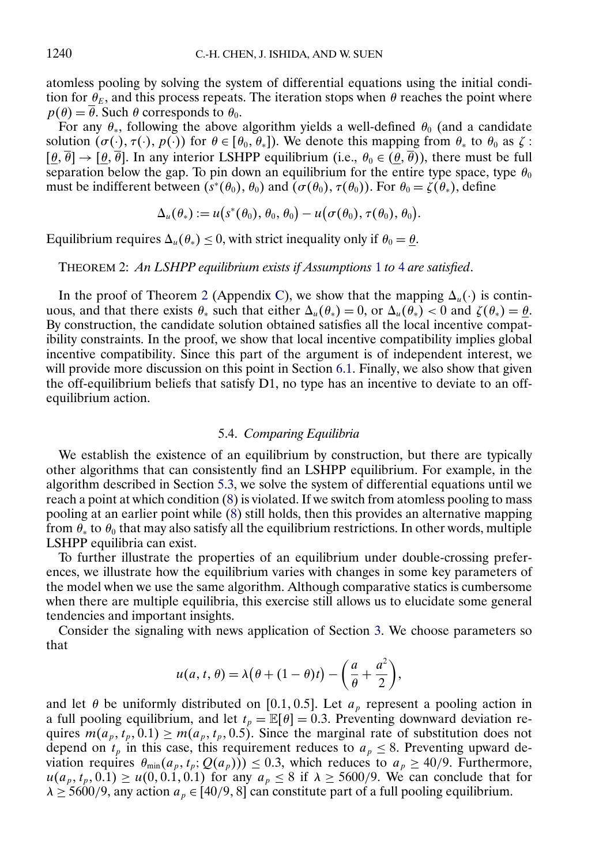<span id="page-15-0"></span>atomless pooling by solving the system of differential equations using the initial condition for  $\theta_E$ , and this process repeats. The iteration stops when  $\theta$  reaches the point where  $p(\theta) = \overline{\theta}$ . Such  $\theta$  corresponds to  $\theta_0$ .

For any  $\theta_*$ , following the above algorithm yields a well-defined  $\theta_0$  (and a candidate solution  $(\sigma(\cdot), \tau(\cdot), p(\cdot))$  for  $\theta \in [\theta_0, \theta_*]$ ). We denote this mapping from  $\theta_*$  to  $\theta_0$  as  $\zeta$ :  $[\theta, \overline{\theta}] \rightarrow [\theta, \overline{\theta}]$ . In any interior LSHPP equilibrium (i.e.,  $\theta_0 \in (\theta, \overline{\theta})$ ), there must be full separation below the gap. To pin down an equilibrium for the entire type space, type  $\theta_0$ must be indifferent between  $(s^*(\theta_0), \theta_0)$  and  $(\sigma(\theta_0), \tau(\theta_0))$ . For  $\theta_0 = \zeta(\theta_*),$  define

$$
\Delta_u(\theta_*) := u(s^*(\theta_0), \theta_0, \theta_0) - u(\sigma(\theta_0), \tau(\theta_0), \theta_0).
$$

Equilibrium requires  $\Delta_u(\theta_*) \leq 0$ , with strict inequality only if  $\theta_0 = \theta$ .

THEOREM 2: *An LSHPP equilibrium exists if Assumptions* [1](#page-2-0) *to* [4](#page-12-0) *are satisfied*.

In the proof of Theorem 2 (Appendix [C\)](#page-29-0), we show that the mapping  $\Delta_u(\cdot)$  is continuous, and that there exists  $\theta_*$  such that either  $\Delta_u(\theta_*) = 0$ , or  $\Delta_u(\theta_*) < 0$  and  $\zeta(\theta_*) = \theta$ . By construction, the candidate solution obtained satisfies all the local incentive compatibility constraints. In the proof, we show that local incentive compatibility implies global incentive compatibility. Since this part of the argument is of independent interest, we will provide more discussion on this point in Section [6.1.](#page-16-0) Finally, we also show that given the off-equilibrium beliefs that satisfy D1, no type has an incentive to deviate to an offequilibrium action.

### 5.4. *Comparing Equilibria*

We establish the existence of an equilibrium by construction, but there are typically other algorithms that can consistently find an LSHPP equilibrium. For example, in the algorithm described in Section [5.3,](#page-14-0) we solve the system of differential equations until we reach a point at which condition [\(8\)](#page-14-0) is violated. If we switch from atomless pooling to mass pooling at an earlier point while [\(8\)](#page-14-0) still holds, then this provides an alternative mapping from  $\theta_*$  to  $\theta_0$  that may also satisfy all the equilibrium restrictions. In other words, multiple LSHPP equilibria can exist.

To further illustrate the properties of an equilibrium under double-crossing preferences, we illustrate how the equilibrium varies with changes in some key parameters of the model when we use the same algorithm. Although comparative statics is cumbersome when there are multiple equilibria, this exercise still allows us to elucidate some general tendencies and important insights.

Consider the signaling with news application of Section [3.](#page-5-0) We choose parameters so that

$$
u(a, t, \theta) = \lambda(\theta + (1 - \theta)t) - \left(\frac{a}{\theta} + \frac{a^2}{2}\right),
$$

and let  $\theta$  be uniformly distributed on [0.1, 0.5]. Let  $a_n$  represent a pooling action in a full pooling equilibrium, and let  $t_p = \mathbb{E}[\theta] = 0.3$ . Preventing downward deviation requires  $m(a_p, t_p, 0.1) \geq m(a_p, t_p, 0.5)$ . Since the marginal rate of substitution does not depend on  $t_p$  in this case, this requirement reduces to  $a_p \leq 8$ . Preventing upward deviation requires  $\theta_{\min}(a_p, t_p; Q(a_p)) \leq 0.3$ , which reduces to  $a_p \geq 40/9$ . Furthermore,  $u(a_p, t_p, 0.1) \ge u(0, 0.1, 0.1)$  for any  $a_p \le 8$  if  $\lambda \ge 5600/9$ . We can conclude that for  $\lambda \ge 5600/9$ , any action  $a_p \in [40/9, 8]$  can constitute part of a full pooling equilibrium.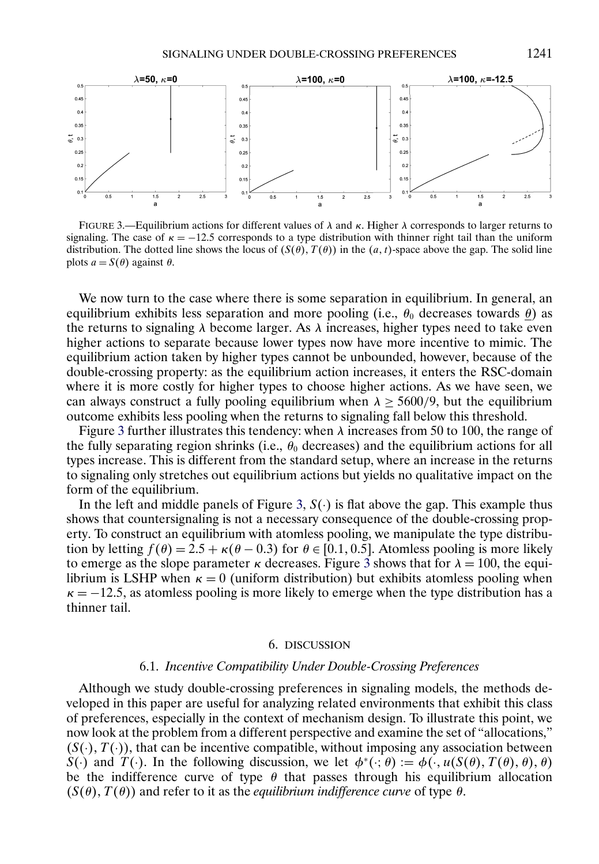<span id="page-16-0"></span>

FIGURE 3.—Equilibrium actions for different values of  $\lambda$  and  $\kappa$ . Higher  $\lambda$  corresponds to larger returns to signaling. The case of  $\kappa = -12.5$  corresponds to a type distribution with thinner right tail than the uniform distribution. The dotted line shows the locus of  $(S(\theta), T(\theta))$  in the  $(a, t)$ -space above the gap. The solid line plots  $a = S(\theta)$  against  $\theta$ .

We now turn to the case where there is some separation in equilibrium. In general, an equilibrium exhibits less separation and more pooling (i.e.,  $\theta_0$  decreases towards  $\theta$ ) as the returns to signaling  $\lambda$  become larger. As  $\lambda$  increases, higher types need to take even higher actions to separate because lower types now have more incentive to mimic. The equilibrium action taken by higher types cannot be unbounded, however, because of the double-crossing property: as the equilibrium action increases, it enters the RSC-domain where it is more costly for higher types to choose higher actions. As we have seen, we can always construct a fully pooling equilibrium when  $\lambda \geq 5600/9$ , but the equilibrium outcome exhibits less pooling when the returns to signaling fall below this threshold.

Figure 3 further illustrates this tendency: when  $\lambda$  increases from 50 to 100, the range of the fully separating region shrinks (i.e.,  $\theta_0$  decreases) and the equilibrium actions for all types increase. This is different from the standard setup, where an increase in the returns to signaling only stretches out equilibrium actions but yields no qualitative impact on the form of the equilibrium.

In the left and middle panels of Figure 3,  $S(.)$  is flat above the gap. This example thus shows that countersignaling is not a necessary consequence of the double-crossing property. To construct an equilibrium with atomless pooling, we manipulate the type distribution by letting  $f(\theta) = 2.5 + \kappa(\theta - 0.3)$  for  $\theta \in [0.1, 0.5]$ . Atomless pooling is more likely to emerge as the slope parameter  $\kappa$  decreases. Figure 3 shows that for  $\lambda = 100$ , the equilibrium is LSHP when  $\kappa = 0$  (uniform distribution) but exhibits atomless pooling when  $\kappa = -12.5$ , as atomless pooling is more likely to emerge when the type distribution has a thinner tail.

#### 6. DISCUSSION

### 6.1. *Incentive Compatibility Under Double-Crossing Preferences*

Although we study double-crossing preferences in signaling models, the methods developed in this paper are useful for analyzing related environments that exhibit this class of preferences, especially in the context of mechanism design. To illustrate this point, we now look at the problem from a different perspective and examine the set of "allocations,"  $(S(\cdot), T(\cdot))$ , that can be incentive compatible, without imposing any association between S(·) and  $T(\cdot)$ . In the following discussion, we let  $\phi^*(\cdot; \theta) := \phi(\cdot, u(S(\theta), T(\theta), \theta), \theta)$ be the indifference curve of type  $\theta$  that passes through his equilibrium allocation  $(S(\theta), T(\theta))$  and refer to it as the *equilibrium indifference curve* of type  $\theta$ .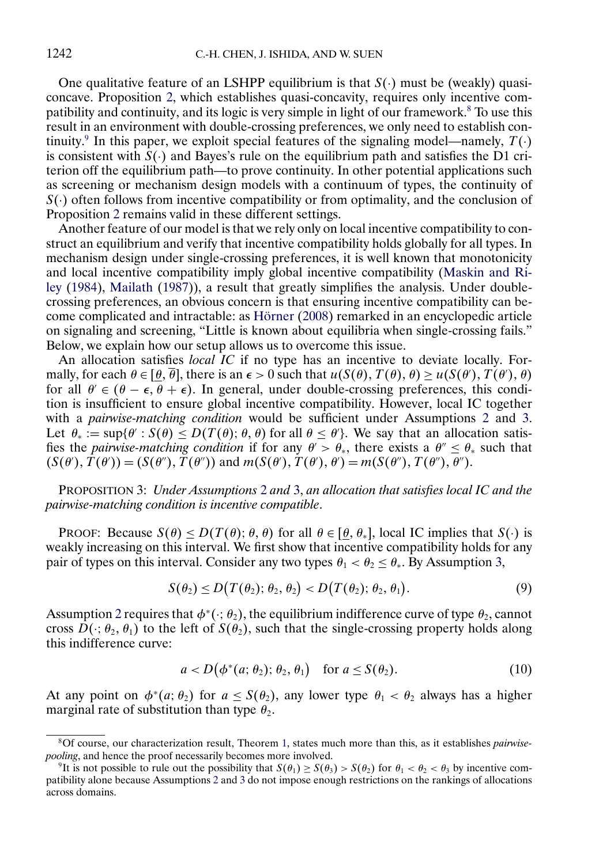<span id="page-17-0"></span>One qualitative feature of an LSHPP equilibrium is that  $S(\cdot)$  must be (weakly) quasiconcave. Proposition [2,](#page-11-0) which establishes quasi-concavity, requires only incentive compatibility and continuity, and its logic is very simple in light of our framework.8 To use this result in an environment with double-crossing preferences, we only need to establish continuity.<sup>9</sup> In this paper, we exploit special features of the signaling model—namely,  $T(\cdot)$ is consistent with  $\hat{S}(\cdot)$  and Bayes's rule on the equilibrium path and satisfies the D1 criterion off the equilibrium path—to prove continuity. In other potential applications such as screening or mechanism design models with a continuum of types, the continuity of  $S(.)$  often follows from incentive compatibility or from optimality, and the conclusion of Proposition [2](#page-11-0) remains valid in these different settings.

Another feature of our model is that we rely only on local incentive compatibility to construct an equilibrium and verify that incentive compatibility holds globally for all types. In mechanism design under single-crossing preferences, it is well known that monotonicity and local incentive compatibility imply global incentive compatibility [\(Maskin and Ri](#page-34-0)[ley](#page-34-0) [\(1984\)](#page-34-0), [Mailath](#page-34-0) [\(1987\)](#page-34-0)), a result that greatly simplifies the analysis. Under doublecrossing preferences, an obvious concern is that ensuring incentive compatibility can become complicated and intractable: as [Hörner](#page-34-0) [\(2008\)](#page-34-0) remarked in an encyclopedic article on signaling and screening, "Little is known about equilibria when single-crossing fails." Below, we explain how our setup allows us to overcome this issue.

An allocation satisfies *local IC* if no type has an incentive to deviate locally. Formally, for each  $\theta \in [\theta, \theta]$ , there is an  $\epsilon > 0$  such that  $u(S(\theta), T(\theta), \theta) \ge u(S(\theta), T(\theta), \theta)$ for all  $\theta \in (\theta - \epsilon, \theta + \epsilon)$ . In general, under double-crossing preferences, this condition is insufficient to ensure global incentive compatibility. However, local IC together with a *pairwise-matching condition* would be sufficient under Assumptions [2](#page-3-0) and [3.](#page-4-0) Let  $\theta_* := \sup{\{\theta : S(\theta) \le D(T(\theta); \theta, \theta)\}}$  for all  $\theta \le \theta'$ . We say that an allocation satisfies the *pairwise-matching condition* if for any  $\theta > \theta_*$ , there exists a  $\theta'' \le \theta_*$  such that  $(S(\theta'), T(\theta')) = (S(\theta''), T(\theta''))$  and  $m(S(\theta'), T(\theta'), \theta') = m(S(\theta''), T(\theta''), \theta'').$ 

PROPOSITION 3: *Under Assumptions* [2](#page-3-0) *and* [3,](#page-4-0) *an allocation that satisfies local IC and the pairwise-matching condition is incentive compatible*.

PROOF: Because  $S(\theta) \le D(T(\theta); \theta, \theta)$  for all  $\theta \in [\theta, \theta_*]$ , local IC implies that  $S(\cdot)$  is weakly increasing on this interval. We first show that incentive compatibility holds for any pair of types on this interval. Consider any two types  $\theta_1 < \theta_2 \le \theta_*$ . By Assumption [3,](#page-4-0)

$$
S(\theta_2) \le D\big(T(\theta_2); \theta_2, \theta_2\big) < D\big(T(\theta_2); \theta_2, \theta_1\big). \tag{9}
$$

Assumption [2](#page-3-0) requires that  $\phi^*(\cdot; \theta_2)$ , the equilibrium indifference curve of type  $\theta_2$ , cannot cross  $\hat{D}(\cdot;\theta_2,\theta_1)$  to the left of  $S(\theta_2)$ , such that the single-crossing property holds along this indifference curve:

$$
a < D(\phi^*(a; \theta_2); \theta_2, \theta_1) \quad \text{for } a \le S(\theta_2). \tag{10}
$$

At any point on  $\phi^*(a; \theta_2)$  for  $a \leq S(\theta_2)$ , any lower type  $\theta_1 < \theta_2$  always has a higher marginal rate of substitution than type  $\theta_2$ .

<sup>8</sup>Of course, our characterization result, Theorem [1,](#page-9-0) states much more than this, as it establishes *pairwisepooling*, and hence the proof necessarily becomes more involved.

<sup>&</sup>lt;sup>9</sup>It is not possible to rule out the possibility that  $S(\theta_1) > S(\theta_3) > S(\theta_2)$  for  $\theta_1 < \theta_2 < \theta_3$  by incentive compatibility alone because Assumptions [2](#page-3-0) and [3](#page-4-0) do not impose enough restrictions on the rankings of allocations across domains.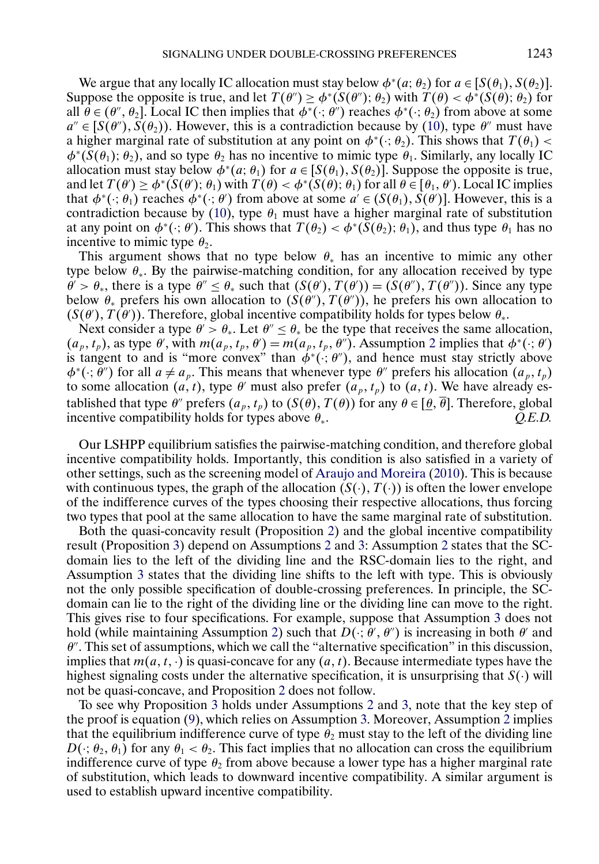<span id="page-18-0"></span>We argue that any locally IC allocation must stay below  $\phi^*(a; \theta_2)$  for  $a \in [S(\theta_1), S(\theta_2)]$ . Suppose the opposite is true, and let  $T(\theta') \ge \phi^*(S(\theta'))$ ;  $\theta_2$ ) with  $T(\theta) < \phi^*(S(\theta))$ ;  $\theta_2$ ) for all  $\theta \in (\theta'', \theta_2]$ . Local IC then implies that  $\phi^*(\cdot; \theta'')$  reaches  $\phi^*(\cdot; \theta_2)$  from above at some  $a'' \in [S(\theta''), S(\theta_2))$ . However, this is a contradiction because by [\(10\)](#page-17-0), type  $\theta''$  must have a higher marginal rate of substitution at any point on  $\phi^*(\cdot; \theta_2)$ . This shows that  $T(\theta_1)$  <  $\phi^*(S(\theta_1); \theta_2)$ , and so type  $\theta_2$  has no incentive to mimic type  $\theta_1$ . Similarly, any locally IC allocation must stay below  $\phi^*(a; \theta_1)$  for  $a \in [S(\theta_1), S(\theta_2)]$ . Suppose the opposite is true, and let  $T(\theta') \ge \phi^*(S(\theta'); \theta_1)$  with  $T(\theta) < \phi^*(S(\theta); \theta_1)$  for all  $\theta \in [\theta_1, \theta')$ . Local IC implies that  $\phi^*(\cdot;\theta_1)$  reaches  $\phi^*(\cdot;\theta')$  from above at some  $a' \in (S(\theta_1), S(\theta'))$ . However, this is a contradiction because by [\(10\)](#page-17-0), type  $\theta_1$  must have a higher marginal rate of substitution at any point on  $\phi^*(\cdot;\theta')$ . This shows that  $T(\theta_2) < \phi^*(S(\theta_2);\theta_1)$ , and thus type  $\theta_1$  has no incentive to mimic type  $\theta_2$ .

This argument shows that no type below  $\theta_*$  has an incentive to mimic any other type below  $\theta_*$ . By the pairwise-matching condition, for any allocation received by type  $\theta' > \theta_*$ , there is a type  $\theta'' \leq \theta_*$  such that  $(S(\theta'), T(\theta')) = (S(\theta''), T(\theta''))$ . Since any type below  $\theta_*$  prefers his own allocation to  $(S(\theta''), T(\theta''))$ , he prefers his own allocation to  $(S(\theta), T(\theta))$ . Therefore, global incentive compatibility holds for types below  $\theta_*$ .

Next consider a type  $\theta' > \theta_*$ . Let  $\theta'' \leq \theta_*$  be the type that receives the same allocation,  $(a_p, t_p)$ , as type  $\theta'$ , with  $m(a_p, t_p, \theta') = m(a_p, t_p, \theta'')$ . Assumption [2](#page-3-0) implies that  $\phi^*(\cdot; \theta')$ is tangent to and is "more convex" than  $\phi^*(\cdot; \theta'')$ , and hence must stay strictly above  $\phi^*(\cdot; \theta'')$  for all  $a \neq a_p$ . This means that whenever type  $\theta''$  prefers his allocation  $(a_p, t_p)$ to some allocation  $(a, t)$ , type  $\theta'$  must also prefer  $(a_p, t_p)$  to  $(a, t)$ . We have already established that type  $\theta''$  prefers  $(a_p, t_p)$  to  $(S(\theta), T(\theta))$  for any  $\theta \in [\underline{\theta}, \overline{\theta}]$ . Therefore, global incentive compatibility holds for types above  $\theta_{\cdot}$ .  $O.E.D.$ incentive compatibility holds for types above  $\theta_*$ .

Our LSHPP equilibrium satisfies the pairwise-matching condition, and therefore global incentive compatibility holds. Importantly, this condition is also satisfied in a variety of other settings, such as the screening model of [Araujo and Moreira](#page-34-0) [\(2010\)](#page-34-0). This is because with continuous types, the graph of the allocation  $(S(\cdot), T(\cdot))$  is often the lower envelope of the indifference curves of the types choosing their respective allocations, thus forcing two types that pool at the same allocation to have the same marginal rate of substitution.

Both the quasi-concavity result (Proposition [2\)](#page-11-0) and the global incentive compatibility result (Proposition [3\)](#page-17-0) depend on Assumptions [2](#page-3-0) and [3:](#page-4-0) Assumption [2](#page-3-0) states that the SCdomain lies to the left of the dividing line and the RSC-domain lies to the right, and Assumption [3](#page-4-0) states that the dividing line shifts to the left with type. This is obviously not the only possible specification of double-crossing preferences. In principle, the SCdomain can lie to the right of the dividing line or the dividing line can move to the right. This gives rise to four specifications. For example, suppose that Assumption [3](#page-4-0) does not hold (while maintaining Assumption [2\)](#page-3-0) such that  $D(\cdot; \theta', \theta'')$  is increasing in both  $\theta'$  and  $\theta$ . This set of assumptions, which we call the "alternative specification" in this discussion, implies that  $m(a, t, \cdot)$  is quasi-concave for any  $(a, t)$ . Because intermediate types have the highest signaling costs under the alternative specification, it is unsurprising that  $S(\cdot)$  will not be quasi-concave, and Proposition [2](#page-11-0) does not follow.

To see why Proposition [3](#page-17-0) holds under Assumptions [2](#page-3-0) and [3,](#page-4-0) note that the key step of the proof is equation [\(9\)](#page-17-0), which relies on Assumption [3.](#page-4-0) Moreover, Assumption [2](#page-3-0) implies that the equilibrium indifference curve of type  $\theta_2$  must stay to the left of the dividing line  $D(\cdot; \theta_2, \theta_1)$  for any  $\theta_1 < \theta_2$ . This fact implies that no allocation can cross the equilibrium indifference curve of type  $\theta_2$  from above because a lower type has a higher marginal rate of substitution, which leads to downward incentive compatibility. A similar argument is used to establish upward incentive compatibility.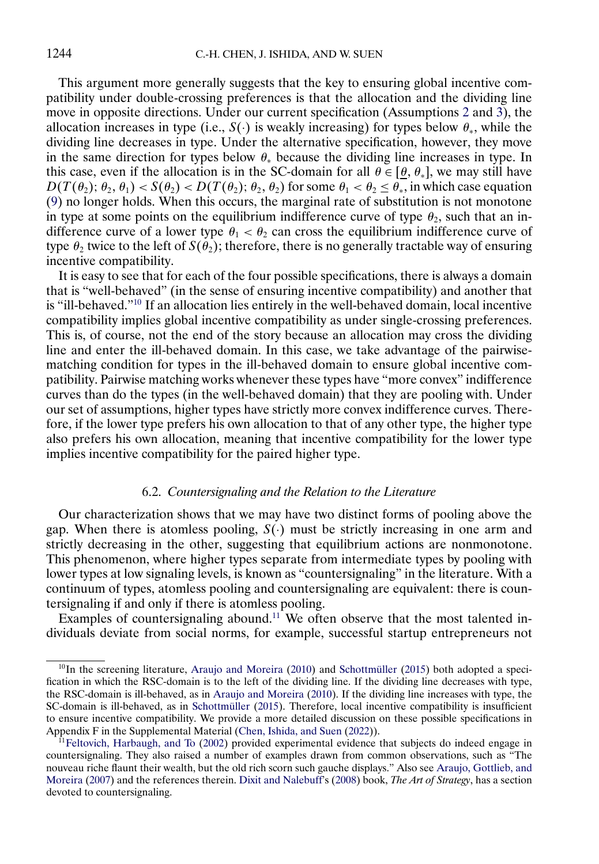<span id="page-19-0"></span>This argument more generally suggests that the key to ensuring global incentive compatibility under double-crossing preferences is that the allocation and the dividing line move in opposite directions. Under our current specification (Assumptions [2](#page-3-0) and [3\)](#page-4-0), the allocation increases in type (i.e.,  $S(\cdot)$  is weakly increasing) for types below  $\theta_*$ , while the dividing line decreases in type. Under the alternative specification, however, they move in the same direction for types below  $\theta_*$  because the dividing line increases in type. In this case, even if the allocation is in the SC-domain for all  $\theta \in [\theta, \theta_*]$ , we may still have  $D(T(\theta_2); \theta_2, \theta_1) < S(\theta_2) < D(T(\theta_2); \theta_2, \theta_2)$  for some  $\theta_1 < \theta_2 \leq \theta_*$ , in which case equation [\(9\)](#page-17-0) no longer holds. When this occurs, the marginal rate of substitution is not monotone in type at some points on the equilibrium indifference curve of type  $\theta_2$ , such that an indifference curve of a lower type  $\theta_1 < \theta_2$  can cross the equilibrium indifference curve of type  $\theta_2$  twice to the left of  $S(\theta_2)$ ; therefore, there is no generally tractable way of ensuring incentive compatibility.

It is easy to see that for each of the four possible specifications, there is always a domain that is "well-behaved" (in the sense of ensuring incentive compatibility) and another that is "ill-behaved."10 If an allocation lies entirely in the well-behaved domain, local incentive compatibility implies global incentive compatibility as under single-crossing preferences. This is, of course, not the end of the story because an allocation may cross the dividing line and enter the ill-behaved domain. In this case, we take advantage of the pairwisematching condition for types in the ill-behaved domain to ensure global incentive compatibility. Pairwise matching works whenever these types have "more convex" indifference curves than do the types (in the well-behaved domain) that they are pooling with. Under our set of assumptions, higher types have strictly more convex indifference curves. Therefore, if the lower type prefers his own allocation to that of any other type, the higher type also prefers his own allocation, meaning that incentive compatibility for the lower type implies incentive compatibility for the paired higher type.

### 6.2. *Countersignaling and the Relation to the Literature*

Our characterization shows that we may have two distinct forms of pooling above the gap. When there is atomless pooling,  $S(\cdot)$  must be strictly increasing in one arm and strictly decreasing in the other, suggesting that equilibrium actions are nonmonotone. This phenomenon, where higher types separate from intermediate types by pooling with lower types at low signaling levels, is known as "countersignaling" in the literature. With a continuum of types, atomless pooling and countersignaling are equivalent: there is countersignaling if and only if there is atomless pooling.

Examples of countersignaling abound.<sup>11</sup> We often observe that the most talented individuals deviate from social norms, for example, successful startup entrepreneurs not

 $10$ In the screening literature, [Araujo and Moreira](#page-34-0) [\(2010\)](#page-34-0) and [Schottmüller](#page-35-0) [\(2015\)](#page-35-0) both adopted a specification in which the RSC-domain is to the left of the dividing line. If the dividing line decreases with type, the RSC-domain is ill-behaved, as in [Araujo and Moreira](#page-34-0) [\(2010\)](#page-34-0). If the dividing line increases with type, the SC-domain is ill-behaved, as in [Schottmüller](#page-35-0) [\(2015\)](#page-35-0). Therefore, local incentive compatibility is insufficient to ensure incentive compatibility. We provide a more detailed discussion on these possible specifications in Appendix F in the Supplemental Material [\(Chen, Ishida, and Suen](#page-34-0) [\(2022\)](#page-34-0)).

 $11$ Feltovich, Harbaugh, and To [\(2002\)](#page-34-0) provided experimental evidence that subjects do indeed engage in countersignaling. They also raised a number of examples drawn from common observations, such as "The nouveau riche flaunt their wealth, but the old rich scorn such gauche displays." Also see [Araujo, Gottlieb, and](#page-34-0) [Moreira](#page-34-0) [\(2007\)](#page-34-0) and the references therein. [Dixit and Nalebuff'](#page-34-0)s [\(2008\)](#page-34-0) book, *The Art of Strategy*, has a section devoted to countersignaling.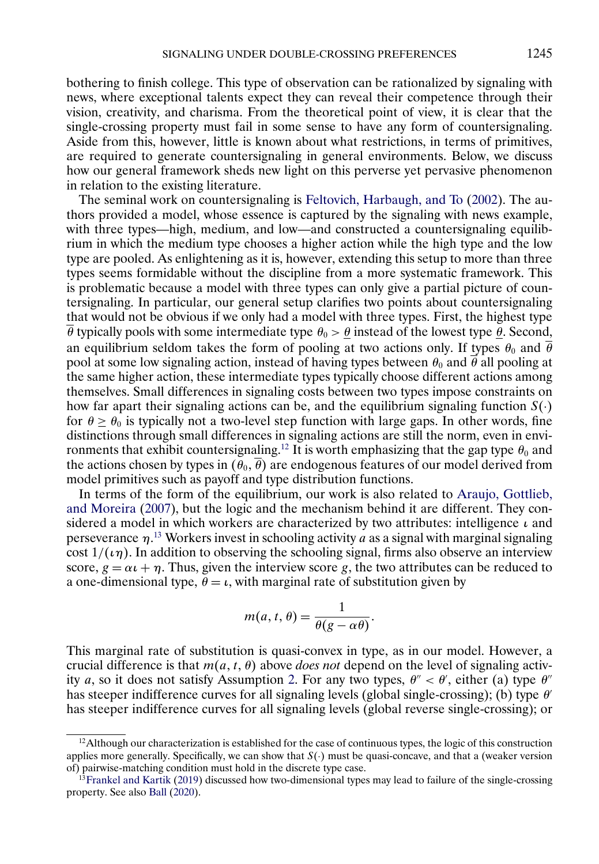<span id="page-20-0"></span>bothering to finish college. This type of observation can be rationalized by signaling with news, where exceptional talents expect they can reveal their competence through their vision, creativity, and charisma. From the theoretical point of view, it is clear that the single-crossing property must fail in some sense to have any form of countersignaling. Aside from this, however, little is known about what restrictions, in terms of primitives, are required to generate countersignaling in general environments. Below, we discuss how our general framework sheds new light on this perverse yet pervasive phenomenon in relation to the existing literature.

The seminal work on countersignaling is [Feltovich, Harbaugh, and To](#page-34-0) [\(2002\)](#page-34-0). The authors provided a model, whose essence is captured by the signaling with news example, with three types—high, medium, and low—and constructed a countersignaling equilibrium in which the medium type chooses a higher action while the high type and the low type are pooled. As enlightening as it is, however, extending this setup to more than three types seems formidable without the discipline from a more systematic framework. This is problematic because a model with three types can only give a partial picture of countersignaling. In particular, our general setup clarifies two points about countersignaling that would not be obvious if we only had a model with three types. First, the highest type  $\overline{\theta}$  typically pools with some intermediate type  $\theta_0 > \theta$  instead of the lowest type  $\theta$ . Second, an equilibrium seldom takes the form of pooling at two actions only. If types  $\theta_0$  and  $\overline{\theta}$ pool at some low signaling action, instead of having types between  $\theta_0$  and  $\vec{\theta}$  all pooling at the same higher action, these intermediate types typically choose different actions among themselves. Small differences in signaling costs between two types impose constraints on how far apart their signaling actions can be, and the equilibrium signaling function  $S(\cdot)$ for  $\theta \ge \theta_0$  is typically not a two-level step function with large gaps. In other words, fine distinctions through small differences in signaling actions are still the norm, even in environments that exhibit countersignaling.<sup>12</sup> It is worth emphasizing that the gap type  $\theta_0$  and the actions chosen by types in  $(\theta_0, \overline{\theta})$  are endogenous features of our model derived from model primitives such as payoff and type distribution functions.

In terms of the form of the equilibrium, our work is also related to [Araujo, Gottlieb,](#page-34-0) [and Moreira](#page-34-0) [\(2007\)](#page-34-0), but the logic and the mechanism behind it are different. They considered a model in which workers are characterized by two attributes: intelligence  $\iota$  and perseverance  $\eta$ <sup>13</sup> Workers invest in schooling activity *a* as a signal with marginal signaling cost  $1/(\iota \eta)$ . In addition to observing the schooling signal, firms also observe an interview score,  $g = \alpha t + \eta$ . Thus, given the interview score g, the two attributes can be reduced to a one-dimensional type,  $\theta = \iota$ , with marginal rate of substitution given by

$$
m(a, t, \theta) = \frac{1}{\theta(g - \alpha \theta)}.
$$

This marginal rate of substitution is quasi-convex in type, as in our model. However, a crucial difference is that  $m(a, t, \theta)$  above *does not* depend on the level of signaling activ-ity a, so it does not satisfy Assumption [2.](#page-3-0) For any two types,  $\theta'' < \theta'$ , either (a) type  $\theta''$ has steeper indifference curves for all signaling levels (global single-crossing); (b) type  $\theta'$ has steeper indifference curves for all signaling levels (global reverse single-crossing); or

 $12$ Although our characterization is established for the case of continuous types, the logic of this construction applies more generally. Specifically, we can show that  $S(\cdot)$  must be quasi-concave, and that a (weaker version of) pairwise-matching condition must hold in the discrete type case.

 $13$ Frankel and Kartik [\(2019\)](#page-34-0) discussed how two-dimensional types may lead to failure of the single-crossing property. See also [Ball](#page-34-0) [\(2020\)](#page-34-0).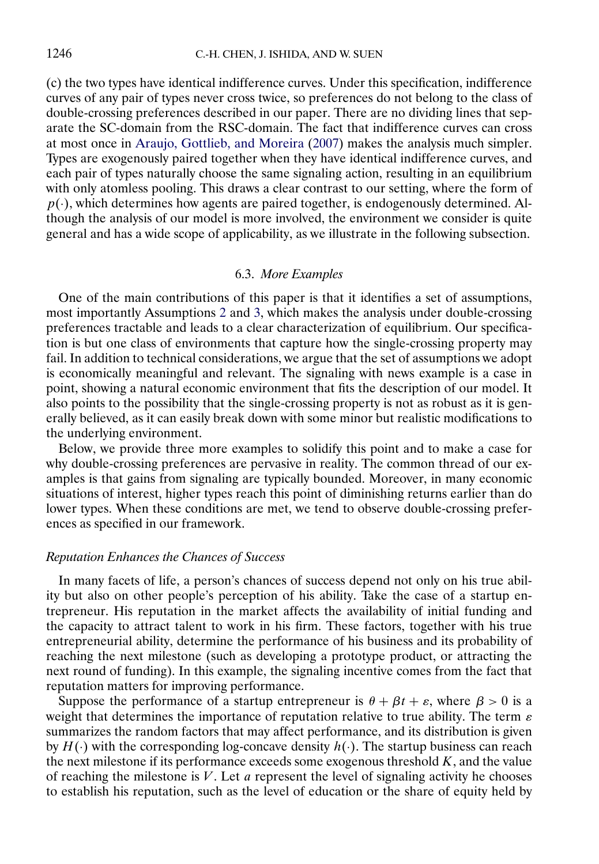<span id="page-21-0"></span>(c) the two types have identical indifference curves. Under this specification, indifference curves of any pair of types never cross twice, so preferences do not belong to the class of double-crossing preferences described in our paper. There are no dividing lines that separate the SC-domain from the RSC-domain. The fact that indifference curves can cross at most once in [Araujo, Gottlieb, and Moreira](#page-34-0) [\(2007\)](#page-34-0) makes the analysis much simpler. Types are exogenously paired together when they have identical indifference curves, and each pair of types naturally choose the same signaling action, resulting in an equilibrium with only atomless pooling. This draws a clear contrast to our setting, where the form of  $p(\cdot)$ , which determines how agents are paired together, is endogenously determined. Although the analysis of our model is more involved, the environment we consider is quite general and has a wide scope of applicability, as we illustrate in the following subsection.

# 6.3. *More Examples*

One of the main contributions of this paper is that it identifies a set of assumptions, most importantly Assumptions [2](#page-3-0) and [3,](#page-4-0) which makes the analysis under double-crossing preferences tractable and leads to a clear characterization of equilibrium. Our specification is but one class of environments that capture how the single-crossing property may fail. In addition to technical considerations, we argue that the set of assumptions we adopt is economically meaningful and relevant. The signaling with news example is a case in point, showing a natural economic environment that fits the description of our model. It also points to the possibility that the single-crossing property is not as robust as it is generally believed, as it can easily break down with some minor but realistic modifications to the underlying environment.

Below, we provide three more examples to solidify this point and to make a case for why double-crossing preferences are pervasive in reality. The common thread of our examples is that gains from signaling are typically bounded. Moreover, in many economic situations of interest, higher types reach this point of diminishing returns earlier than do lower types. When these conditions are met, we tend to observe double-crossing preferences as specified in our framework.

# *Reputation Enhances the Chances of Success*

In many facets of life, a person's chances of success depend not only on his true ability but also on other people's perception of his ability. Take the case of a startup entrepreneur. His reputation in the market affects the availability of initial funding and the capacity to attract talent to work in his firm. These factors, together with his true entrepreneurial ability, determine the performance of his business and its probability of reaching the next milestone (such as developing a prototype product, or attracting the next round of funding). In this example, the signaling incentive comes from the fact that reputation matters for improving performance.

Suppose the performance of a startup entrepreneur is  $\theta + \beta t + \varepsilon$ , where  $\beta > 0$  is a weight that determines the importance of reputation relative to true ability. The term  $\varepsilon$ summarizes the random factors that may affect performance, and its distribution is given by  $H(\cdot)$  with the corresponding log-concave density  $h(\cdot)$ . The startup business can reach the next milestone if its performance exceeds some exogenous threshold  $K$ , and the value of reaching the milestone is  $V$ . Let  $a$  represent the level of signaling activity he chooses to establish his reputation, such as the level of education or the share of equity held by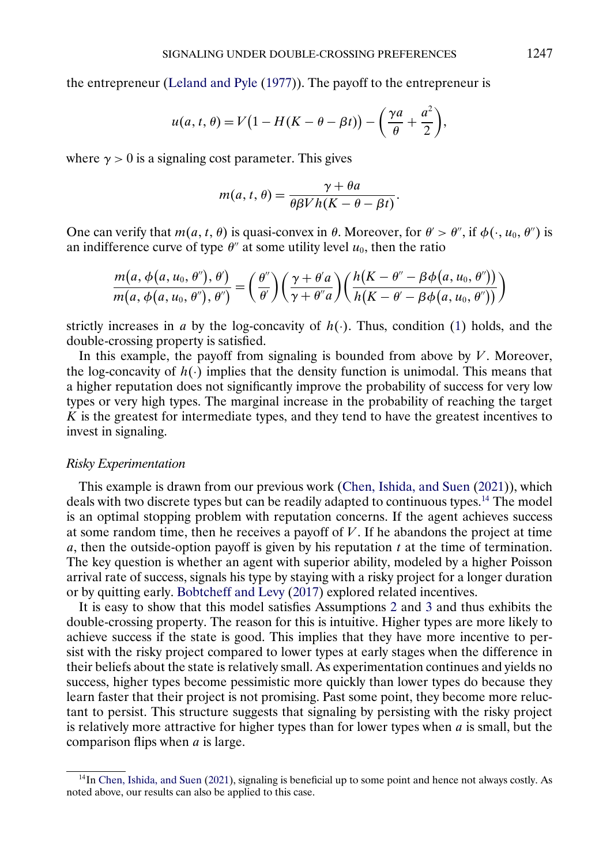<span id="page-22-0"></span>the entrepreneur [\(Leland and Pyle](#page-34-0) [\(1977\)](#page-34-0)). The payoff to the entrepreneur is

$$
u(a, t, \theta) = V\big(1 - H(K - \theta - \beta t)\big) - \bigg(\frac{\gamma a}{\theta} + \frac{a^2}{2}\bigg),
$$

where  $\gamma > 0$  is a signaling cost parameter. This gives

$$
m(a, t, \theta) = \frac{\gamma + \theta a}{\theta \beta V h(K - \theta - \beta t)}.
$$

One can verify that  $m(a, t, \theta)$  is quasi-convex in  $\theta$ . Moreover, for  $\theta' > \theta''$ , if  $\phi(\cdot, u_0, \theta'')$  is an indifference curve of type  $\theta''$  at some utility level  $u_0$ , then the ratio

$$
\frac{m(a,\phi(a,u_0,\theta''),\theta')}{m(a,\phi(a,u_0,\theta''),\theta'')}=\left(\frac{\theta''}{\theta'}\right)\left(\frac{\gamma+\theta'a}{\gamma+\theta''a}\right)\left(\frac{h(K-\theta''-\beta\phi(a,u_0,\theta''))}{h(K-\theta'-\beta\phi(a,u_0,\theta''))}\right)
$$

strictly increases in a by the log-concavity of  $h(\cdot)$ . Thus, condition [\(1\)](#page-3-0) holds, and the double-crossing property is satisfied.

In this example, the payoff from signaling is bounded from above by  $V$ . Moreover, the log-concavity of  $h(.)$  implies that the density function is unimodal. This means that a higher reputation does not significantly improve the probability of success for very low types or very high types. The marginal increase in the probability of reaching the target  $\overline{K}$  is the greatest for intermediate types, and they tend to have the greatest incentives to invest in signaling.

### *Risky Experimentation*

This example is drawn from our previous work [\(Chen, Ishida, and Suen](#page-34-0) [\(2021\)](#page-34-0)), which deals with two discrete types but can be readily adapted to continuous types.14 The model is an optimal stopping problem with reputation concerns. If the agent achieves success at some random time, then he receives a payoff of  $V$ . If he abandons the project at time a, then the outside-option payoff is given by his reputation  $t$  at the time of termination. The key question is whether an agent with superior ability, modeled by a higher Poisson arrival rate of success, signals his type by staying with a risky project for a longer duration or by quitting early. [Bobtcheff and Levy](#page-34-0) [\(2017\)](#page-34-0) explored related incentives.

It is easy to show that this model satisfies Assumptions [2](#page-3-0) and [3](#page-4-0) and thus exhibits the double-crossing property. The reason for this is intuitive. Higher types are more likely to achieve success if the state is good. This implies that they have more incentive to persist with the risky project compared to lower types at early stages when the difference in their beliefs about the state is relatively small. As experimentation continues and yields no success, higher types become pessimistic more quickly than lower types do because they learn faster that their project is not promising. Past some point, they become more reluctant to persist. This structure suggests that signaling by persisting with the risky project is relatively more attractive for higher types than for lower types when  $a$  is small, but the comparison flips when a is large.

<sup>14</sup>In [Chen, Ishida, and Suen](#page-34-0) [\(2021\)](#page-34-0), signaling is beneficial up to some point and hence not always costly. As noted above, our results can also be applied to this case.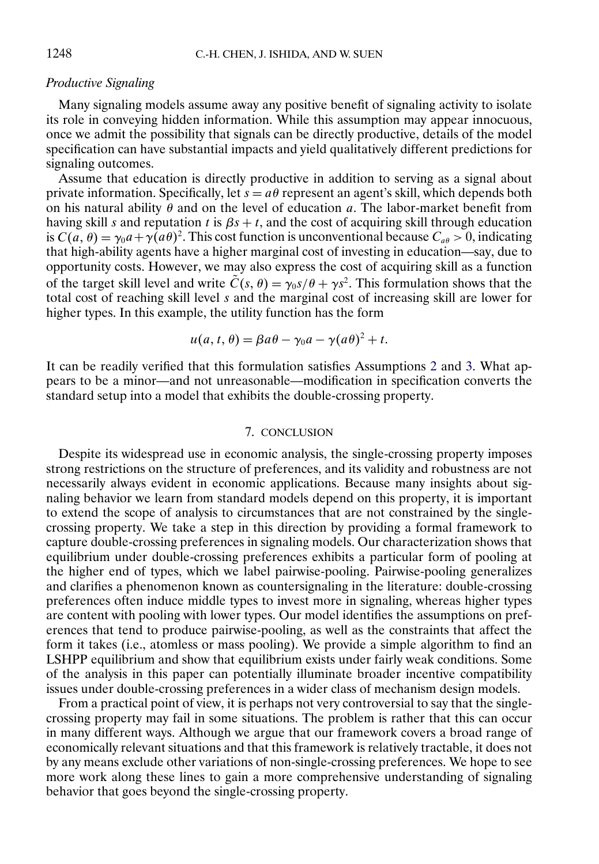### *Productive Signaling*

Many signaling models assume away any positive benefit of signaling activity to isolate its role in conveying hidden information. While this assumption may appear innocuous, once we admit the possibility that signals can be directly productive, details of the model specification can have substantial impacts and yield qualitatively different predictions for signaling outcomes.

Assume that education is directly productive in addition to serving as a signal about private information. Specifically, let  $s = a\theta$  represent an agent's skill, which depends both on his natural ability  $\theta$  and on the level of education a. The labor-market benefit from having skill s and reputation t is  $\beta s + t$ , and the cost of acquiring skill through education is  $C(a, \theta) = \gamma_0 a + \gamma(a\theta)^2$ . This cost function is unconventional because  $C_{a\theta} > 0$ , indicating that high-ability agents have a higher marginal cost of investing in education—say, due to opportunity costs. However, we may also express the cost of acquiring skill as a function of the target skill level and write  $\tilde{C}(s, \theta) = \gamma_0 s/\theta + \gamma s^2$ . This formulation shows that the total cost of reaching skill level  $s$  and the marginal cost of increasing skill are lower for higher types. In this example, the utility function has the form

$$
u(a, t, \theta) = \beta a \theta - \gamma_0 a - \gamma (a \theta)^2 + t.
$$

It can be readily verified that this formulation satisfies Assumptions [2](#page-3-0) and [3.](#page-4-0) What appears to be a minor—and not unreasonable—modification in specification converts the standard setup into a model that exhibits the double-crossing property.

#### 7. CONCLUSION

Despite its widespread use in economic analysis, the single-crossing property imposes strong restrictions on the structure of preferences, and its validity and robustness are not necessarily always evident in economic applications. Because many insights about signaling behavior we learn from standard models depend on this property, it is important to extend the scope of analysis to circumstances that are not constrained by the singlecrossing property. We take a step in this direction by providing a formal framework to capture double-crossing preferences in signaling models. Our characterization shows that equilibrium under double-crossing preferences exhibits a particular form of pooling at the higher end of types, which we label pairwise-pooling. Pairwise-pooling generalizes and clarifies a phenomenon known as countersignaling in the literature: double-crossing preferences often induce middle types to invest more in signaling, whereas higher types are content with pooling with lower types. Our model identifies the assumptions on preferences that tend to produce pairwise-pooling, as well as the constraints that affect the form it takes (i.e., atomless or mass pooling). We provide a simple algorithm to find an LSHPP equilibrium and show that equilibrium exists under fairly weak conditions. Some of the analysis in this paper can potentially illuminate broader incentive compatibility issues under double-crossing preferences in a wider class of mechanism design models.

From a practical point of view, it is perhaps not very controversial to say that the singlecrossing property may fail in some situations. The problem is rather that this can occur in many different ways. Although we argue that our framework covers a broad range of economically relevant situations and that this framework is relatively tractable, it does not by any means exclude other variations of non-single-crossing preferences. We hope to see more work along these lines to gain a more comprehensive understanding of signaling behavior that goes beyond the single-crossing property.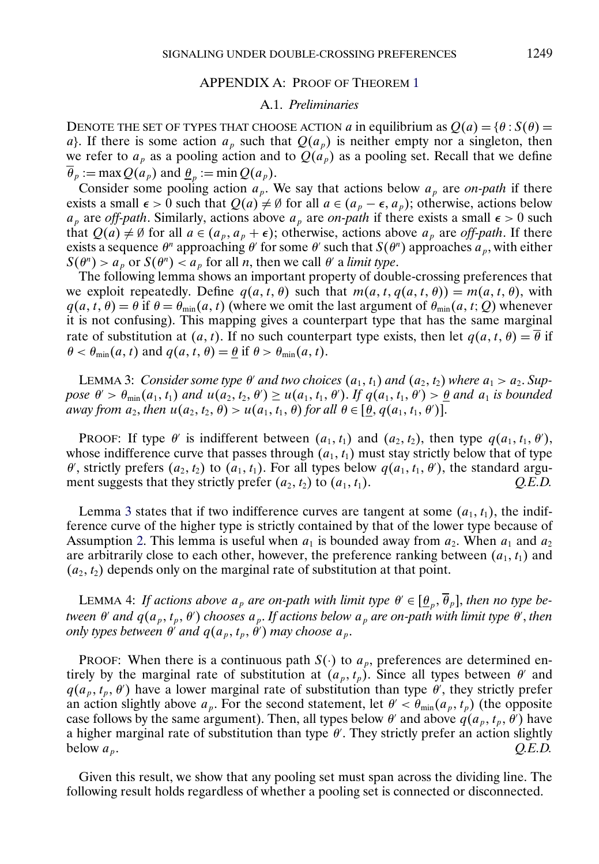### APPENDIX A: PROOF OF THEOREM [1](#page-9-0)

### A.1. *Preliminaries*

<span id="page-24-0"></span>DENOTE THE SET OF TYPES THAT CHOOSE ACTION a in equilibrium as  $Q(a) = \{ \theta : S(\theta) =$ a}. If there is some action  $a_p$  such that  $Q(a_p)$  is neither empty nor a singleton, then we refer to  $a_p$  as a pooling action and to  $Q(a_p)$  as a pooling set. Recall that we define  $\overline{\theta}_p := \max Q(a_p)$  and  $\underline{\theta}_p := \min Q(a_p)$ .

Consider some pooling action  $a_p$ . We say that actions below  $a_p$  are *on-path* if there exists a small  $\epsilon > 0$  such that  $Q(a) \neq \emptyset$  for all  $a \in (a_p - \epsilon, a_p)$ ; otherwise, actions below  $a_p$  are *off-path*. Similarly, actions above  $a_p$  are *on-path* if there exists a small  $\epsilon > 0$  such that  $Q(a) \neq \emptyset$  for all  $a \in (a_p, a_p + \epsilon)$ ; otherwise, actions above  $a_p$  are *off-path*. If there exists a sequence  $\theta^n$  approaching  $\theta'$  for some  $\theta'$  such that  $S(\theta^n)$  approaches  $a_p$ , with either  $S(\theta^n) > a_n$  or  $S(\theta^n) < a_n$  for all *n*, then we call  $\theta'$  a *limit type*.

The following lemma shows an important property of double-crossing preferences that we exploit repeatedly. Define  $q(a, t, \theta)$  such that  $m(a, t, q(a, t, \theta)) = m(a, t, \theta)$ , with  $q(a, t, \theta) = \theta$  if  $\theta = \theta_{min}(a, t)$  (where we omit the last argument of  $\theta_{min}(a, t; Q)$  whenever it is not confusing). This mapping gives a counterpart type that has the same marginal rate of substitution at  $(a, t)$ . If no such counterpart type exists, then let  $q(a, t, \theta) = \overline{\theta}$  if  $\theta < \theta_{\min}(a, t)$  and  $q(a, t, \theta) = \theta$  if  $\theta > \theta_{\min}(a, t)$ .

**LEMMA 3:** Consider some type  $\theta'$  and two choices  $(a_1, t_1)$  and  $(a_2, t_2)$  where  $a_1 > a_2$ . Sup*pose*  $\theta' > \theta_{\min}(a_1, t_1)$  and  $u(a_2, t_2, \theta') \ge u(a_1, t_1, \theta')$ . If  $q(a_1, t_1, \theta') > \underline{\theta}$  and  $a_1$  is bounded *away from*  $a_2$ , *then*  $u(a_2, t_2, \theta) > u(a_1, t_1, \theta)$  *for all*  $\theta \in [\underline{\theta}, q(a_1, t_1, \theta')]$ .

PROOF: If type  $\theta'$  is indifferent between  $(a_1, t_1)$  and  $(a_2, t_2)$ , then type  $q(a_1, t_1, \theta')$ , whose indifference curve that passes through  $(a_1, t_1)$  must stay strictly below that of type  $\theta'$ , strictly prefers  $(a_2, t_2)$  to  $(a_1, t_1)$ . For all types below  $q(a_1, t_1, \theta')$ , the standard argument suggests that they strictly prefer  $(a_2, t_2)$  to  $(a_1, t_1)$ .  $Q.E.D.$ 

Lemma 3 states that if two indifference curves are tangent at some  $(a_1, t_1)$ , the indifference curve of the higher type is strictly contained by that of the lower type because of Assumption [2.](#page-3-0) This lemma is useful when  $a_1$  is bounded away from  $a_2$ . When  $a_1$  and  $a_2$ are arbitrarily close to each other, however, the preference ranking between  $(a_1, t_1)$  and  $(a_2, t_2)$  depends only on the marginal rate of substitution at that point.

LEMMA 4: *If actions above*  $a_p$  *are on-path with limit type*  $\theta' \in [\underline{\theta}_p, \overline{\theta}_p]$ , *then no type between*  $\theta'$  *and*  $q(a_p, t_p, \theta')$  *chooses*  $a_p$ *. If actions below*  $a_p$  *are on-path with limit type*  $\theta'$ *, then only types between*  $\theta'$  *and*  $q(a_p, t_p, \theta')$  *may choose*  $a_p$ *.* 

PROOF: When there is a continuous path  $S(\cdot)$  to  $a_p$ , preferences are determined entirely by the marginal rate of substitution at  $(a_p, t_p)$ . Since all types between  $\theta'$  and  $q(a_p, t_p, \theta)$  have a lower marginal rate of substitution than type  $\theta'$ , they strictly prefer an action slightly above  $a_p$ . For the second statement, let  $\theta' < \theta_{min}(a_p, t_p)$  (the opposite case follows by the same argument). Then, all types below  $\theta'$  and above  $q(a_p, t_p, \theta')$  have a higher marginal rate of substitution than type  $\theta'$ . They strictly prefer an action slightly below  $a_p$ .  $Q.E.D.$ 

Given this result, we show that any pooling set must span across the dividing line. The following result holds regardless of whether a pooling set is connected or disconnected.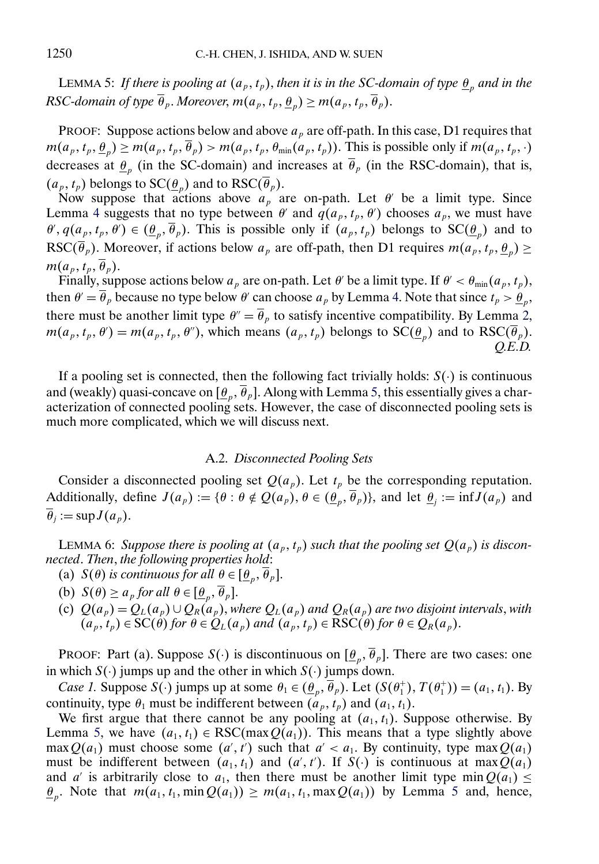<span id="page-25-0"></span>LEMMA 5: *If there is pooling at*  $(a_p, t_p)$ , *then it is in the SC-domain of type*  $\underline{\theta}_p$  *and in the RSC-domain of type*  $\overline{\theta}_p$ *. Moreover, m*( $a_p$ ,  $t_p$ ,  $\underline{\theta}_p$ )  $\geq$  *m*( $a_p$ ,  $t_p$ ,  $\overline{\theta}_p$ )*.* 

PROOF: Suppose actions below and above  $a<sub>p</sub>$  are off-path. In this case, D1 requires that  $m(a_p, t_p, \underline{\theta}_p) \geq m(a_p, t_p, \overline{\theta}_p) > m(a_p, t_p, \theta_{min}(a_p, t_p))$ . This is possible only if  $m(a_p, t_p, \cdot)$ decreases at  $\theta_p$  (in the SC-domain) and increases at  $\overline{\theta}_p$  (in the RSC-domain), that is,  $(a_p, t_p)$  belongs to  $SC(\underline{\theta}_p)$  and to  $RSC(\overline{\theta}_p)$ .

Now suppose that actions above  $a_p$  are on-path. Let  $\theta$  be a limit type. Since Lemma [4](#page-24-0) suggests that no type between  $\theta'$  and  $q(a_p, t_p, \theta')$  chooses  $a_p$ , we must have  $\theta'$ ,  $q(a_p, t_p, \theta') \in (\underline{\theta}_p, \theta_p)$ . This is possible only if  $(a_p, t_p)$  belongs to  $SC(\underline{\theta}_p)$  and to RSC( $\overline{\theta}_p$ ). Moreover, if actions below  $a_p$  are off-path, then D1 requires  $m(a_p, t_p, \underline{\theta}_p) \ge$  $m(a_p, t_p, \overline{\theta}_p).$ 

Finally, suppose actions below  $a_p$  are on-path. Let  $\theta'$  be a limit type. If  $\theta' < \theta_{\min}(a_p, t_p)$ , then  $\theta' = \overline{\theta}_p$  because no type below  $\theta'$  can choose  $a_p$  by Lemma [4.](#page-24-0) Note that since  $t_p > \underline{\theta}_p$ , there must be another limit type  $\theta'' = \overline{\theta}_p$  to satisfy incentive compatibility. By Lemma [2,](#page-10-0)  $m(a_p, t_p, \theta') = m(a_p, t_p, \theta'')$ , which means  $(a_p, t_p)$  belongs to  $SC(\underline{\theta}_p)$  and to  $RSC(\theta_p)$ . *Q.E.D.*

If a pooling set is connected, then the following fact trivially holds:  $S(\cdot)$  is continuous and (weakly) quasi-concave on  $[\underline{\theta}_p, \overline{\theta}_p]$ . Along with Lemma 5, this essentially gives a characterization of connected pooling sets. However, the case of disconnected pooling sets is much more complicated, which we will discuss next.

### A.2. *Disconnected Pooling Sets*

Consider a disconnected pooling set  $Q(a_p)$ . Let  $t_p$  be the corresponding reputation. Additionally, define  $J(a_p) := \{\theta : \theta \notin Q(a_p), \theta \in (\theta_p, \overline{\theta}_p)\}$ , and let  $\underline{\theta}_i := \inf J(a_p)$  and  $\overline{\theta}_i := \sup J(a_p)$ .

LEMMA 6: Suppose there is pooling at  $(a_p, t_p)$  such that the pooling set  $Q(a_p)$  is discon*nected*. *Then*, *the following properties hold*:

- (a)  $S(\theta)$  *is continuous for all*  $\theta \in [\underline{\theta}_p, \overline{\theta}_p]$ .
- (b)  $S(\theta) \ge a_p$  *for all*  $\theta \in [\theta_p, \overline{\theta}_p].$
- (c)  $Q(a_p) = Q_L(a_p) \cup Q_R(a_p)$ , *where*  $Q_L(a_p)$  *and*  $Q_R(a_p)$  *are two disjoint intervals, with*  $(a_p, t_p) \in \mathcal{SC}(\theta)$  *for*  $\theta \in Q_L(a_p)$  *and*  $(a_p, t_p) \in \mathcal{RSC}(\theta)$  *for*  $\theta \in Q_R(a_p)$ .

PROOF: Part (a). Suppose  $S(\cdot)$  is discontinuous on  $[\underline{\theta}_p, \overline{\theta}_p]$ . There are two cases: one in which  $S(\cdot)$  jumps up and the other in which  $S(\cdot)$  jumps down.

*Case 1.* Suppose  $S(\cdot)$  jumps up at some  $\theta_1 \in (\underline{\theta}_p, \theta_p)$ . Let  $(S(\theta_1^+), T(\theta_1^+)) = (a_1, t_1)$ . By continuity, type  $\theta_1$  must be indifferent between  $(a_p, t_p)$  and  $(a_1, t_1)$ .

We first argue that there cannot be any pooling at  $(a_1, t_1)$ . Suppose otherwise. By Lemma 5, we have  $(a_1, t_1) \in \text{RSC}(\max Q(a_1))$ . This means that a type slightly above  $\max Q(a_1)$  must choose some  $(a', t')$  such that  $a' < a_1$ . By continuity, type max  $Q(a_1)$ must be indifferent between  $(a_1, t_1)$  and  $(a', t')$ . If  $S(\cdot)$  is continuous at max  $Q(a_1)$ and a' is arbitrarily close to  $a_1$ , then there must be another limit type min $Q(a_1) \leq$  $\underline{\theta}_p$ . Note that  $m(a_1, t_1, \min Q(a_1)) \geq m(a_1, t_1, \max Q(a_1))$  by Lemma 5 and, hence,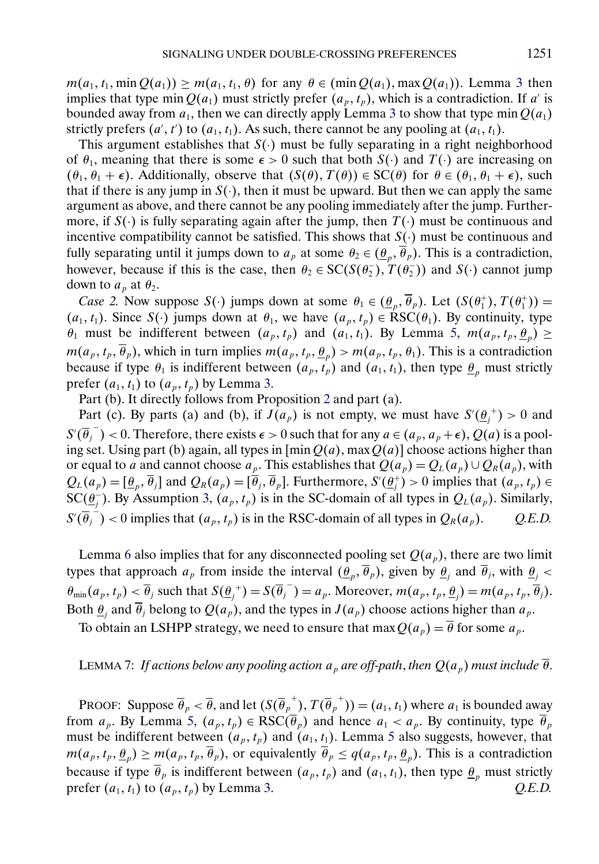<span id="page-26-0"></span> $m(a_1, t_1, \min Q(a_1)) \geq m(a_1, t_1, \theta)$  for any  $\theta \in (\min Q(a_1), \max Q(a_1))$ . Lemma [3](#page-24-0) then implies that type min  $Q(a_1)$  must strictly prefer  $(a_n, t_n)$ , which is a contradiction. If a' is bounded away from  $a_1$ , then we can directly apply Lemma [3](#page-24-0) to show that type min  $Q(a_1)$ strictly prefers  $(a', t')$  to  $(a_1, t_1)$ . As such, there cannot be any pooling at  $(a_1, t_1)$ .

This argument establishes that  $S(\cdot)$  must be fully separating in a right neighborhood of  $\theta_1$ , meaning that there is some  $\epsilon > 0$  such that both  $S(\cdot)$  and  $T(\cdot)$  are increasing on  $(\theta_1, \theta_1 + \epsilon)$ . Additionally, observe that  $(S(\theta), T(\theta)) \in SC(\theta)$  for  $\theta \in (\theta_1, \theta_1 + \epsilon)$ , such that if there is any jump in  $S(\cdot)$ , then it must be upward. But then we can apply the same argument as above, and there cannot be any pooling immediately after the jump. Furthermore, if  $S(\cdot)$  is fully separating again after the jump, then  $T(\cdot)$  must be continuous and incentive compatibility cannot be satisfied. This shows that  $S(\cdot)$  must be continuous and fully separating until it jumps down to  $a_p$  at some  $\theta_2 \in (\underline{\theta}_p, \overline{\theta}_p)$ . This is a contradiction, however, because if this is the case, then  $\theta_2 \in SC(S(\theta_2^-), T(\theta_2^-))$  and  $S(\cdot)$  cannot jump down to  $a_p$  at  $\theta_2$ .

*Case 2.* Now suppose  $S(\cdot)$  jumps down at some  $\theta_1 \in (\underline{\theta}_p, \theta_p)$ . Let  $(S(\theta_1^+), T(\theta_1^+))$  =  $(a_1, t_1)$ . Since  $S(\cdot)$  jumps down at  $\theta_1$ , we have  $(a_p, t_p) \in \text{RSC}(\theta_1)$ . By continuity, type  $\theta_1$  must be indifferent between  $(a_p, t_p)$  and  $(a_1, t_1)$ . By Lemma [5,](#page-25-0)  $m(a_p, t_p, \underline{\theta}_p) \ge$  $m(a_p, t_p, \overline{\theta}_p)$ , which in turn implies  $m(a_p, t_p, \underline{\theta}_p) > m(a_p, t_p, \theta_1)$ . This is a contradiction because if type  $\theta_1$  is indifferent between  $(a_p, t_p)$  and  $(a_1, t_1)$ , then type  $\underline{\theta}_p$  must strictly prefer  $(a_1, t_1)$  to  $(a_p, t_p)$  by Lemma [3.](#page-24-0)

Part (b). It directly follows from Proposition [2](#page-11-0) and part (a).

Part (c). By parts (a) and (b), if  $J(a_p)$  is not empty, we must have  $S'(\underline{\theta}_j^+) > 0$  and  $S'(\overline{\theta_j}^{-})$  < 0. Therefore, there exists  $\epsilon > 0$  such that for any  $a \in (a_p, a_p + \epsilon)$ ,  $Q(a)$  is a pooling set. Using part (b) again, all types in  $[\min Q(a)]$  max  $Q(a)]$  choose actions higher than or equal to a and cannot choose  $a_p$ . This establishes that  $Q(a_p) = Q_L(a_p) \cup Q_R(a_p)$ , with  $Q_L(a_p) = [\underline{\theta}_p, \theta_j]$  and  $Q_R(a_p) = [\theta_j, \theta_p]$ . Furthermore,  $S'(\underline{\theta}_j^+) > 0$  implies that  $(a_p, t_p) \in$ SC( $\overline{\theta_j}$ ). By Assumption [3,](#page-4-0)  $(a_p, t_p)$  is in the SC-domain of all types in  $Q_L(a_p)$ . Similarly,  $S'(\overline{\theta}_j^-)$  < 0 implies that  $(a_p, t_p)$  is in the RSC-domain of all types in  $Q_R(a_p)$ . *Q.E.D.* 

Lemma [6](#page-25-0) also implies that for any disconnected pooling set  $Q(a_p)$ , there are two limit types that approach  $a_p$  from inside the interval  $(\underline{\theta}_p, \overline{\theta}_p)$ , given by  $\underline{\theta}_j$  and  $\overline{\theta}_j$ , with  $\underline{\theta}_j$  <  $\theta_{\min}(a_p, t_p) < \overline{\theta}_j$  such that  $S(\underline{\theta}_j^+) = S(\overline{\theta}_j^-) = a_p$ . Moreover,  $m(a_p, t_p, \underline{\theta}_j) = m(a_p, t_p, \overline{\theta}_j)$ . Both  $\underline{\theta}_i$  and  $\overline{\theta}_j$  belong to  $Q(a_p)$ , and the types in  $J(a_p)$  choose actions higher than  $a_p$ .

To obtain an LSHPP strategy, we need to ensure that  $\max Q(a_p) = \overline{\theta}$  for some  $a_p$ .

# LEMMA 7: *If actions below any pooling action*  $a_p$  *are off-path, then*  $Q(a_p)$  *must include*  $\theta$ *.*

PROOF: Suppose  $\overline{\theta}_p < \overline{\theta}$ , and let  $(S(\overline{\theta}_p^+), T(\overline{\theta}_p^+)) = (a_1, t_1)$  where  $a_1$  is bounded away from  $a_p$ . By Lemma [5,](#page-25-0)  $(a_p, t_p) \in \text{RSC}(\overline{\theta}_p)$  and hence  $a_1 < a_p$ . By continuity, type  $\overline{\theta}_p$ must be indifferent between  $(a_p, t_p)$  and  $(a_1, t_1)$ . Lemma [5](#page-25-0) also suggests, however, that  $m(a_p, t_p, \underline{\theta}_p) \geq m(a_p, t_p, \overline{\theta}_p)$ , or equivalently  $\overline{\theta}_p \leq q(a_p, t_p, \underline{\theta}_p)$ . This is a contradiction because if type  $\overline{\theta}_p$  is indifferent between  $(a_p, t_p)$  and  $(a_1, t_1)$ , then type  $\underline{\theta}_p$  must strictly prefer  $(a_1, t_1)$  to  $(a_p, t_p)$  by Lemma [3.](#page-24-0)  $Q.E.D.$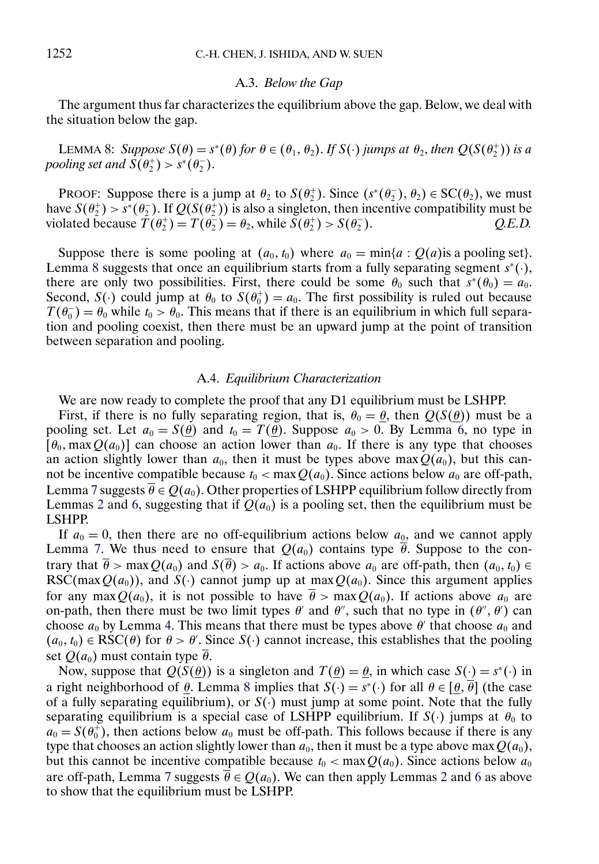#### A.3. *Below the Gap*

The argument thus far characterizes the equilibrium above the gap. Below, we deal with the situation below the gap.

LEMMA 8: *Suppose*  $S(\theta) = s^*(\theta)$  *for*  $\theta \in (\theta_1, \theta_2)$ . *If*  $S(\cdot)$  *jumps at*  $\theta_2$ *, then*  $Q(S(\theta_2^+))$  *is a pooling set and*  $S(\theta_2^+) > s^*(\theta_2^-)$ .

PROOF: Suppose there is a jump at  $\theta_2$  to  $S(\theta_2^+)$ . Since  $(s^*(\theta_2^-), \theta_2) \in SC(\theta_2)$ , we must have  $S(\theta_2^+) > s^*(\theta_2^-)$ . If  $Q(S(\theta_2^+))$  is also a singleton, then incentive compatibility must be violated because  $T(\theta_2^+) = T(\theta_2^-) = \theta_2$ , while  $S(\theta_2^+) > S(\theta_2^-)$ <sup>2</sup> ). *Q.E.D.*

Suppose there is some pooling at  $(a_0, t_0)$  where  $a_0 = \min\{a : Q(a)$  is a pooling set}. Lemma 8 suggests that once an equilibrium starts from a fully separating segment  $s^*(\cdot)$ , there are only two possibilities. First, there could be some  $\theta_0$  such that  $s^*(\theta_0) = a_0$ . Second,  $S(\cdot)$  could jump at  $\theta_0$  to  $S(\theta_0^+) = a_0$ . The first possibility is ruled out because  $T(\theta_0^-) = \theta_0$  while  $t_0 > \theta_0$ . This means that if there is an equilibrium in which full separation and pooling coexist, then there must be an upward jump at the point of transition between separation and pooling.

#### A.4. *Equilibrium Characterization*

We are now ready to complete the proof that any D1 equilibrium must be LSHPP.

First, if there is no fully separating region, that is,  $\theta_0 = \theta$ , then  $Q(S(\theta))$  must be a pooling set. Let  $a_0 = S(\theta)$  and  $t_0 = T(\theta)$ . Suppose  $a_0 > 0$ . By Lemma [6,](#page-25-0) no type in  $[\theta_0, \max Q(a_0)]$  can choose an action lower than  $a_0$ . If there is any type that chooses an action slightly lower than  $a_0$ , then it must be types above max  $Q(a_0)$ , but this cannot be incentive compatible because  $t_0 < \max Q(a_0)$ . Since actions below  $a_0$  are off-path, Lemma [7](#page-26-0) suggests  $\overline{\theta} \in Q(a_0)$ . Other properties of LSHPP equilibrium follow directly from Lemmas [2](#page-10-0) and [6,](#page-25-0) suggesting that if  $Q(a_0)$  is a pooling set, then the equilibrium must be LSHPP.

If  $a_0 = 0$ , then there are no off-equilibrium actions below  $a_0$ , and we cannot apply Lemma [7.](#page-26-0) We thus need to ensure that  $Q(a_0)$  contains type  $\overline{\theta}$ . Suppose to the contrary that  $\overline{\theta}$  > max  $Q(a_0)$  and  $S(\overline{\theta}) > a_0$ . If actions above  $a_0$  are off-path, then  $(a_0, t_0) \in$ RSC(max $Q(a_0)$ ), and  $S(\cdot)$  cannot jump up at max $Q(a_0)$ . Since this argument applies for any max $Q(a_0)$ , it is not possible to have  $\overline{\theta} > \max Q(a_0)$ . If actions above  $a_0$  are on-path, then there must be two limit types  $\theta'$  and  $\theta''$ , such that no type in  $(\theta'', \theta')$  can choose  $a_0$  by Lemma [4.](#page-24-0) This means that there must be types above  $\theta'$  that choose  $a_0$  and  $(a_0, t_0) \in \text{RSC}(\theta)$  for  $\theta > \theta'$ . Since  $S(\cdot)$  cannot increase, this establishes that the pooling set  $Q(a_0)$  must contain type  $\overline{\theta}$ .

Now, suppose that  $Q(S(\theta))$  is a singleton and  $T(\theta) = \theta$ , in which case  $S(\cdot) = s^*(\cdot)$  in a right neighborhood of  $\theta$ . Lemma 8 implies that  $S(\cdot) = s^*(\cdot)$  for all  $\theta \in [\theta, \overline{\theta}]$  (the case of a fully separating equilibrium), or  $S(\cdot)$  must jump at some point. Note that the fully separating equilibrium is a special case of LSHPP equilibrium. If  $S(\cdot)$  jumps at  $\theta_0$  to  $a_0 = S(\theta_0^+)$ , then actions below  $a_0$  must be off-path. This follows because if there is any type that chooses an action slightly lower than  $a_0$ , then it must be a type above max  $Q(a_0)$ , but this cannot be incentive compatible because  $t_0 < \max Q(a_0)$ . Since actions below  $a_0$ are off-path, Lemma [7](#page-26-0) suggests  $\overline{\theta} \in Q(a_0)$ . We can then apply Lemmas [2](#page-10-0) and [6](#page-25-0) as above to show that the equilibrium must be LSHPP.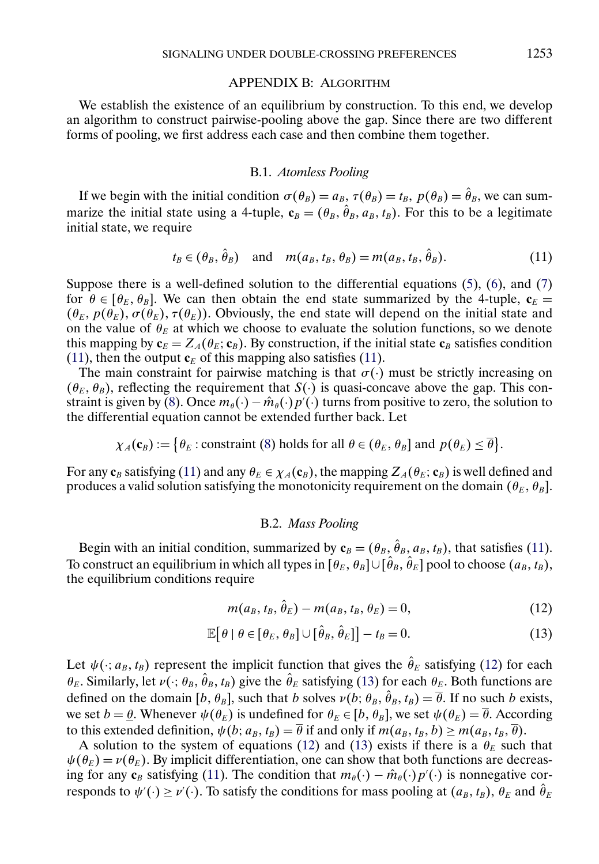#### APPENDIX B: ALGORITHM

<span id="page-28-0"></span>We establish the existence of an equilibrium by construction. To this end, we develop an algorithm to construct pairwise-pooling above the gap. Since there are two different forms of pooling, we first address each case and then combine them together.

### B.1. *Atomless Pooling*

If we begin with the initial condition  $\sigma(\theta_B) = a_B$ ,  $\tau(\theta_B) = t_B$ ,  $p(\theta_B) = \hat{\theta}_B$ , we can summarize the initial state using a 4-tuple,  $\mathbf{c}_B = (\theta_B, \hat{\theta}_B, a_B, t_B)$ . For this to be a legitimate initial state, we require

$$
t_B \in (\theta_B, \theta_B) \quad \text{and} \quad m(a_B, t_B, \theta_B) = m(a_B, t_B, \theta_B). \tag{11}
$$

Suppose there is a well-defined solution to the differential equations  $(5)$ ,  $(6)$ , and  $(7)$ for  $\theta \in [\theta_E, \theta_B]$ . We can then obtain the end state summarized by the 4-tuple,  $c_E$  $(\theta_E, p(\theta_E), \sigma(\theta_E), \tau(\theta_E))$ . Obviously, the end state will depend on the initial state and on the value of  $\theta_E$  at which we choose to evaluate the solution functions, so we denote this mapping by  $\mathbf{c}_E = Z_A(\theta_E; \mathbf{c}_B)$ . By construction, if the initial state  $\mathbf{c}_B$  satisfies condition (11), then the output  $c_E$  of this mapping also satisfies (11).

The main constraint for pairwise matching is that  $\sigma(\cdot)$  must be strictly increasing on  $(\theta_E, \theta_B)$ , reflecting the requirement that  $S(\cdot)$  is quasi-concave above the gap. This con-straint is given by [\(8\)](#page-14-0). Once  $m_{\theta}(\cdot) - \hat{m}_{\theta}(\cdot) p'(\cdot)$  turns from positive to zero, the solution to the differential equation cannot be extended further back. Let

$$
\chi_A(\mathbf{c}_B) := \big\{\theta_E : \text{constraint (8) holds for all } \theta \in (\theta_E, \theta_B] \text{ and } p(\theta_E) \leq \overline{\theta}\big\}.
$$

For any  $\mathbf{c}_B$  satisfying (11) and any  $\theta_E \in \chi_A(\mathbf{c}_B)$ , the mapping  $Z_A(\theta_E; \mathbf{c}_B)$  is well defined and produces a valid solution satisfying the monotonicity requirement on the domain  $(\theta_E, \theta_B]$ .

#### B.2. *Mass Pooling*

Begin with an initial condition, summarized by  $\mathbf{c}_B = (\theta_B, \hat{\theta}_B, a_B, t_B)$ , that satisfies (11). To construct an equilibrium in which all types in  $[\theta_E, \theta_B] \cup [\hat{\theta}_B, \hat{\theta}_E]$  pool to choose  $(a_B, t_B)$ , the equilibrium conditions require

$$
m(a_B, t_B, \theta_E) - m(a_B, t_B, \theta_E) = 0,
$$
\n(12)

$$
\mathbb{E}[\theta \mid \theta \in [\theta_E, \theta_B] \cup [\hat{\theta}_B, \hat{\theta}_E]] - t_B = 0.
$$
\n(13)

Let  $\psi(\cdot; a_B, t_B)$  represent the implicit function that gives the  $\hat{\theta}_E$  satisfying (12) for each  $\theta_E$ . Similarly, let  $v(\cdot; \theta_B, \hat{\theta}_B, t_B)$  give the  $\hat{\theta}_E$  satisfying (13) for each  $\theta_E$ . Both functions are defined on the domain  $[b, \theta_B]$ , such that b solves  $\nu(b; \theta_B, \hat{\theta}_B, t_B) = \overline{\theta}$ . If no such b exists, we set  $b = \theta$ . Whenever  $\psi(\theta_E)$  is undefined for  $\theta_E \in [b, \theta_B]$ , we set  $\psi(\theta_E) = \overline{\theta}$ . According to this extended definition,  $\psi(b; a_B, t_B) = \overline{\theta}$  if and only if  $m(a_B, t_B, b) \ge m(a_B, t_B, \overline{\theta})$ .

A solution to the system of equations (12) and (13) exists if there is a  $\theta_E$  such that  $\psi(\theta_E) = v(\theta_E)$ . By implicit differentiation, one can show that both functions are decreasing for any **c**<sub>B</sub> satisfying (11). The condition that  $m_{\theta}(\cdot) - \hat{m}_{\theta}(\cdot)p'(\cdot)$  is nonnegative corresponds to  $\psi'(\cdot) \ge \nu'(\cdot)$ . To satisfy the conditions for mass pooling at  $(a_B, t_B)$ ,  $\theta_E$  and  $\theta_E$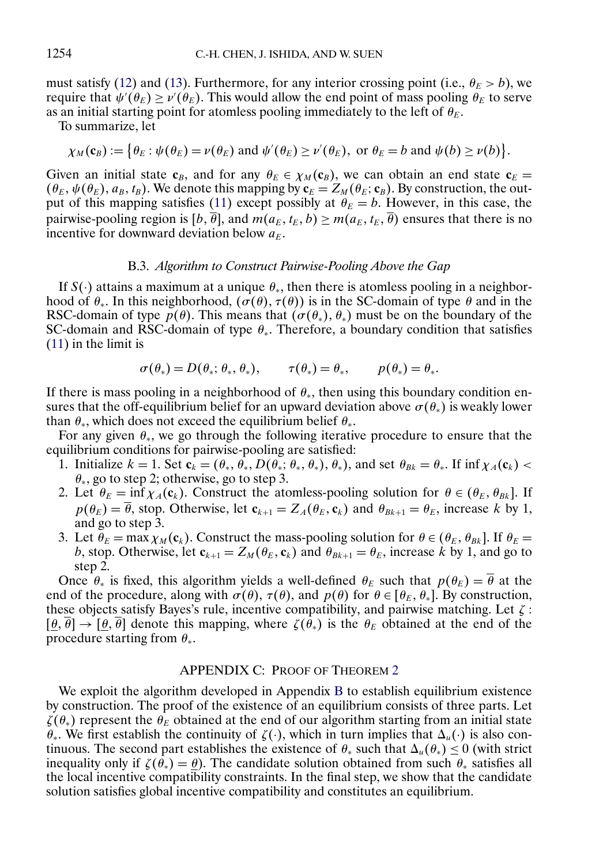<span id="page-29-0"></span>must satisfy [\(12\)](#page-28-0) and [\(13\)](#page-28-0). Furthermore, for any interior crossing point (i.e.,  $\theta_E > b$ ), we require that  $\psi'(\theta_E) \ge \nu'(\theta_E)$ . This would allow the end point of mass pooling  $\theta_E$  to serve as an initial starting point for atomless pooling immediately to the left of  $\theta_E$ .

To summarize, let

$$
\chi_M(\mathbf{c}_B) := \big\{\theta_E : \psi(\theta_E) = \nu(\theta_E) \text{ and } \psi'(\theta_E) \ge \nu'(\theta_E), \text{ or } \theta_E = b \text{ and } \psi(b) \ge \nu(b)\big\}.
$$

Given an initial state  $c_B$ , and for any  $\theta_E \in \chi_M(c_B)$ , we can obtain an end state  $c_E$  =  $(\theta_E, \psi(\theta_E), a_B, t_B)$ . We denote this mapping by  $\mathbf{c}_E = Z_M(\theta_E; \mathbf{c}_B)$ . By construction, the out-put of this mapping satisfies [\(11\)](#page-28-0) except possibly at  $\hat{\theta}_E = b$ . However, in this case, the pairwise-pooling region is  $[b, \overline{\theta}]$ , and  $m(a_E, t_E, b) \geq m(a_E, t_E, \overline{\theta})$  ensures that there is no incentive for downward deviation below  $a_E$ .

### B.3. *Algorithm to Construct Pairwise-Pooling Above the Gap*

If  $S(\cdot)$  attains a maximum at a unique  $\theta_*$ , then there is atomless pooling in a neighborhood of  $\theta_*$ . In this neighborhood,  $(\sigma(\theta), \tau(\theta))$  is in the SC-domain of type  $\theta$  and in the RSC-domain of type  $p(\theta)$ . This means that  $(\sigma(\theta_*, \theta_*))$  must be on the boundary of the SC-domain and RSC-domain of type  $\theta_*$ . Therefore, a boundary condition that satisfies [\(11\)](#page-28-0) in the limit is

$$
\sigma(\theta_*)=D(\theta_*;\,\theta_*,\,\theta_*),\qquad \tau(\theta_*)=\theta_*,\qquad p(\theta_*)=\theta_*.
$$

If there is mass pooling in a neighborhood of  $\theta_*$ , then using this boundary condition ensures that the off-equilibrium belief for an upward deviation above  $\sigma(\theta_*)$  is weakly lower than  $\theta_*$ , which does not exceed the equilibrium belief  $\theta_*$ .

For any given  $\theta_*$ , we go through the following iterative procedure to ensure that the equilibrium conditions for pairwise-pooling are satisfied:

- 1. Initialize  $k = 1$ . Set  $c_k = (\theta_*, \overline{\theta_*}, D(\overline{\theta_*}; \theta_*, \theta_*), \theta_*),$  and set  $\theta_{Bk} = \theta_*$ . If  $\inf \chi_A(c_k)$  $\theta_*$ , go to step 2; otherwise, go to step 3.
- 2. Let  $\theta_E = \inf \chi_A(c_k)$ . Construct the atomless-pooling solution for  $\theta \in (\theta_E, \theta_{Bk}]$ . If  $p(\theta_E) = \overline{\theta}$ , stop. Otherwise, let  $\mathbf{c}_{k+1} = Z_A(\theta_E, \mathbf{c}_k)$  and  $\theta_{Bk+1} = \theta_E$ , increase k by 1, and go to step 3.
- 3. Let  $\theta_E = \max \chi_M(c_k)$ . Construct the mass-pooling solution for  $\theta \in (\theta_E, \theta_{Bk}]$ . If  $\theta_E =$ b, stop. Otherwise, let  $\mathbf{c}_{k+1} = Z_M(\theta_E, \mathbf{c}_k)$  and  $\theta_{Bk+1} = \theta_E$ , increase k by 1, and go to step 2.

Once  $\theta_*$  is fixed, this algorithm yields a well-defined  $\theta_E$  such that  $p(\theta_E) = \overline{\theta}$  at the end of the procedure, along with  $\sigma(\theta)$ ,  $\tau(\theta)$ , and  $p(\theta)$  for  $\theta \in [\theta_E, \theta_*]$ . By construction, these objects satisfy Bayes's rule, incentive compatibility, and pairwise matching. Let  $\zeta$ :  $[\theta, \overline{\theta}] \rightarrow [\theta, \overline{\theta}]$  denote this mapping, where  $\zeta(\theta_*)$  is the  $\theta_E$  obtained at the end of the procedure starting from  $\theta_*$ .

### APPENDIX C: PROOF OF THEOREM [2](#page-15-0)

We exploit the algorithm developed in Appendix [B](#page-28-0) to establish equilibrium existence by construction. The proof of the existence of an equilibrium consists of three parts. Let  $\zeta(\theta_*)$  represent the  $\theta_E$  obtained at the end of our algorithm starting from an initial state θ<sub>∗</sub>. We first establish the continuity of  $\zeta(\cdot)$ , which in turn implies that  $\Delta_u(\cdot)$  is also continuous. The second part establishes the existence of  $\theta_*$  such that  $\Delta_u(\theta_*) \leq 0$  (with strict inequality only if  $\zeta(\theta_*) = \theta$ ). The candidate solution obtained from such  $\theta_*$  satisfies all the local incentive compatibility constraints. In the final step, we show that the candidate solution satisfies global incentive compatibility and constitutes an equilibrium.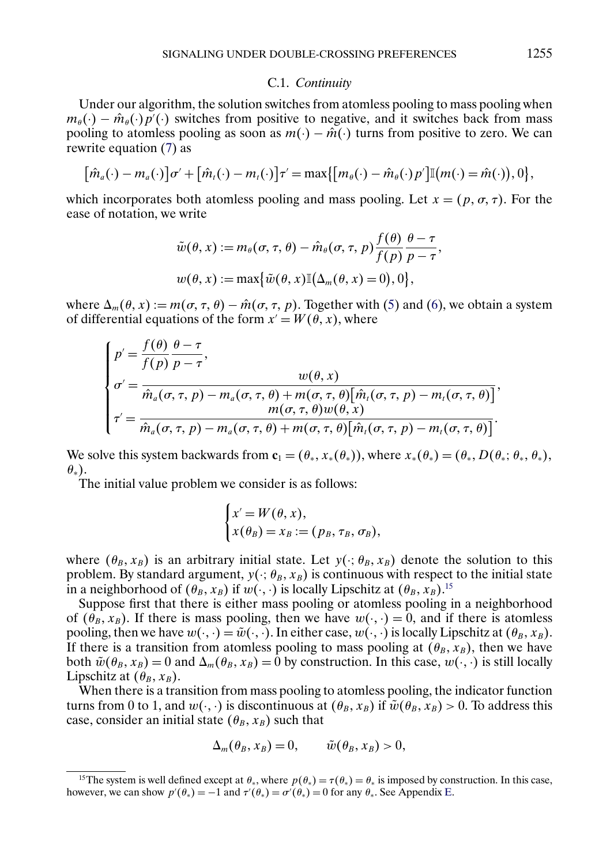#### C.1. *Continuity*

Under our algorithm, the solution switches from atomless pooling to mass pooling when  $m_{\theta}(\cdot) - \hat{m}_{\theta}(\cdot) p'(\cdot)$  switches from positive to negative, and it switches back from mass pooling to atomless pooling as soon as  $m(\cdot) - \hat{m}(\cdot)$  turns from positive to zero. We can rewrite equation [\(7\)](#page-13-0) as

$$
[\hat{m}_a(\cdot)-m_a(\cdot)]\sigma' + [\hat{m}_t(\cdot)-m_t(\cdot)]\tau' = \max\{[m_\theta(\cdot)-\hat{m}_\theta(\cdot)p']\mathbb{I}(m(\cdot)=\hat{m}(\cdot)),0\},\
$$

which incorporates both atomless pooling and mass pooling. Let  $x = (p, \sigma, \tau)$ . For the ease of notation, we write

$$
\tilde{w}(\theta, x) := m_{\theta}(\sigma, \tau, \theta) - \hat{m}_{\theta}(\sigma, \tau, p) \frac{f(\theta)}{f(p)} \frac{\theta - \tau}{p - \tau},
$$
  

$$
w(\theta, x) := \max{\tilde{w}(\theta, x) \mathbb{I}(\Delta_m(\theta, x) = 0), 0},
$$

where  $\Delta_m(\theta, x) := m(\sigma, \tau, \theta) - \hat{m}(\sigma, \tau, p)$ . Together with [\(5\)](#page-12-0) and [\(6\)](#page-13-0), we obtain a system of differential equations of the form  $x' = W(\theta, x)$ , where

$$
\begin{cases}\np' = \frac{f(\theta)}{f(p)} \frac{\theta - \tau}{p - \tau}, & w(\theta, x) \\
\sigma' = \frac{\hat{m}_a(\sigma, \tau, p) - m_a(\sigma, \tau, \theta) + m(\sigma, \tau, \theta) [\hat{m}_t(\sigma, \tau, p) - m_t(\sigma, \tau, \theta)]}{m(\sigma, \tau, \theta) w(\theta, x)}, \\
\tau' = \frac{m(\sigma, \tau, \theta) w(\theta, x)}{\hat{m}_a(\sigma, \tau, p) - m_a(\sigma, \tau, \theta) + m(\sigma, \tau, \theta) [\hat{m}_t(\sigma, \tau, p) - m_t(\sigma, \tau, \theta)]}.\n\end{cases}
$$

We solve this system backwards from  $\mathbf{c}_1 = (\theta_*, x_*(\theta_*))$ , where  $x_*(\theta_*) = (\theta_*, D(\theta_*; \theta_*, \theta_*))$ ,  $\theta_*$ ).

The initial value problem we consider is as follows:

$$
\begin{cases} x' = W(\theta, x), \\ x(\theta_B) = x_B := (p_B, \tau_B, \sigma_B), \end{cases}
$$

where  $(\theta_B, x_B)$  is an arbitrary initial state. Let  $y(\cdot; \theta_B, x_B)$  denote the solution to this problem. By standard argument,  $y(\cdot; \theta_B, x_B)$  is continuous with respect to the initial state in a neighborhood of  $(\theta_B, x_B)$  if  $w(\cdot, \cdot)$  is locally Lipschitz at  $(\theta_B, x_B)$ .<sup>15</sup>

Suppose first that there is either mass pooling or atomless pooling in a neighborhood of  $(\theta_B, x_B)$ . If there is mass pooling, then we have  $w(\cdot, \cdot) = 0$ , and if there is atomless pooling, then we have  $w(\cdot, \cdot) = \tilde{w}(\cdot, \cdot)$ . In either case,  $w(\cdot, \cdot)$  is locally Lipschitz at  $(\theta_B, x_B)$ . If there is a transition from atomless pooling to mass pooling at  $(\theta_B, x_B)$ , then we have both  $\tilde{w}(\theta_B, x_B) = 0$  and  $\Delta_m(\theta_B, x_B) = 0$  by construction. In this case,  $w(\cdot, \cdot)$  is still locally Lipschitz at  $(\theta_B, x_B)$ .

When there is a transition from mass pooling to atomless pooling, the indicator function turns from 0 to 1, and  $w(\cdot, \cdot)$  is discontinuous at  $(\theta_B, x_B)$  if  $\tilde{w}(\theta_B, x_B) > 0$ . To address this case, consider an initial state  $(\theta_B, x_B)$  such that

$$
\Delta_m(\theta_B, x_B) = 0, \qquad \tilde{w}(\theta_B, x_B) > 0,
$$

<sup>&</sup>lt;sup>15</sup>The system is well defined except at  $\theta_*$ , where  $p(\theta_*) = \tau(\theta_*) = \theta_*$  is imposed by construction. In this case, however, we can show  $p'(\theta_*) = -1$  and  $\tau'(\theta_*) = \sigma'(\theta_*) = 0$  for any  $\theta_*$ . See Appendix [E.](#page-33-0)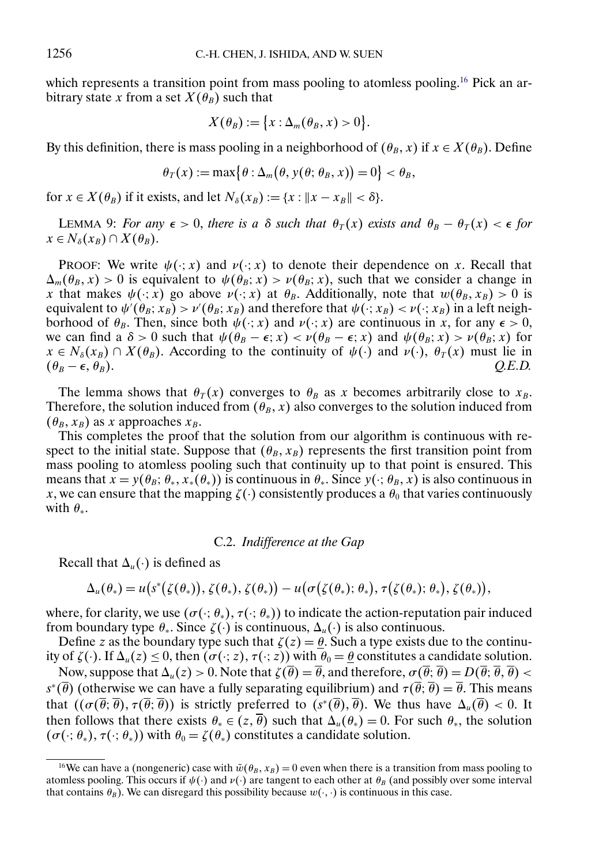which represents a transition point from mass pooling to atomless pooling.<sup>16</sup> Pick an arbitrary state x from a set  $X(\hat{\theta_B})$  such that

$$
X(\theta_B):=\big\{x:\Delta_m(\theta_B,x)>0\big\}.
$$

By this definition, there is mass pooling in a neighborhood of  $(\theta_B, x)$  if  $x \in X(\theta_B)$ . Define

$$
\theta_T(x) := \max\bigl\{\theta : \Delta_m(\theta, y(\theta; \theta_B, x)) = 0\bigr\} < \theta_B,
$$

for  $x \in X(\theta_B)$  if it exists, and let  $N_{\delta}(x_B) := \{x : ||x - x_B|| < \delta\}.$ 

LEMMA 9: *For any*  $\epsilon > 0$ , *there is a*  $\delta$  *such that*  $\theta_T(x)$  *exists and*  $\theta_B - \theta_T(x) < \epsilon$  *for*  $x \in N_{\delta}(x_B) \cap X(\theta_B).$ 

PROOF: We write  $\psi(\cdot; x)$  and  $\nu(\cdot; x)$  to denote their dependence on x. Recall that  $\Delta_m(\theta_B, x) > 0$  is equivalent to  $\psi(\theta_B; x) > \nu(\theta_B; x)$ , such that we consider a change in x that makes  $\psi(\cdot;\vec{x})$  go above  $\nu(\cdot;\vec{x})$  at  $\theta_B$ . Additionally, note that  $w(\theta_B, x_B) > 0$  is equivalent to  $\psi'(\theta_B; x_B) > \nu'(\theta_B; x_B)$  and therefore that  $\psi(\cdot; x_B) < \nu(\cdot; x_B)$  in a left neighborhood of  $\theta_B$ . Then, since both  $\psi(\cdot; x)$  and  $\nu(\cdot; x)$  are continuous in x, for any  $\epsilon > 0$ , we can find a  $\delta > 0$  such that  $\psi(\theta_B - \epsilon; x) < \nu(\theta_B - \epsilon; x)$  and  $\psi(\theta_B; x) > \nu(\theta_B; x)$  for  $x \in N_{\delta}(x_B) \cap X(\theta_B)$ . According to the continuity of  $\psi(\cdot)$  and  $\nu(\cdot)$ ,  $\theta_T(x)$  must lie in  $(\theta_B - \epsilon, \theta_B).$  $(\theta_B)$ .  $Q.E.D.$ 

The lemma shows that  $\theta_T(x)$  converges to  $\theta_B$  as x becomes arbitrarily close to  $x_B$ . Therefore, the solution induced from  $(\theta_B, x)$  also converges to the solution induced from  $(\theta_B, x_B)$  as x approaches  $x_B$ .

This completes the proof that the solution from our algorithm is continuous with respect to the initial state. Suppose that  $(\theta_B, x_B)$  represents the first transition point from mass pooling to atomless pooling such that continuity up to that point is ensured. This means that  $x = y(\theta_B; \theta_*, x_*(\theta_*))$  is continuous in  $\theta_*$ . Since  $y(\cdot; \theta_B, x)$  is also continuous in x, we can ensure that the mapping  $\zeta(\cdot)$  consistently produces a  $\theta_0$  that varies continuously with  $\theta_*$ .

# C.2. *Indifference at the Gap*

Recall that  $\Delta_u(\cdot)$  is defined as

$$
\Delta_u(\theta_*)=u(s^*(\zeta(\theta_*)),\zeta(\theta_*),\zeta(\theta_*))-u(\sigma(\zeta(\theta_*);\theta_*),\tau(\zeta(\theta_*);\theta_*),\zeta(\theta_*)),
$$

where, for clarity, we use  $(\sigma(\cdot; \theta_*)$ ,  $\tau(\cdot; \theta_*))$  to indicate the action-reputation pair induced from boundary type  $\theta_*$ . Since  $\zeta(\cdot)$  is continuous,  $\Delta_u(\cdot)$  is also continuous.

Define z as the boundary type such that  $\zeta(z) = \theta$ . Such a type exists due to the continuity of  $\zeta(\cdot)$ . If  $\Delta_u(z) \leq 0$ , then  $(\sigma(\cdot; z), \tau(\cdot; z))$  with  $\theta_0 = \theta$  constitutes a candidate solution.

Now, suppose that  $\Delta_u(z) > 0$ . Note that  $\zeta(\overline{\theta}) = \overline{\theta}$ , and therefore,  $\sigma(\overline{\theta}; \overline{\theta}) = D(\overline{\theta}; \overline{\theta}, \overline{\theta}) <$  $s^*(\overline{\theta})$  (otherwise we can have a fully separating equilibrium) and  $\tau(\overline{\theta}; \overline{\theta}) = \overline{\theta}$ . This means that  $((\sigma(\overline{\theta}; \overline{\theta}), \tau(\overline{\theta}; \overline{\theta}))$  is strictly preferred to  $(s^*(\overline{\theta}), \overline{\theta})$ . We thus have  $\Delta_u(\overline{\theta}) < 0$ . It then follows that there exists  $\theta_* \in (z, \overline{\theta})$  such that  $\Delta_u(\theta_*) = 0$ . For such  $\theta_*$ , the solution  $(\sigma(\cdot; \theta_*,), \tau(\cdot; \theta_*))$  with  $\theta_0 = \zeta(\theta_*)$  constitutes a candidate solution.

<sup>&</sup>lt;sup>16</sup>We can have a (nongeneric) case with  $\tilde{w}(\theta_B, x_B) = 0$  even when there is a transition from mass pooling to atomless pooling. This occurs if  $\psi(\cdot)$  and  $\nu(\cdot)$  are tangent to each other at  $\theta_B$  (and possibly over some interval that contains  $\theta_B$ ). We can disregard this possibility because  $w(\cdot, \cdot)$  is continuous in this case.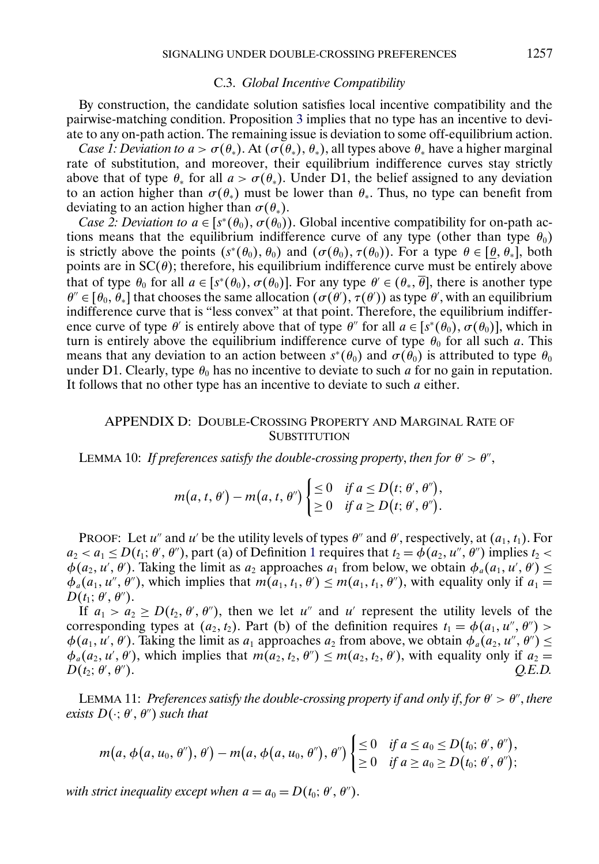#### C.3. *Global Incentive Compatibility*

<span id="page-32-0"></span>By construction, the candidate solution satisfies local incentive compatibility and the pairwise-matching condition. Proposition [3](#page-17-0) implies that no type has an incentive to deviate to any on-path action. The remaining issue is deviation to some off-equilibrium action.

*Case 1: Deviation to*  $a > \sigma(\theta_*)$ . At  $(\sigma(\theta_*) , \theta_*)$ , all types above  $\theta_*$  have a higher marginal rate of substitution, and moreover, their equilibrium indifference curves stay strictly above that of type  $\theta_*$  for all  $a > \sigma(\theta_*)$ . Under D1, the belief assigned to any deviation to an action higher than  $\sigma(\theta_*)$  must be lower than  $\theta_*$ . Thus, no type can benefit from deviating to an action higher than  $\sigma(\theta_*)$ .

*Case 2: Deviation to*  $a \in [s^*(\theta_0), \sigma(\theta_0))$ . Global incentive compatibility for on-path actions means that the equilibrium indifference curve of any type (other than type  $\theta_0$ ) is strictly above the points  $(s^*(\theta_0), \theta_0)$  and  $(\sigma(\theta_0), \tau(\theta_0))$ . For a type  $\theta \in [\theta, \theta_*]$ , both points are in  $SC(\theta)$ ; therefore, his equilibrium indifference curve must be entirely above that of type  $\theta_0$  for all  $a \in [s^*(\theta_0), \sigma(\theta_0)]$ . For any type  $\theta' \in (\theta_*, \overline{\theta}]$ , there is another type  $\theta'' \in [\theta_0, \theta_*]$  that chooses the same allocation  $(\sigma(\theta), \tau(\theta))$  as type  $\theta'$ , with an equilibrium indifference curve that is "less convex" at that point. Therefore, the equilibrium indifference curve of type  $\theta'$  is entirely above that of type  $\theta''$  for all  $a \in [s^*(\theta_0), \sigma(\theta_0)]$ , which in turn is entirely above the equilibrium indifference curve of type  $\theta_0$  for all such a. This means that any deviation to an action between  $s*(\theta_0)$  and  $\sigma(\theta_0)$  is attributed to type  $\theta_0$ under D1. Clearly, type  $\theta_0$  has no incentive to deviate to such a for no gain in reputation. It follows that no other type has an incentive to deviate to such  $a$  either.

# APPENDIX D: DOUBLE-CROSSING PROPERTY AND MARGINAL RATE OF **SUBSTITUTION**

LEMMA 10: *If preferences satisfy the double-crossing property, then for*  $\theta' > \theta''$ ,

$$
m(a, t, \theta') - m(a, t, \theta'') \begin{cases} \leq 0 & \text{if } a \leq D(t; \theta', \theta''), \\ \geq 0 & \text{if } a \geq D(t; \theta', \theta''). \end{cases}
$$

PROOF: Let u'' and u' be the utility levels of types  $\theta$ '' and  $\theta'$ , respectively, at  $(a_1, t_1)$ . For  $a_2 < a_1 \le D(t_1; \theta', \theta'')$  $a_2 < a_1 \le D(t_1; \theta', \theta'')$  $a_2 < a_1 \le D(t_1; \theta', \theta'')$ , part (a) of Definition 1 requires that  $t_2 = \phi(a_2, u'', \theta'')$  implies  $t_2$  <  $\phi(a_2, u', \theta')$ . Taking the limit as  $a_2$  approaches  $a_1$  from below, we obtain  $\phi_a(a_1, u', \theta') \leq$  $\phi_a(a_1, u'', \theta'')$ , which implies that  $m(a_1, t_1, \theta') \leq m(a_1, t_1, \theta'')$ , with equality only if  $a_1 =$  $D(t_1; \theta', \theta'').$ 

If  $a_1 > a_2 \ge D(t_2, \theta', \theta'')$ , then we let u'' and u' represent the utility levels of the corresponding types at  $(a_2, t_2)$ . Part (b) of the definition requires  $t_1 = \phi(a_1, u'', \theta'')$  $\phi(a_1, u', \theta')$ . Taking the limit as  $a_1$  approaches  $a_2$  from above, we obtain  $\phi_a(a_2, u'', \theta'') \leq$  $\phi_a(a_2, u', \theta')$ , which implies that  $m(a_2, t_2, \theta'') \leq m(a_2, t_2, \theta')$ , with equality only if  $a_2 =$  $D(t_2; \theta', \theta'').$  $\theta'$ ).  $Q.E.D.$ 

LEMMA 11: *Preferences satisfy the double-crossing property if and only if, for*  $\theta' > \theta''$ , *there*  $exists D(\cdot; \theta', \theta'')$  such that

$$
m(a, \phi(a, u_0, \theta'), \theta') - m(a, \phi(a, u_0, \theta''), \theta'') \begin{cases} \leq 0 & \text{if } a \leq a_0 \leq D(t_0; \theta', \theta''), \\ \geq 0 & \text{if } a \geq a_0 \geq D(t_0; \theta', \theta')'; \end{cases}
$$

with strict inequality except when  $a = a_0 = D(t_0; \theta', \theta'')$ .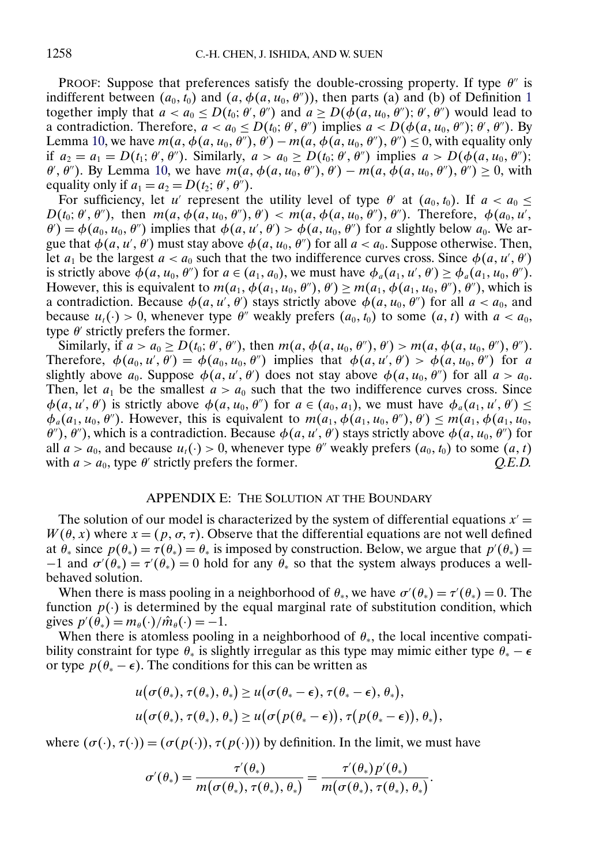<span id="page-33-0"></span>PROOF: Suppose that preferences satisfy the double-crossing property. If type  $\theta''$  is indifferent between  $(a_0, t_0)$  and  $(a, \phi(a, u_0, \theta''))$ , then parts (a) and (b) of Definition [1](#page-3-0) together imply that  $a < a_0 \le D(t_0; \theta', \theta'')$  and  $a \ge D(\phi(a, u_0, \theta'); \theta', \theta'')$  would lead to a contradiction. Therefore,  $a < a_0 \le D(t_0; \theta', \theta'')$  implies  $a < D(\phi(a, u_0, \theta'); \theta', \theta'')$ . By Lemma [10,](#page-32-0) we have  $m(a, \phi(a, u_0, \theta''), \theta') - m(a, \phi(a, u_0, \theta''), \theta'') \le 0$ , with equality only if  $a_2 = a_1 = D(t_1; \theta', \theta'')$ . Similarly,  $a > a_0 \ge D(t_0; \theta', \theta'')$  implies  $a > D(\phi(a, u_0, \theta'))$ ;  $\theta'$ ,  $\theta''$ ). By Lemma [10,](#page-32-0) we have  $m(a, \phi(a, u_0, \theta''), \theta') - m(a, \phi(a, u_0, \theta''), \theta'') \ge 0$ , with equality only if  $a_1 = a_2 = D(t_2; \theta', \theta'')$ .

For sufficiency, let u' represent the utility level of type  $\theta'$  at  $(a_0, t_0)$ . If  $a < a_0 \leq$  $D(t_0; \theta', \theta'')$ , then  $m(a, \phi(a, u_0, \theta''), \theta') < m(a, \phi(a, u_0, \theta''), \theta'')$ . Therefore,  $\phi(a_0, u', \theta'')$  $\theta'$ ) =  $\phi(a_0, u_0, \theta'')$  implies that  $\phi(a, u', \theta') > \phi(a, u_0, \theta'')$  for a slightly below  $a_0$ . We argue that  $\phi(a, u', \theta')$  must stay above  $\phi(a, u_0, \theta'')$  for all  $a < a_0$ . Suppose otherwise. Then, let  $a_1$  be the largest  $a < a_0$  such that the two indifference curves cross. Since  $\phi(a, u', \theta')$ is strictly above  $\phi(a, u_0, \theta'')$  for  $a \in (a_1, a_0)$ , we must have  $\phi_a(a_1, u', \theta') \ge \phi_a(a_1, u_0, \theta'')$ . However, this is equivalent to  $m(a_1, \phi(a_1, u_0, \theta''), \theta') \geq m(a_1, \phi(a_1, u_0, \theta''), \theta''),$  which is a contradiction. Because  $\phi(a, u', \theta')$  stays strictly above  $\phi(a, u_0, \theta'')$  for all  $a < a_0$ , and because  $u_t(\cdot) > 0$ , whenever type  $\theta''$  weakly prefers  $(a_0, t_0)$  to some  $(a, t)$  with  $a < a_0$ , type  $\theta'$  strictly prefers the former.

Similarly, if  $a > a_0 \ge D(t_0; \theta', \theta'')$ , then  $m(a, \phi(a, u_0, \theta''), \theta') > m(a, \phi(a, u_0, \theta''), \theta'')$ . Therefore,  $\phi(a_0, u', \theta') = \phi(a_0, u_0, \theta'')$  implies that  $\phi(a, u', \theta') > \phi(a, u_0, \theta'')$  for a slightly above  $a_0$ . Suppose  $\phi(a, u', \theta')$  does not stay above  $\phi(a, u_0, \theta'')$  for all  $a > a_0$ . Then, let  $a_1$  be the smallest  $a > a_0$  such that the two indifference curves cross. Since  $\phi(a, u', \theta')$  is strictly above  $\phi(a, u_0, \theta'')$  for  $a \in (a_0, a_1)$ , we must have  $\phi_a(a_1, u', \theta') \le$  $\phi_a(a_1, u_0, \theta'')$ . However, this is equivalent to  $m(a_1, \phi(a_1, u_0, \theta''), \theta') \leq m(a_1, \phi(a_1, u_0, \theta''))$  $\theta'$ ),  $\theta''$ ), which is a contradiction. Because  $\phi(a, u', \theta')$  stays strictly above  $\phi(a, u_0, \theta'')$  for all  $a > a_0$ , and because  $u_t(\cdot) > 0$ , whenever type  $\theta''$  weakly prefers  $(a_0, t_0)$  to some  $(a, t)$  with  $a > a_0$ , type  $\theta'$  strictly prefers the former. Q.E.D. with  $a > a_0$ , type  $\theta'$  strictly prefers the former.

# APPENDIX E: THE SOLUTION AT THE BOUNDARY

The solution of our model is characterized by the system of differential equations  $x' =$  $W(\theta, x)$  where  $x = (p, \sigma, \tau)$ . Observe that the differential equations are not well defined at  $\theta_*$  since  $p(\theta_*) = \tau(\theta_*) = \theta_*$  is imposed by construction. Below, we argue that  $p'(\theta_*) =$  $-1$  and  $\sigma'(\theta_*) = \tau'(\theta_*) = 0$  hold for any  $\theta_*$  so that the system always produces a wellbehaved solution.

When there is mass pooling in a neighborhood of  $\theta_*$ , we have  $\sigma'(\theta_*) = \tau'(\theta_*) = 0$ . The function  $p(\cdot)$  is determined by the equal marginal rate of substitution condition, which gives  $p'(\theta_*) = m_\theta(\cdot)/\hat{m}_\theta(\cdot) = -1.$ 

When there is atomless pooling in a neighborhood of  $\theta_*$ , the local incentive compatibility constraint for type  $\theta_*$  is slightly irregular as this type may mimic either type  $\theta_* - \epsilon$ or type  $p(\theta_* - \epsilon)$ . The conditions for this can be written as

$$
u(\sigma(\theta_*), \tau(\theta_*), \theta_* ) \geq u(\sigma(\theta_*-\epsilon), \tau(\theta_*-\epsilon), \theta_*),
$$
  

$$
u(\sigma(\theta_*), \tau(\theta_*), \theta_* ) \geq u(\sigma(p(\theta_*-\epsilon)), \tau(p(\theta_*-\epsilon)), \theta_*),
$$

where  $(\sigma(\cdot), \tau(\cdot)) = (\sigma(p(\cdot)), \tau(p(\cdot)))$  by definition. In the limit, we must have

$$
\sigma'(\theta_*)=\frac{\tau'(\theta_*)}{m\big(\sigma(\theta_*),\tau(\theta_*),\theta_*\big)}=\frac{\tau'(\theta_*)p'(\theta_*)}{m\big(\sigma(\theta_*),\tau(\theta_*),\theta_*\big)}.
$$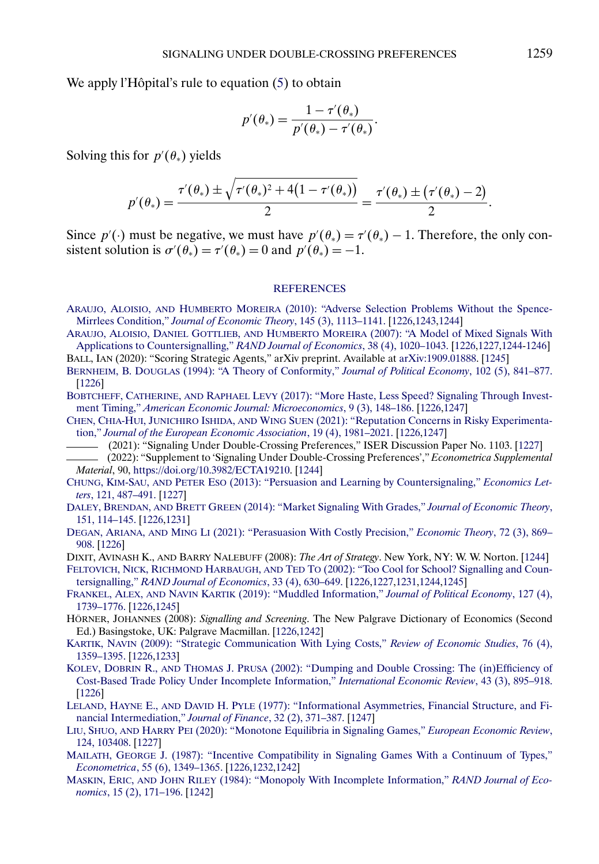<span id="page-34-0"></span>We apply l'Hôpital's rule to equation [\(5\)](#page-12-0) to obtain

$$
p'(\theta_*) = \frac{1 - \tau'(\theta_*)}{p'(\theta_*) - \tau'(\theta_*)}.
$$

Solving this for  $p'(\theta_*)$  yields

$$
p'(\theta_*) = \frac{\tau'(\theta_*) \pm \sqrt{\tau'(\theta_*)^2 + 4(1 - \tau'(\theta_*) )}}{2} = \frac{\tau'(\theta_*) \pm (\tau'(\theta_*) - 2)}{2}.
$$

Since  $p'(\cdot)$  must be negative, we must have  $p'(\theta_*) = \tau'(\theta_*) - 1$ . Therefore, the only consistent solution is  $\sigma'(\theta_*) = \tau'(\theta_*) = 0$  and  $p'(\theta_*) = -1$ .

#### **[REFERENCES](http://www.e-publications.org/srv/ecta/linkserver/setprefs?rfe_id=urn:sici%2F0012-9682%282022%2990%3A3%3C1225%3ASUDCP%3E2.0.CO%3B2-R)**

- ARAUJO, ALOISIO, AND HUMBERTO MOREIRA [\(2010\): "Adverse Selection Problems Without the Spence-](http://www.e-publications.org/srv/ecta/linkserver/openurl?rft_dat=bib:1/am2010&rfe_id=urn:sici%2F0012-9682%282022%2990%3A3%3C1225%3ASUDCP%3E2.0.CO%3B2-R)Mirrlees Condition," *[Journal of Economic Theory](http://www.e-publications.org/srv/ecta/linkserver/openurl?rft_dat=bib:1/am2010&rfe_id=urn:sici%2F0012-9682%282022%2990%3A3%3C1225%3ASUDCP%3E2.0.CO%3B2-R)*, 145 (3), 1113–1141. [\[1226](#page-1-0)[,1243](#page-18-0)[,1244\]](#page-19-0)
- ARAUJO, ALOISIO, DANIEL GOTTLIEB, AND HUMBERTO MOREIRA [\(2007\): "A Model of Mixed Signals With](http://www.e-publications.org/srv/ecta/linkserver/openurl?rft_dat=bib:2/agm2007&rfe_id=urn:sici%2F0012-9682%282022%2990%3A3%3C1225%3ASUDCP%3E2.0.CO%3B2-R) [Applications to Countersignalling,"](http://www.e-publications.org/srv/ecta/linkserver/openurl?rft_dat=bib:2/agm2007&rfe_id=urn:sici%2F0012-9682%282022%2990%3A3%3C1225%3ASUDCP%3E2.0.CO%3B2-R) *RAND Journal of Economics*, 38 (4), 1020–1043. [\[1226](#page-1-0)[,1227](#page-2-0)[,1244](#page-19-0)[-1246\]](#page-21-0)

BALL, IAN (2020): "Scoring Strategic Agents," arXiv preprint. Available at [arXiv:1909.01888.](http://arxiv.org/abs/arXiv:1909.01888) [\[1245\]](#page-20-0)

- BERNHEIM, B. DOUGLAS [\(1994\): "A Theory of Conformity,"](http://www.e-publications.org/srv/ecta/linkserver/openurl?rft_dat=bib:4/bernheim1994&rfe_id=urn:sici%2F0012-9682%282022%2990%3A3%3C1225%3ASUDCP%3E2.0.CO%3B2-R) *Journal of Political Economy*, 102 (5), 841–877. [\[1226\]](#page-1-0)
- BOBTCHEFF, CATHERINE, AND RAPHAEL LEVY [\(2017\): "More Haste, Less Speed? Signaling Through Invest](http://www.e-publications.org/srv/ecta/linkserver/openurl?rft_dat=bib:5/bl2017&rfe_id=urn:sici%2F0012-9682%282022%2990%3A3%3C1225%3ASUDCP%3E2.0.CO%3B2-R)ment Timing," *[American Economic Journal: Microeconomics](http://www.e-publications.org/srv/ecta/linkserver/openurl?rft_dat=bib:5/bl2017&rfe_id=urn:sici%2F0012-9682%282022%2990%3A3%3C1225%3ASUDCP%3E2.0.CO%3B2-R)*, 9 (3), 148–186. [\[1226](#page-1-0)[,1247\]](#page-22-0)
- CHEN, CHIA-HUI, JUNICHIRO ISHIDA, AND WING SUEN [\(2021\): "Reputation Concerns in Risky Experimenta](http://www.e-publications.org/srv/ecta/linkserver/openurl?rft_dat=bib:6/cis2019&rfe_id=urn:sici%2F0012-9682%282022%2990%3A3%3C1225%3ASUDCP%3E2.0.CO%3B2-R)tion," *[Journal of the European Economic Association](http://www.e-publications.org/srv/ecta/linkserver/openurl?rft_dat=bib:6/cis2019&rfe_id=urn:sici%2F0012-9682%282022%2990%3A3%3C1225%3ASUDCP%3E2.0.CO%3B2-R)*, 19 (4), 1981–2021. [\[1226](#page-1-0)[,1247\]](#page-22-0)

(2021): "Signaling Under Double-Crossing Preferences," ISER Discussion Paper No. 1103. [\[1227\]](#page-2-0)

- (2022): "Supplement to 'Signaling Under Double-Crossing Preferences'," *Econometrica Supplemental Material*, 90, <https://doi.org/10.3982/ECTA19210>. [\[1244\]](#page-19-0)
- CHUNG, KIM-SAU, AND PETER ESO [\(2013\): "Persuasion and Learning by Countersignaling,"](http://www.e-publications.org/srv/ecta/linkserver/openurl?rft_dat=bib:9/ce2013&rfe_id=urn:sici%2F0012-9682%282022%2990%3A3%3C1225%3ASUDCP%3E2.0.CO%3B2-R) *Economics Letters*[, 121, 487–491.](http://www.e-publications.org/srv/ecta/linkserver/openurl?rft_dat=bib:9/ce2013&rfe_id=urn:sici%2F0012-9682%282022%2990%3A3%3C1225%3ASUDCP%3E2.0.CO%3B2-R) [\[1227\]](#page-2-0)
- DALEY, BRENDAN, AND BRETT GREEN [\(2014\): "Market Signaling With Grades,"](http://www.e-publications.org/srv/ecta/linkserver/openurl?rft_dat=bib:10/dg2014&rfe_id=urn:sici%2F0012-9682%282022%2990%3A3%3C1225%3ASUDCP%3E2.0.CO%3B2-R) *Journal of Economic Theory*, [151, 114–145.](http://www.e-publications.org/srv/ecta/linkserver/openurl?rft_dat=bib:10/dg2014&rfe_id=urn:sici%2F0012-9682%282022%2990%3A3%3C1225%3ASUDCP%3E2.0.CO%3B2-R) [\[1226](#page-1-0)[,1231\]](#page-6-0)
- DEGAN, ARIANA, AND MING LI [\(2021\): "Perasuasion With Costly Precision,"](http://www.e-publications.org/srv/ecta/linkserver/openurl?rft_dat=bib:11/dl2021&rfe_id=urn:sici%2F0012-9682%282022%2990%3A3%3C1225%3ASUDCP%3E2.0.CO%3B2-R) *Economic Theory*, 72 (3), 869– [908.](http://www.e-publications.org/srv/ecta/linkserver/openurl?rft_dat=bib:11/dl2021&rfe_id=urn:sici%2F0012-9682%282022%2990%3A3%3C1225%3ASUDCP%3E2.0.CO%3B2-R) [\[1226\]](#page-1-0)

DIXIT, AVINASH K., AND BARRY NALEBUFF (2008): *The Art of Strategy*. New York, NY: W. W. Norton. [\[1244\]](#page-19-0)

FELTOVICH, NICK, RICHMOND HARBAUGH, AND TED TO [\(2002\): "Too Cool for School? Signalling and Coun](http://www.e-publications.org/srv/ecta/linkserver/openurl?rft_dat=bib:13/fht2002&rfe_id=urn:sici%2F0012-9682%282022%2990%3A3%3C1225%3ASUDCP%3E2.0.CO%3B2-R)tersignalling," *[RAND Journal of Economics](http://www.e-publications.org/srv/ecta/linkserver/openurl?rft_dat=bib:13/fht2002&rfe_id=urn:sici%2F0012-9682%282022%2990%3A3%3C1225%3ASUDCP%3E2.0.CO%3B2-R)*, 33 (4), 630–649. [\[1226](#page-1-0)[,1227](#page-2-0)[,1231](#page-6-0)[,1244](#page-19-0)[,1245\]](#page-20-0)

- FRANKEL, ALEX, AND NAVIN KARTIK [\(2019\): "Muddled Information,"](http://www.e-publications.org/srv/ecta/linkserver/openurl?rft_dat=bib:14/frankel2019&rfe_id=urn:sici%2F0012-9682%282022%2990%3A3%3C1225%3ASUDCP%3E2.0.CO%3B2-R) *Journal of Political Economy*, 127 (4), [1739–1776.](http://www.e-publications.org/srv/ecta/linkserver/openurl?rft_dat=bib:14/frankel2019&rfe_id=urn:sici%2F0012-9682%282022%2990%3A3%3C1225%3ASUDCP%3E2.0.CO%3B2-R) [\[1226](#page-1-0)[,1245\]](#page-20-0)
- HÖRNER, JOHANNES (2008): *Signalling and Screening*. The New Palgrave Dictionary of Economics (Second Ed.) Basingstoke, UK: Palgrave Macmillan. [\[1226,](#page-1-0)[1242\]](#page-17-0)

KARTIK, NAVIN [\(2009\): "Strategic Communication With Lying Costs,"](http://www.e-publications.org/srv/ecta/linkserver/openurl?rft_dat=bib:16/kartik2009&rfe_id=urn:sici%2F0012-9682%282022%2990%3A3%3C1225%3ASUDCP%3E2.0.CO%3B2-R) *Review of Economic Studies*, 76 (4), [1359–1395.](http://www.e-publications.org/srv/ecta/linkserver/openurl?rft_dat=bib:16/kartik2009&rfe_id=urn:sici%2F0012-9682%282022%2990%3A3%3C1225%3ASUDCP%3E2.0.CO%3B2-R) [\[1226](#page-1-0)[,1233\]](#page-8-0)

- KOLEV, DOBRIN R., AND THOMAS J. PRUSA [\(2002\): "Dumping and Double Crossing: The \(in\)Efficiency of](http://www.e-publications.org/srv/ecta/linkserver/openurl?rft_dat=bib:17/kp2002&rfe_id=urn:sici%2F0012-9682%282022%2990%3A3%3C1225%3ASUDCP%3E2.0.CO%3B2-R) [Cost-Based Trade Policy Under Incomplete Information,"](http://www.e-publications.org/srv/ecta/linkserver/openurl?rft_dat=bib:17/kp2002&rfe_id=urn:sici%2F0012-9682%282022%2990%3A3%3C1225%3ASUDCP%3E2.0.CO%3B2-R) *International Economic Review*, 43 (3), 895–918. [\[1226\]](#page-1-0)
- LELAND, HAYNE E., AND DAVID H. PYLE [\(1977\): "Informational Asymmetries, Financial Structure, and Fi](http://www.e-publications.org/srv/ecta/linkserver/openurl?rft_dat=bib:18/leland1977&rfe_id=urn:sici%2F0012-9682%282022%2990%3A3%3C1225%3ASUDCP%3E2.0.CO%3B2-R)[nancial Intermediation,"](http://www.e-publications.org/srv/ecta/linkserver/openurl?rft_dat=bib:18/leland1977&rfe_id=urn:sici%2F0012-9682%282022%2990%3A3%3C1225%3ASUDCP%3E2.0.CO%3B2-R) *Journal of Finance*, 32 (2), 371–387. [\[1247\]](#page-22-0)
- LIU, SHUO, AND HARRY PEI [\(2020\): "Monotone Equilibria in Signaling Games,"](http://www.e-publications.org/srv/ecta/linkserver/openurl?rft_dat=bib:19/lp2020&rfe_id=urn:sici%2F0012-9682%282022%2990%3A3%3C1225%3ASUDCP%3E2.0.CO%3B2-R) *European Economic Review*, [124, 103408.](http://www.e-publications.org/srv/ecta/linkserver/openurl?rft_dat=bib:19/lp2020&rfe_id=urn:sici%2F0012-9682%282022%2990%3A3%3C1225%3ASUDCP%3E2.0.CO%3B2-R) [\[1227\]](#page-2-0)
- MAILATH, GEORGE [J. \(1987\): "Incentive Compatibility in Signaling Games With a Continuum of Types,"](http://www.e-publications.org/srv/ecta/linkserver/openurl?rft_dat=bib:20/mailath1987&rfe_id=urn:sici%2F0012-9682%282022%2990%3A3%3C1225%3ASUDCP%3E2.0.CO%3B2-R) *Econometrica*[, 55 \(6\), 1349–1365.](http://www.e-publications.org/srv/ecta/linkserver/openurl?rft_dat=bib:20/mailath1987&rfe_id=urn:sici%2F0012-9682%282022%2990%3A3%3C1225%3ASUDCP%3E2.0.CO%3B2-R) [\[1226,](#page-1-0)[1232,](#page-7-0)[1242\]](#page-17-0)
- MASKIN, ERIC, AND JOHN RILEY [\(1984\): "Monopoly With Incomplete Information,"](http://www.e-publications.org/srv/ecta/linkserver/openurl?rft_dat=bib:21/maskinriley1984&rfe_id=urn:sici%2F0012-9682%282022%2990%3A3%3C1225%3ASUDCP%3E2.0.CO%3B2-R) *RAND Journal of Economics*[, 15 \(2\), 171–196.](http://www.e-publications.org/srv/ecta/linkserver/openurl?rft_dat=bib:21/maskinriley1984&rfe_id=urn:sici%2F0012-9682%282022%2990%3A3%3C1225%3ASUDCP%3E2.0.CO%3B2-R) [\[1242\]](#page-17-0)